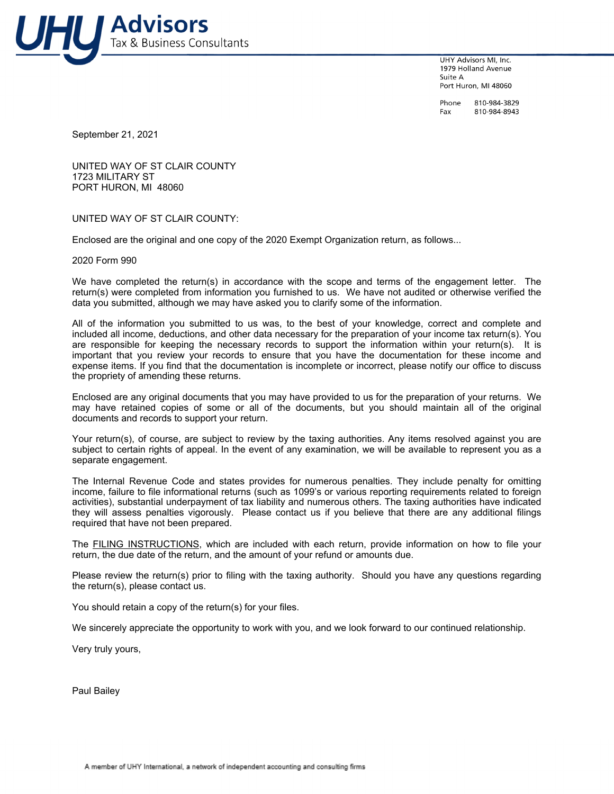

**UHY Advisors ML Inc.** 1979 Holland Avenue Suite A Port Huron, MI 48060

Phone 810-984-3829 Fax 810-984-8943

September 21, 2021

UNITED WAY OF ST CLAIR COUNTY 1723 MILITARY ST PORT HURON, MI 48060

UNITED WAY OF ST CLAIR COUNTY:

Enclosed are the original and one copy of the 2020 Exempt Organization return, as follows...

2020 Form 990

We have completed the return(s) in accordance with the scope and terms of the engagement letter. The return(s) were completed from information you furnished to us. We have not audited or otherwise verified the data you submitted, although we may have asked you to clarify some of the information.

All of the information you submitted to us was, to the best of your knowledge, correct and complete and included all income, deductions, and other data necessary for the preparation of your income tax return(s). You are responsible for keeping the necessary records to support the information within your return(s). It is important that you review your records to ensure that you have the documentation for these income and expense items. If you find that the documentation is incomplete or incorrect, please notify our office to discuss the propriety of amending these returns.

Enclosed are any original documents that you may have provided to us for the preparation of your returns. We may have retained copies of some or all of the documents, but you should maintain all of the original documents and records to support your return.

Your return(s), of course, are subject to review by the taxing authorities. Any items resolved against you are subject to certain rights of appeal. In the event of any examination, we will be available to represent you as a separate engagement.

The Internal Revenue Code and states provides for numerous penalties. They include penalty for omitting income, failure to file informational returns (such as 1099's or various reporting requirements related to foreign activities), substantial underpayment of tax liability and numerous others. The taxing authorities have indicated they will assess penalties vigorously. Please contact us if you believe that there are any additional filings required that have not been prepared.

The FILING INSTRUCTIONS, which are included with each return, provide information on how to file your return, the due date of the return, and the amount of your refund or amounts due.

Please review the return(s) prior to filing with the taxing authority. Should you have any questions regarding the return(s), please contact us.

You should retain a copy of the return(s) for your files.

We sincerely appreciate the opportunity to work with you, and we look forward to our continued relationship.

Very truly yours,

Paul Bailey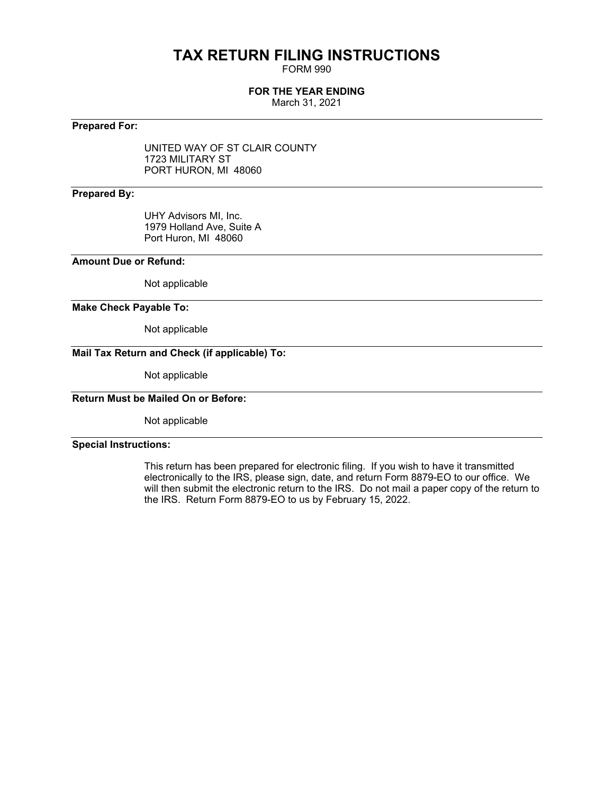## **TAX RETURN FILING INSTRUCTIONS**

FORM 990

#### **FOR THE YEAR ENDING**

March 31, 2021

### **Prepared For:**

UNITED WAY OF ST CLAIR COUNTY 1723 MILITARY ST PORT HURON, MI 48060

#### **Prepared By:**

UHY Advisors MI, Inc. 1979 Holland Ave, Suite A Port Huron, MI 48060

#### **Amount Due or Refund:**

Not applicable

#### **Make Check Payable To:**

Not applicable

### **Mail Tax Return and Check (if applicable) To:**

Not applicable

### **Return Must be Mailed On or Before:**

Not applicable

#### **Special Instructions:**

This return has been prepared for electronic filing. If you wish to have it transmitted electronically to the IRS, please sign, date, and return Form 8879-EO to our office. We will then submit the electronic return to the IRS. Do not mail a paper copy of the return to the IRS. Return Form 8879-EO to us by February 15, 2022.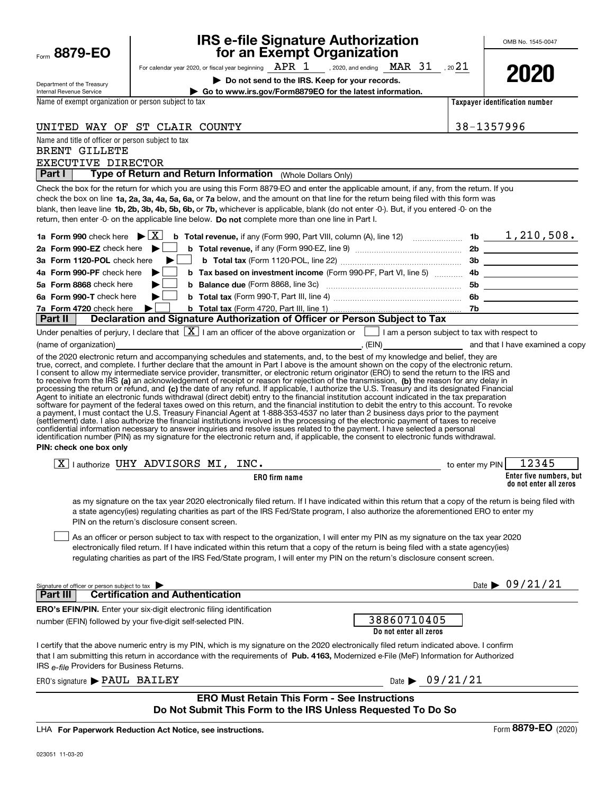| Department of the Treasury                                       | Do not send to the IRS. Keep for your records.                                                                                                                                                                                                                                                                                                                                                                                                                                                                                                                                                                               |                                       | LULU                                              |
|------------------------------------------------------------------|------------------------------------------------------------------------------------------------------------------------------------------------------------------------------------------------------------------------------------------------------------------------------------------------------------------------------------------------------------------------------------------------------------------------------------------------------------------------------------------------------------------------------------------------------------------------------------------------------------------------------|---------------------------------------|---------------------------------------------------|
| Internal Revenue Service                                         | Go to www.irs.gov/Form8879EO for the latest information.                                                                                                                                                                                                                                                                                                                                                                                                                                                                                                                                                                     |                                       |                                                   |
| Name of exempt organization or person subject to tax             |                                                                                                                                                                                                                                                                                                                                                                                                                                                                                                                                                                                                                              |                                       | Taxpayer identification number                    |
|                                                                  | UNITED WAY OF ST CLAIR COUNTY                                                                                                                                                                                                                                                                                                                                                                                                                                                                                                                                                                                                |                                       | 38-1357996                                        |
| Name and title of officer or person subject to tax               |                                                                                                                                                                                                                                                                                                                                                                                                                                                                                                                                                                                                                              |                                       |                                                   |
| <b>BRENT GILLETE</b>                                             |                                                                                                                                                                                                                                                                                                                                                                                                                                                                                                                                                                                                                              |                                       |                                                   |
| EXECUTIVE DIRECTOR<br>Part I                                     | Type of Return and Return Information (Whole Dollars Only)                                                                                                                                                                                                                                                                                                                                                                                                                                                                                                                                                                   |                                       |                                                   |
|                                                                  |                                                                                                                                                                                                                                                                                                                                                                                                                                                                                                                                                                                                                              |                                       |                                                   |
|                                                                  | Check the box for the return for which you are using this Form 8879-EO and enter the applicable amount, if any, from the return. If you<br>check the box on line 1a, 2a, 3a, 4a, 5a, 6a, or 7a below, and the amount on that line for the return being filed with this form was<br>blank, then leave line 1b, 2b, 3b, 4b, 5b, 6b, or 7b, whichever is applicable, blank (do not enter -0-). But, if you entered -0- on the<br>return, then enter -0- on the applicable line below. Do not complete more than one line in Part I.                                                                                             |                                       |                                                   |
| 1a Form 990 check here $\blacktriangleright$ $\lfloor X \rfloor$ | <b>b</b> Total revenue, if any (Form 990, Part VIII, column (A), line 12) $\ldots$ 10 $\ldots$ 16 $\ldots$ 1, 210, 508.                                                                                                                                                                                                                                                                                                                                                                                                                                                                                                      |                                       |                                                   |
| 2a Form 990-EZ check here $\blacktriangleright$                  |                                                                                                                                                                                                                                                                                                                                                                                                                                                                                                                                                                                                                              |                                       |                                                   |
| 3a Form 1120-POL check here                                      | ▶                                                                                                                                                                                                                                                                                                                                                                                                                                                                                                                                                                                                                            |                                       | 3b                                                |
| 4a Form 990-PF check here                                        | <b>b</b> Tax based on investment income (Form 990-PF, Part VI, line 5)                                                                                                                                                                                                                                                                                                                                                                                                                                                                                                                                                       |                                       |                                                   |
| 5a Form 8868 check here                                          | <b>b</b> Balance due (Form 8868, line 3c) <b>Manual</b> Contract Contract Control Contract Control Contract Control Control Contract Control Control Control Control Control Control Control Control Control Control Control Control Con                                                                                                                                                                                                                                                                                                                                                                                     |                                       | 5b ____________________                           |
| 6a Form 990-T check here                                         |                                                                                                                                                                                                                                                                                                                                                                                                                                                                                                                                                                                                                              |                                       |                                                   |
| 7a Form 4720 check here                                          | ▶                                                                                                                                                                                                                                                                                                                                                                                                                                                                                                                                                                                                                            |                                       |                                                   |
| Part II                                                          | Declaration and Signature Authorization of Officer or Person Subject to Tax                                                                                                                                                                                                                                                                                                                                                                                                                                                                                                                                                  |                                       |                                                   |
|                                                                  | Under penalties of perjury, I declare that $\boxed{\mathbf{X}}$ I am an officer of the above organization or $\boxed{\phantom{\mathbf{X}}}$ I am a person subject to tax with respect to                                                                                                                                                                                                                                                                                                                                                                                                                                     |                                       |                                                   |
|                                                                  | (name of organization) <b>Example 2</b> and that I have examined a copy of the state of organization)                                                                                                                                                                                                                                                                                                                                                                                                                                                                                                                        |                                       |                                                   |
| PIN: check one box only                                          | a payment, I must contact the U.S. Treasury Financial Agent at 1-888-353-4537 no later than 2 business days prior to the payment<br>(settlement) date. I also authorize the financial institutions involved in the processing of the electronic payment of taxes to receive<br>confidential information necessary to answer inquiries and resolve issues related to the payment. I have selected a personal<br>identification number (PIN) as my signature for the electronic return and, if applicable, the consent to electronic funds withdrawal.                                                                         |                                       |                                                   |
|                                                                  | $\boxed{\text{X}}$ authorize UHY ADVISORS MI, INC.                                                                                                                                                                                                                                                                                                                                                                                                                                                                                                                                                                           | to enter my PIN                       | 12345                                             |
|                                                                  | <b>ERO</b> firm name                                                                                                                                                                                                                                                                                                                                                                                                                                                                                                                                                                                                         |                                       | Enter five numbers, but<br>do not enter all zeros |
|                                                                  | as my signature on the tax year 2020 electronically filed return. If I have indicated within this return that a copy of the return is being filed with<br>a state agency(ies) regulating charities as part of the IRS Fed/State program, I also authorize the aforementioned ERO to enter my<br>PIN on the return's disclosure consent screen.<br>As an officer or person subject to tax with respect to the organization, I will enter my PIN as my signature on the tax year 2020<br>electronically filed return. If I have indicated within this return that a copy of the return is being filed with a state agency(ies) |                                       |                                                   |
|                                                                  | regulating charities as part of the IRS Fed/State program, I will enter my PIN on the return's disclosure consent screen.                                                                                                                                                                                                                                                                                                                                                                                                                                                                                                    |                                       |                                                   |
| Signature of officer or person subject to tax<br>Part III        | <b>Certification and Authentication</b>                                                                                                                                                                                                                                                                                                                                                                                                                                                                                                                                                                                      |                                       | Date $\triangleright$ 09/21/21                    |
|                                                                  | <b>ERO's EFIN/PIN.</b> Enter your six-digit electronic filing identification                                                                                                                                                                                                                                                                                                                                                                                                                                                                                                                                                 |                                       |                                                   |
|                                                                  | number (EFIN) followed by your five-digit self-selected PIN.                                                                                                                                                                                                                                                                                                                                                                                                                                                                                                                                                                 | 38860710405<br>Do not enter all zeros |                                                   |
| IRS e-file Providers for Business Returns.                       | I certify that the above numeric entry is my PIN, which is my signature on the 2020 electronically filed return indicated above. I confirm<br>that I am submitting this return in accordance with the requirements of Pub. 4163, Modernized e-File (MeF) Information for Authorized                                                                                                                                                                                                                                                                                                                                          |                                       |                                                   |
| ERO's signature > PAUL BAILEY                                    |                                                                                                                                                                                                                                                                                                                                                                                                                                                                                                                                                                                                                              | Date $\triangleright$ 09/21/21        |                                                   |
|                                                                  | <b>ERO Must Retain This Form - See Instructions</b><br>Do Not Submit This Form to the IRS Unless Requested To Do So                                                                                                                                                                                                                                                                                                                                                                                                                                                                                                          |                                       |                                                   |
|                                                                  |                                                                                                                                                                                                                                                                                                                                                                                                                                                                                                                                                                                                                              |                                       |                                                   |

For calendar year 2020, or fiscal year beginning  $\,$  A.H.K  $\,$  L  $\,$   $\,$  , 2020, and ending  $\,$  MAK  $\,$  J  $\,$   $\,$  , 20

**for an Exempt Organization**

**IRS e-file Signature Authorization**

 $\texttt{APR}$   $\,\,1\quad$  . 2020. and ending  $\,\,\texttt{MAR}\,\,$   $\,\,31\quad$  . 20 $21$ 

LHA For Paperwork Reduction Act Notice, see instructions.

Form **8879-EO**

Form (2020) **8879-EO** 

OMB No. 1545-0047

**2020**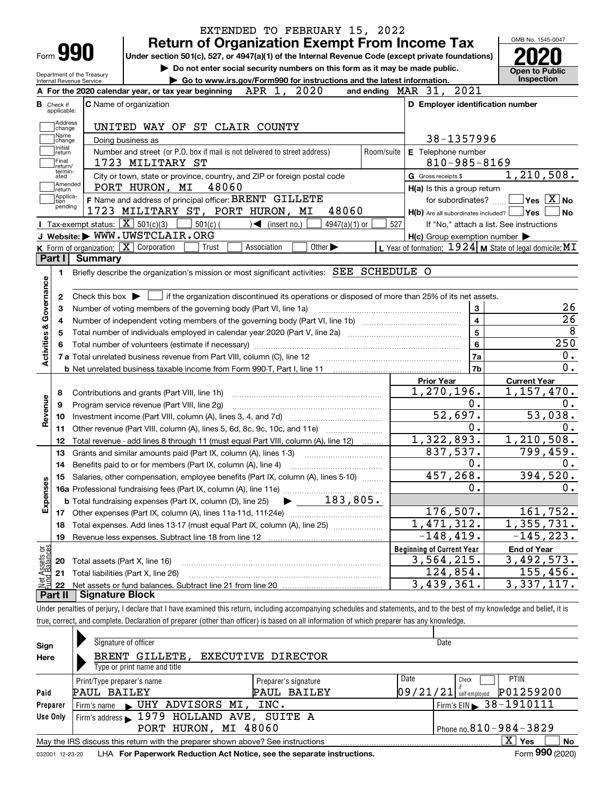|                                   |                                                        | EXTENDED TO FEBRUARY 15, 2022<br><b>Return of Organization Exempt From Income Tax</b>                                                                                      |                                                           | OMB No. 1545-0047                        |
|-----------------------------------|--------------------------------------------------------|----------------------------------------------------------------------------------------------------------------------------------------------------------------------------|-----------------------------------------------------------|------------------------------------------|
| Form 990                          |                                                        | Under section 501(c), 527, or 4947(a)(1) of the Internal Revenue Code (except private foundations)                                                                         |                                                           |                                          |
|                                   | Department of the Treasury<br>Internal Revenue Service | Do not enter social security numbers on this form as it may be made public.<br>Go to www.irs.gov/Form990 for instructions and the latest information.                      |                                                           | <b>Open to Public</b><br>Inspection      |
|                                   |                                                        | 2020<br>APR 1,<br>A For the 2020 calendar year, or tax year beginning                                                                                                      | and ending MAR 31, 2021                                   |                                          |
| <b>B</b> Check if                 |                                                        | <b>C</b> Name of organization                                                                                                                                              | D Employer identification number                          |                                          |
| applicable:                       |                                                        |                                                                                                                                                                            |                                                           |                                          |
| Address<br>change<br>Name         |                                                        | UNITED WAY OF ST CLAIR COUNTY                                                                                                                                              |                                                           |                                          |
| change<br>Initial                 |                                                        | Doing business as                                                                                                                                                          | 38-1357996                                                |                                          |
| return<br> Final                  |                                                        | Number and street (or P.O. box if mail is not delivered to street address)<br>Room/suite<br>1723 MILITARY ST                                                               | E Telephone number<br>$810 - 985 - 8169$                  |                                          |
| return/<br>termin-<br>ated        |                                                        | City or town, state or province, country, and ZIP or foreign postal code                                                                                                   | G Gross receipts \$                                       | 1, 210, 508.                             |
| Amended<br>∣return                |                                                        | PORT HURON, MI<br>48060                                                                                                                                                    | H(a) Is this a group return                               |                                          |
| Applica-<br>tion                  |                                                        | F Name and address of principal officer: BRENT GILLETE                                                                                                                     | for subordinates?                                         | $\sqrt{}$ Yes $\sqrt{}$ X $\sqrt{}$ No   |
| pending                           |                                                        | 48060<br>1723 MILITARY ST, PORT HURON, MI                                                                                                                                  | $H(b)$ Are all subordinates included? $\Box$ Yes          | No                                       |
|                                   |                                                        | Tax-exempt status: $\boxed{\mathbf{X}}$ 501(c)(3)<br>$501(c)$ (<br>$\sqrt{\frac{1}{1}}$ (insert no.)<br>$4947(a)(1)$ or                                                    | 527                                                       | If "No," attach a list. See instructions |
|                                   |                                                        | J Website: WWW.UWSTCLAIR.ORG                                                                                                                                               | $H(c)$ Group exemption number $\blacktriangleright$       |                                          |
|                                   |                                                        | <b>K</b> Form of organization: $\boxed{\mathbf{X}}$ Corporation<br>Other $\blacktriangleright$<br>Trust<br>Association                                                     | L Year of formation: $1924$ M State of legal domicile: MT |                                          |
| Part I                            | Summarv                                                |                                                                                                                                                                            |                                                           |                                          |
| 1.                                |                                                        | Briefly describe the organization's mission or most significant activities: SEE SCHEDULE O                                                                                 |                                                           |                                          |
| Activities & Governance<br>4<br>5 |                                                        |                                                                                                                                                                            | $\overline{\mathbf{4}}$<br>5<br>6                         | $\overline{26}$<br>250                   |
|                                   |                                                        |                                                                                                                                                                            |                                                           | $0$ .                                    |
|                                   |                                                        |                                                                                                                                                                            | 7a<br>7 <sub>b</sub>                                      | 0.                                       |
|                                   |                                                        |                                                                                                                                                                            | <b>Prior Year</b>                                         | <b>Current Year</b>                      |
| 8                                 |                                                        | Contributions and grants (Part VIII, line 1h)                                                                                                                              | 1,270,196.                                                | 1,157,470.                               |
| 9                                 |                                                        | Program service revenue (Part VIII, line 2g)                                                                                                                               | 0.                                                        | 0.                                       |
| Revenue<br>10                     |                                                        |                                                                                                                                                                            | 52,697.                                                   | 53,038.                                  |
| 11                                |                                                        | Other revenue (Part VIII, column (A), lines 5, 6d, 8c, 9c, 10c, and 11e)                                                                                                   | 0.                                                        | 0.                                       |
| 12                                |                                                        | Total revenue - add lines 8 through 11 (must equal Part VIII, column (A), line 12)                                                                                         | 1,322,893.                                                | 1,210,508.                               |
| 13                                |                                                        | Grants and similar amounts paid (Part IX, column (A), lines 1-3)                                                                                                           | 837,537.                                                  | 799,459.                                 |
| 14                                |                                                        |                                                                                                                                                                            | 0.                                                        | 0.                                       |
|                                   |                                                        | 15 Salaries, other compensation, employee benefits (Part IX, column (A), lines 5-10)                                                                                       | 457,268.                                                  | 394,520.                                 |
|                                   |                                                        |                                                                                                                                                                            | 0.                                                        | 0.                                       |
| Expenses                          |                                                        | 183,805.<br><b>b</b> Total fundraising expenses (Part IX, column (D), line 25)                                                                                             |                                                           |                                          |
| 17                                |                                                        |                                                                                                                                                                            | 176,507.                                                  | 161,752.                                 |
| 18                                |                                                        | Total expenses. Add lines 13-17 (must equal Part IX, column (A), line 25)                                                                                                  | $\overline{1,471,312}$ .                                  | 1,355,731.<br>$-145, 223.$               |
| 19                                |                                                        |                                                                                                                                                                            | $-148, 419.$                                              |                                          |
| t Assets or<br>d Balances         |                                                        |                                                                                                                                                                            | <b>Beginning of Current Year</b><br>3,564,215.            | <b>End of Year</b><br>3,492,573.         |
| 20                                | Total assets (Part X, line 16)                         |                                                                                                                                                                            | 124,854.                                                  | 155,456.                                 |
| 21<br>Jet<br>22                   |                                                        | Total liabilities (Part X, line 26)                                                                                                                                        | 3,439,361.                                                | 3, 337, 117.                             |
| Part II                           | <b>Signature Block</b>                                 |                                                                                                                                                                            |                                                           |                                          |
|                                   |                                                        | Under penalties of perjury, I declare that I have examined this return, including accompanying schedules and statements, and to the best of my knowledge and belief, it is |                                                           |                                          |
|                                   |                                                        | true, correct, and complete. Declaration of preparer (other than officer) is based on all information of which preparer has any knowledge.                                 |                                                           |                                          |
|                                   |                                                        |                                                                                                                                                                            |                                                           |                                          |
|                                   |                                                        |                                                                                                                                                                            |                                                           |                                          |

| Sign     | Signature of officer                                                            |                              | Date                                  |  |  |  |  |  |  |  |
|----------|---------------------------------------------------------------------------------|------------------------------|---------------------------------------|--|--|--|--|--|--|--|
| Here     | BRENT GILLETE,                                                                  | <b>EXECUTIVE DIRECTOR</b>    |                                       |  |  |  |  |  |  |  |
|          | Type or print name and title                                                    |                              |                                       |  |  |  |  |  |  |  |
|          | Print/Type preparer's name                                                      | Date<br>Preparer's signature | <b>PTIN</b><br>Check                  |  |  |  |  |  |  |  |
| Paid     | PAUL BAILEY                                                                     | PAUL BAILEY                  | P01259200<br>$09/21/21$ self-employed |  |  |  |  |  |  |  |
| Preparer | Firm's name UHY ADVISORS MI,                                                    | INC.                         | $1$ Firm's EIN 38-1910111             |  |  |  |  |  |  |  |
| Use Only | Firm's address 1979 HOLLAND AVE, SUITE A                                        |                              |                                       |  |  |  |  |  |  |  |
|          | Phone no. $810 - 984 - 3829$<br>PORT HURON, MI 48060                            |                              |                                       |  |  |  |  |  |  |  |
|          | May the IRS discuss this return with the preparer shown above? See instructions |                              | $\mathbf{x}$<br>Yes<br>No             |  |  |  |  |  |  |  |
|          |                                                                                 |                              | nnn.                                  |  |  |  |  |  |  |  |

032001 12-23-20 LHA **For Paperwork Reduction Act Notice, see the separate instructions.** Form 990 (2020)

**990**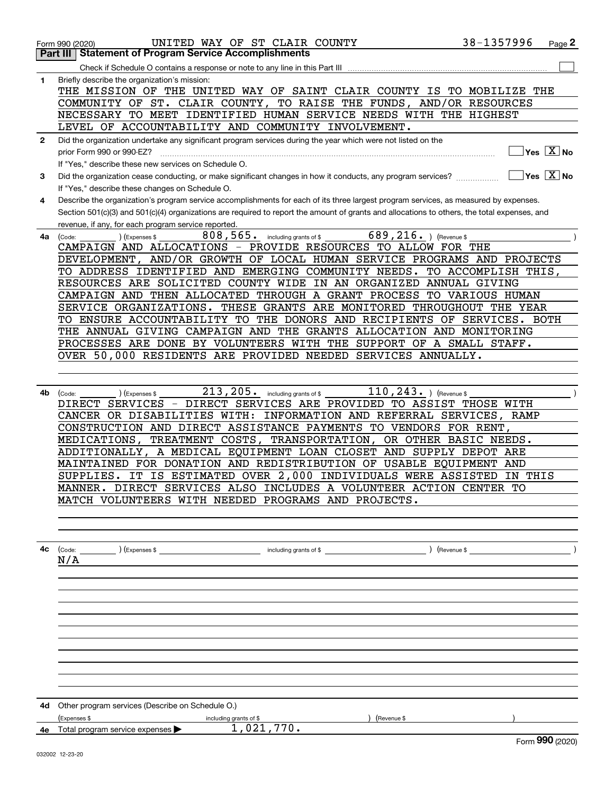|              | UNITED WAY OF ST CLAIR COUNTY<br>Form 990 (2020)                                                                                                                                                                                                                                                                                            | 38-1357996          |                             | Page 2 |
|--------------|---------------------------------------------------------------------------------------------------------------------------------------------------------------------------------------------------------------------------------------------------------------------------------------------------------------------------------------------|---------------------|-----------------------------|--------|
|              | <b>Statement of Program Service Accomplishments</b><br>Part III                                                                                                                                                                                                                                                                             |                     |                             |        |
|              | Check if Schedule O contains a response or note to any line in this Part III                                                                                                                                                                                                                                                                |                     |                             |        |
| 1            | Briefly describe the organization's mission:<br>THE MISSION OF THE UNITED WAY OF SAINT CLAIR COUNTY IS TO MOBILIZE THE<br>COMMUNITY OF ST. CLAIR COUNTY, TO RAISE THE FUNDS, AND/OR RESOURCES<br>NECESSARY TO MEET IDENTIFIED HUMAN SERVICE NEEDS WITH THE HIGHEST<br>LEVEL OF ACCOUNTABILITY AND COMMUNITY INVOLVEMENT.                    |                     |                             |        |
| $\mathbf{2}$ | Did the organization undertake any significant program services during the year which were not listed on the                                                                                                                                                                                                                                |                     |                             |        |
|              | prior Form 990 or 990-EZ?<br>If "Yes," describe these new services on Schedule O.                                                                                                                                                                                                                                                           |                     | $Yes$ $X$ No                |        |
| З.           | Did the organization cease conducting, or make significant changes in how it conducts, any program services?                                                                                                                                                                                                                                |                     | ∣Yes │X │No                 |        |
|              | If "Yes," describe these changes on Schedule O.                                                                                                                                                                                                                                                                                             |                     |                             |        |
| 4            | Describe the organization's program service accomplishments for each of its three largest program services, as measured by expenses.<br>Section 501(c)(3) and 501(c)(4) organizations are required to report the amount of grants and allocations to others, the total expenses, and<br>revenue, if any, for each program service reported. |                     |                             |        |
| 4a           | 808, 565. including grants of \$<br>689, 216. $ $ (Revenue \$<br>(Expenses \$<br>(Code:                                                                                                                                                                                                                                                     |                     |                             |        |
|              | CAMPAIGN AND ALLOCATIONS - PROVIDE RESOURCES TO ALLOW FOR THE                                                                                                                                                                                                                                                                               |                     |                             |        |
|              | DEVELOPMENT, AND/OR GROWTH OF LOCAL HUMAN SERVICE PROGRAMS AND PROJECTS                                                                                                                                                                                                                                                                     |                     |                             |        |
|              | TO ADDRESS IDENTIFIED AND EMERGING COMMUNITY NEEDS.                                                                                                                                                                                                                                                                                         | TO ACCOMPLISH THIS, |                             |        |
|              | RESOURCES ARE SOLICITED COUNTY WIDE IN AN ORGANIZED ANNUAL GIVING                                                                                                                                                                                                                                                                           |                     |                             |        |
|              | CAMPAIGN AND THEN ALLOCATED THROUGH A GRANT PROCESS TO VARIOUS HUMAN                                                                                                                                                                                                                                                                        |                     |                             |        |
|              | SERVICE ORGANIZATIONS. THESE GRANTS ARE MONITORED THROUGHOUT THE YEAR                                                                                                                                                                                                                                                                       |                     |                             |        |
|              | TO ENSURE ACCOUNTABILITY TO THE DONORS AND RECIPIENTS OF SERVICES. BOTH                                                                                                                                                                                                                                                                     |                     |                             |        |
|              | THE ANNUAL GIVING CAMPAIGN AND THE GRANTS ALLOCATION AND MONITORING                                                                                                                                                                                                                                                                         |                     |                             |        |
|              | PROCESSES ARE DONE BY VOLUNTEERS WITH THE SUPPORT OF A SMALL STAFF.                                                                                                                                                                                                                                                                         |                     |                             |        |
|              | OVER 50,000 RESIDENTS ARE PROVIDED NEEDED SERVICES ANNUALLY.                                                                                                                                                                                                                                                                                |                     |                             |        |
|              |                                                                                                                                                                                                                                                                                                                                             |                     |                             |        |
|              |                                                                                                                                                                                                                                                                                                                                             |                     |                             |        |
| 4b           | $213, 205$ . including grants of \$<br>110, 243. $ $ (Revenue \$<br>(Expenses \$<br>(Code:                                                                                                                                                                                                                                                  |                     |                             |        |
|              | SERVICES - DIRECT SERVICES ARE PROVIDED TO ASSIST THOSE WITH<br>DIRECT                                                                                                                                                                                                                                                                      |                     |                             |        |
|              | CANCER OR DISABILITIES WITH: INFORMATION AND REFERRAL SERVICES,                                                                                                                                                                                                                                                                             | RAMP                |                             |        |
|              | CONSTRUCTION AND DIRECT ASSISTANCE PAYMENTS TO VENDORS FOR RENT,                                                                                                                                                                                                                                                                            |                     |                             |        |
|              | TREATMENT COSTS, TRANSPORTATION,<br>OR OTHER BASIC NEEDS.<br>MEDICATIONS,                                                                                                                                                                                                                                                                   |                     |                             |        |
|              | ADDITIONALLY, A MEDICAL EQUIPMENT LOAN CLOSET AND SUPPLY DEPOT ARE                                                                                                                                                                                                                                                                          |                     |                             |        |
|              | MAINTAINED FOR DONATION AND REDISTRIBUTION OF USABLE EQUIPMENT AND                                                                                                                                                                                                                                                                          |                     |                             |        |
|              | IT IS ESTIMATED OVER 2,000 INDIVIDUALS WERE ASSISTED<br>SUPPLIES.                                                                                                                                                                                                                                                                           |                     | IN THIS                     |        |
|              | MANNER. DIRECT SERVICES ALSO INCLUDES A VOLUNTEER ACTION CENTER TO                                                                                                                                                                                                                                                                          |                     |                             |        |
|              | MATCH VOLUNTEERS WITH NEEDED PROGRAMS AND PROJECTS.                                                                                                                                                                                                                                                                                         |                     |                             |        |
|              |                                                                                                                                                                                                                                                                                                                                             |                     |                             |        |
|              |                                                                                                                                                                                                                                                                                                                                             |                     |                             |        |
|              |                                                                                                                                                                                                                                                                                                                                             |                     |                             |        |
|              | <b>4c</b> $\left(\text{Code:}\right)$ $\left(\text{Expenses $}\right)$ $\left(\text{Expenses $}\right)$ including grants of \$<br>N/A                                                                                                                                                                                                       | $\left($ Revenue \$ |                             |        |
|              |                                                                                                                                                                                                                                                                                                                                             |                     |                             |        |
|              |                                                                                                                                                                                                                                                                                                                                             |                     |                             |        |
|              |                                                                                                                                                                                                                                                                                                                                             |                     |                             |        |
|              |                                                                                                                                                                                                                                                                                                                                             |                     |                             |        |
|              |                                                                                                                                                                                                                                                                                                                                             |                     |                             |        |
|              |                                                                                                                                                                                                                                                                                                                                             |                     |                             |        |
|              |                                                                                                                                                                                                                                                                                                                                             |                     |                             |        |
|              |                                                                                                                                                                                                                                                                                                                                             |                     |                             |        |
|              |                                                                                                                                                                                                                                                                                                                                             |                     |                             |        |
|              |                                                                                                                                                                                                                                                                                                                                             |                     |                             |        |
|              |                                                                                                                                                                                                                                                                                                                                             |                     |                             |        |
|              | <b>4d</b> Other program services (Describe on Schedule O.)                                                                                                                                                                                                                                                                                  |                     |                             |        |
|              | (Expenses \$<br>including grants of \$<br>(Revenue \$                                                                                                                                                                                                                                                                                       |                     |                             |        |
|              | 1,021,770.<br>4e Total program service expenses $\blacktriangleright$                                                                                                                                                                                                                                                                       |                     |                             |        |
|              |                                                                                                                                                                                                                                                                                                                                             |                     | $F_{\text{arm}}$ 990 (2020) |        |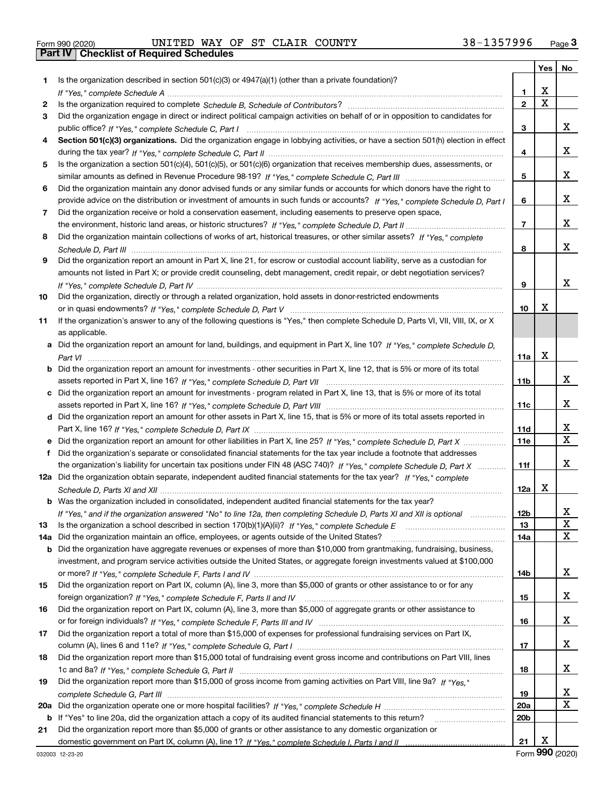|  | Form 990 (2020) |
|--|-----------------|

# Form 990 (2020) Page **3Part IV Checklist of Required Schedules** UNITED WAY OF ST CLAIR COUNTY 38-1357996

|     |                                                                                                                                   |                 | Yes | No                      |
|-----|-----------------------------------------------------------------------------------------------------------------------------------|-----------------|-----|-------------------------|
| 1.  | Is the organization described in section $501(c)(3)$ or $4947(a)(1)$ (other than a private foundation)?                           |                 |     |                         |
|     |                                                                                                                                   | 1               | х   |                         |
| 2   |                                                                                                                                   | $\mathbf{2}$    | X   |                         |
| 3   | Did the organization engage in direct or indirect political campaign activities on behalf of or in opposition to candidates for   |                 |     |                         |
|     |                                                                                                                                   | 3               |     | X.                      |
| 4   | Section 501(c)(3) organizations. Did the organization engage in lobbying activities, or have a section 501(h) election in effect  |                 |     |                         |
|     |                                                                                                                                   | 4               |     | x                       |
| 5   | Is the organization a section 501(c)(4), 501(c)(5), or 501(c)(6) organization that receives membership dues, assessments, or      |                 |     |                         |
|     |                                                                                                                                   | 5               |     | X.                      |
| 6   | Did the organization maintain any donor advised funds or any similar funds or accounts for which donors have the right to         |                 |     |                         |
|     | provide advice on the distribution or investment of amounts in such funds or accounts? If "Yes," complete Schedule D, Part I      | 6               |     | X.                      |
| 7   | Did the organization receive or hold a conservation easement, including easements to preserve open space,                         |                 |     |                         |
|     |                                                                                                                                   | 7               |     | X.                      |
| 8   | Did the organization maintain collections of works of art, historical treasures, or other similar assets? If "Yes," complete      |                 |     |                         |
|     |                                                                                                                                   | 8               |     | x                       |
| 9   | Did the organization report an amount in Part X, line 21, for escrow or custodial account liability, serve as a custodian for     |                 |     |                         |
|     | amounts not listed in Part X; or provide credit counseling, debt management, credit repair, or debt negotiation services?         |                 |     |                         |
|     |                                                                                                                                   | 9               |     | x                       |
| 10  | Did the organization, directly or through a related organization, hold assets in donor-restricted endowments                      |                 |     |                         |
|     |                                                                                                                                   | 10              | х   |                         |
| 11  | If the organization's answer to any of the following questions is "Yes," then complete Schedule D, Parts VI, VIII, VIII, IX, or X |                 |     |                         |
|     | as applicable.                                                                                                                    |                 |     |                         |
| a   | Did the organization report an amount for land, buildings, and equipment in Part X, line 10? If "Yes," complete Schedule D,       |                 |     |                         |
|     |                                                                                                                                   | 11a             | х   |                         |
| b   | Did the organization report an amount for investments - other securities in Part X, line 12, that is 5% or more of its total      |                 |     |                         |
|     |                                                                                                                                   | 11b             |     | x                       |
|     | c Did the organization report an amount for investments - program related in Part X, line 13, that is 5% or more of its total     |                 |     |                         |
|     |                                                                                                                                   | 11c             |     | X.                      |
|     | d Did the organization report an amount for other assets in Part X, line 15, that is 5% or more of its total assets reported in   |                 |     |                         |
|     |                                                                                                                                   | 11d             |     | X                       |
|     |                                                                                                                                   | <b>11e</b>      |     | $\overline{\mathbf{x}}$ |
| f   | Did the organization's separate or consolidated financial statements for the tax year include a footnote that addresses           |                 |     |                         |
|     | the organization's liability for uncertain tax positions under FIN 48 (ASC 740)? If "Yes," complete Schedule D, Part X            | 11f             |     | x                       |
|     | 12a Did the organization obtain separate, independent audited financial statements for the tax year? If "Yes," complete           |                 |     |                         |
|     |                                                                                                                                   | 12a             | X   |                         |
|     | Was the organization included in consolidated, independent audited financial statements for the tax year?                         |                 |     |                         |
|     | If "Yes," and if the organization answered "No" to line 12a, then completing Schedule D, Parts XI and XII is optional             | 12 <sub>b</sub> |     | X                       |
| 13  | Is the organization a school described in section 170(b)(1)(A)(ii)? If "Yes," complete Schedule E                                 | 13              |     | X                       |
| 14a | Did the organization maintain an office, employees, or agents outside of the United States?                                       | 14a             |     | x                       |
| b   | Did the organization have aggregate revenues or expenses of more than \$10,000 from grantmaking, fundraising, business,           |                 |     |                         |
|     | investment, and program service activities outside the United States, or aggregate foreign investments valued at \$100,000        |                 |     |                         |
|     |                                                                                                                                   | 14b             |     | X.                      |
| 15  | Did the organization report on Part IX, column (A), line 3, more than \$5,000 of grants or other assistance to or for any         |                 |     |                         |
|     |                                                                                                                                   | 15              |     | X.                      |
| 16  | Did the organization report on Part IX, column (A), line 3, more than \$5,000 of aggregate grants or other assistance to          |                 |     |                         |
|     |                                                                                                                                   | 16              |     | X.                      |
| 17  | Did the organization report a total of more than \$15,000 of expenses for professional fundraising services on Part IX,           |                 |     |                         |
|     |                                                                                                                                   | 17              |     | X.                      |
| 18  | Did the organization report more than \$15,000 total of fundraising event gross income and contributions on Part VIII, lines      |                 |     |                         |
|     |                                                                                                                                   | 18              |     | X.                      |
| 19  | Did the organization report more than \$15,000 of gross income from gaming activities on Part VIII, line 9a? If "Yes."            |                 |     |                         |
|     |                                                                                                                                   | 19              |     | X<br>X                  |
| 20a |                                                                                                                                   | 20a             |     |                         |
| b   | If "Yes" to line 20a, did the organization attach a copy of its audited financial statements to this return?                      | 20b             |     |                         |
| 21  | Did the organization report more than \$5,000 of grants or other assistance to any domestic organization or                       |                 |     |                         |
|     |                                                                                                                                   | 21              | X   |                         |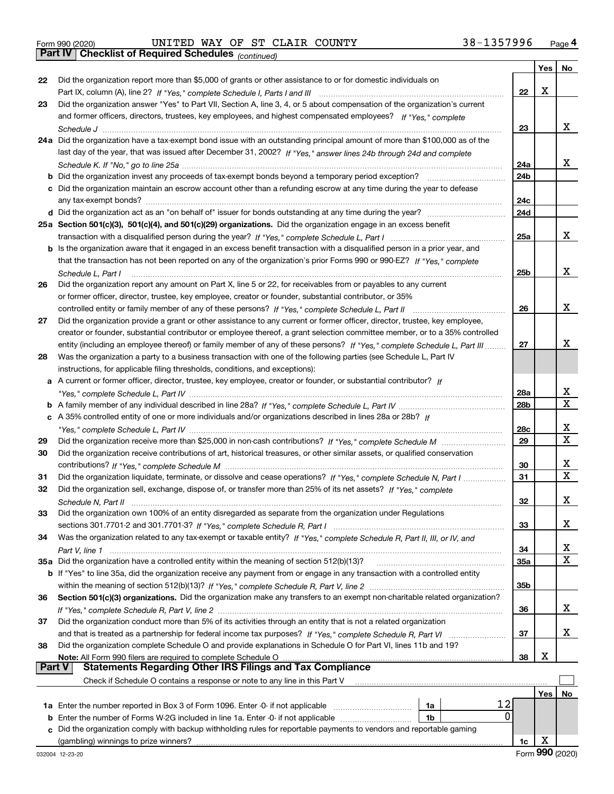Form 990 (2020) Page **4Part IV Checklist of Required Schedules** UNITED WAY OF ST CLAIR COUNTY 38-1357996

*(continued)*

|          |                                                                                                                              |                 | Yes | No          |
|----------|------------------------------------------------------------------------------------------------------------------------------|-----------------|-----|-------------|
| 22       | Did the organization report more than \$5,000 of grants or other assistance to or for domestic individuals on                |                 |     |             |
|          |                                                                                                                              | 22              | X   |             |
| 23       | Did the organization answer "Yes" to Part VII, Section A, line 3, 4, or 5 about compensation of the organization's current   |                 |     |             |
|          | and former officers, directors, trustees, key employees, and highest compensated employees? If "Yes." complete               |                 |     |             |
|          |                                                                                                                              | 23              |     | x           |
|          | 24a Did the organization have a tax-exempt bond issue with an outstanding principal amount of more than \$100,000 as of the  |                 |     |             |
|          | last day of the year, that was issued after December 31, 2002? If "Yes," answer lines 24b through 24d and complete           |                 |     |             |
|          |                                                                                                                              | 24a             |     | x           |
|          |                                                                                                                              | 24 <sub>b</sub> |     |             |
|          | c Did the organization maintain an escrow account other than a refunding escrow at any time during the year to defease       |                 |     |             |
|          |                                                                                                                              | 24c             |     |             |
|          |                                                                                                                              | 24d             |     |             |
|          | 25a Section 501(c)(3), 501(c)(4), and 501(c)(29) organizations. Did the organization engage in an excess benefit             |                 |     |             |
|          |                                                                                                                              | 25a             |     | x           |
|          | b Is the organization aware that it engaged in an excess benefit transaction with a disqualified person in a prior year, and |                 |     |             |
|          | that the transaction has not been reported on any of the organization's prior Forms 990 or 990-EZ? If "Yes," complete        |                 |     |             |
|          | Schedule L. Part I                                                                                                           | 25b             |     | x           |
| 26       | Did the organization report any amount on Part X, line 5 or 22, for receivables from or payables to any current              |                 |     |             |
|          | or former officer, director, trustee, key employee, creator or founder, substantial contributor, or 35%                      |                 |     |             |
|          | controlled entity or family member of any of these persons? If "Yes," complete Schedule L, Part II                           | 26              |     | x           |
| 27       | Did the organization provide a grant or other assistance to any current or former officer, director, trustee, key employee,  |                 |     |             |
|          | creator or founder, substantial contributor or employee thereof, a grant selection committee member, or to a 35% controlled  |                 |     |             |
|          | entity (including an employee thereof) or family member of any of these persons? If "Yes," complete Schedule L, Part III     | 27              |     | x           |
| 28       | Was the organization a party to a business transaction with one of the following parties (see Schedule L, Part IV            |                 |     |             |
|          | instructions, for applicable filing thresholds, conditions, and exceptions):                                                 |                 |     |             |
|          | a A current or former officer, director, trustee, key employee, creator or founder, or substantial contributor? If           |                 |     |             |
|          |                                                                                                                              | 28a             |     | x<br>X      |
|          |                                                                                                                              | 28 <sub>b</sub> |     |             |
|          | c A 35% controlled entity of one or more individuals and/or organizations described in lines 28a or 28b? If                  | 28c             |     | x           |
|          |                                                                                                                              | 29              |     | $\mathbf X$ |
| 29<br>30 | Did the organization receive contributions of art, historical treasures, or other similar assets, or qualified conservation  |                 |     |             |
|          |                                                                                                                              | 30              |     | х           |
| 31       | Did the organization liquidate, terminate, or dissolve and cease operations? If "Yes," complete Schedule N, Part I           | 31              |     | X           |
| 32       | Did the organization sell, exchange, dispose of, or transfer more than 25% of its net assets? If "Yes," complete             |                 |     |             |
|          |                                                                                                                              | 32              |     | х           |
| 33       | Did the organization own 100% of an entity disregarded as separate from the organization under Regulations                   |                 |     |             |
|          |                                                                                                                              | 33              |     | x           |
| 34       | Was the organization related to any tax-exempt or taxable entity? If "Yes," complete Schedule R, Part II, III, or IV, and    |                 |     |             |
|          |                                                                                                                              | 34              |     | X           |
|          | 35a Did the organization have a controlled entity within the meaning of section 512(b)(13)?                                  | 35a             |     | X           |
|          | b If "Yes" to line 35a, did the organization receive any payment from or engage in any transaction with a controlled entity  |                 |     |             |
|          |                                                                                                                              | 35b             |     |             |
| 36       | Section 501(c)(3) organizations. Did the organization make any transfers to an exempt non-charitable related organization?   |                 |     |             |
|          |                                                                                                                              | 36              |     | x           |
| 37       | Did the organization conduct more than 5% of its activities through an entity that is not a related organization             |                 |     |             |
|          |                                                                                                                              | 37              |     | х           |
| 38       | Did the organization complete Schedule O and provide explanations in Schedule O for Part VI, lines 11b and 19?               |                 |     |             |
|          |                                                                                                                              | 38              | х   |             |
| Part V   | <b>Statements Regarding Other IRS Filings and Tax Compliance</b>                                                             |                 |     |             |
|          | Check if Schedule O contains a response or note to any line in this Part V                                                   |                 |     |             |
|          |                                                                                                                              |                 | Yes | No.         |
|          | 12<br>1a Enter the number reported in Box 3 of Form 1096. Enter -0- if not applicable<br>1a                                  |                 |     |             |
| b        | 0<br>Enter the number of Forms W-2G included in line 1a. Enter -0- if not applicable<br>1b                                   |                 |     |             |
| c        | Did the organization comply with backup withholding rules for reportable payments to vendors and reportable gaming           |                 |     |             |
|          |                                                                                                                              | 1c              | х   |             |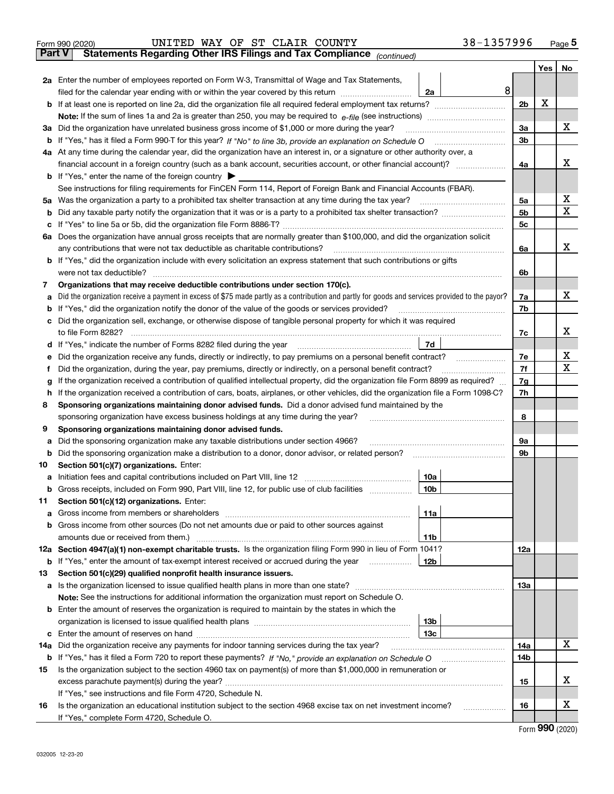|               | 38-1357996<br>UNITED WAY OF ST CLAIR COUNTY<br>Form 990 (2020)                                                                                  |            |     | $_{\text{Page}}$ 5          |  |  |  |  |  |  |  |
|---------------|-------------------------------------------------------------------------------------------------------------------------------------------------|------------|-----|-----------------------------|--|--|--|--|--|--|--|
| <b>Part V</b> | Statements Regarding Other IRS Filings and Tax Compliance (continued)                                                                           |            |     |                             |  |  |  |  |  |  |  |
|               |                                                                                                                                                 |            | Yes | No                          |  |  |  |  |  |  |  |
|               | 2a Enter the number of employees reported on Form W-3, Transmittal of Wage and Tax Statements,                                                  |            |     |                             |  |  |  |  |  |  |  |
|               | 8<br>filed for the calendar year ending with or within the year covered by this return<br>2a                                                    |            |     |                             |  |  |  |  |  |  |  |
|               |                                                                                                                                                 | 2b         | х   |                             |  |  |  |  |  |  |  |
|               |                                                                                                                                                 |            |     |                             |  |  |  |  |  |  |  |
|               | 3a Did the organization have unrelated business gross income of \$1,000 or more during the year?                                                | 3a         |     | x                           |  |  |  |  |  |  |  |
|               |                                                                                                                                                 | 3b         |     |                             |  |  |  |  |  |  |  |
|               | 4a At any time during the calendar year, did the organization have an interest in, or a signature or other authority over, a                    |            |     |                             |  |  |  |  |  |  |  |
|               |                                                                                                                                                 |            |     |                             |  |  |  |  |  |  |  |
|               | <b>b</b> If "Yes," enter the name of the foreign country $\blacktriangleright$                                                                  | 4a         |     | x                           |  |  |  |  |  |  |  |
|               | See instructions for filing requirements for FinCEN Form 114, Report of Foreign Bank and Financial Accounts (FBAR).                             |            |     |                             |  |  |  |  |  |  |  |
|               | 5a Was the organization a party to a prohibited tax shelter transaction at any time during the tax year?                                        | 5a         |     | х                           |  |  |  |  |  |  |  |
| b             |                                                                                                                                                 | 5b         |     | х                           |  |  |  |  |  |  |  |
| с             |                                                                                                                                                 | 5c         |     |                             |  |  |  |  |  |  |  |
|               | 6a Does the organization have annual gross receipts that are normally greater than \$100,000, and did the organization solicit                  |            |     |                             |  |  |  |  |  |  |  |
|               |                                                                                                                                                 | 6a         |     | х                           |  |  |  |  |  |  |  |
|               | <b>b</b> If "Yes," did the organization include with every solicitation an express statement that such contributions or gifts                   |            |     |                             |  |  |  |  |  |  |  |
|               |                                                                                                                                                 | 6b         |     |                             |  |  |  |  |  |  |  |
| 7             | Organizations that may receive deductible contributions under section 170(c).                                                                   |            |     |                             |  |  |  |  |  |  |  |
| a             | Did the organization receive a payment in excess of \$75 made partly as a contribution and partly for goods and services provided to the payor? | 7a         |     | х                           |  |  |  |  |  |  |  |
|               | <b>b</b> If "Yes," did the organization notify the donor of the value of the goods or services provided?                                        | 7b         |     |                             |  |  |  |  |  |  |  |
|               | c Did the organization sell, exchange, or otherwise dispose of tangible personal property for which it was required                             |            |     |                             |  |  |  |  |  |  |  |
|               |                                                                                                                                                 | 7c         |     | x                           |  |  |  |  |  |  |  |
|               | 7d<br>d If "Yes," indicate the number of Forms 8282 filed during the year manufactured in the set of the set of the water                       |            |     |                             |  |  |  |  |  |  |  |
| е             | Did the organization receive any funds, directly or indirectly, to pay premiums on a personal benefit contract?                                 | 7е         |     | х                           |  |  |  |  |  |  |  |
| f             | Did the organization, during the year, pay premiums, directly or indirectly, on a personal benefit contract?                                    | 7f         |     | х                           |  |  |  |  |  |  |  |
| g             | If the organization received a contribution of qualified intellectual property, did the organization file Form 8899 as required?                | 7g         |     |                             |  |  |  |  |  |  |  |
| h             | If the organization received a contribution of cars, boats, airplanes, or other vehicles, did the organization file a Form 1098-C?              | 7h         |     |                             |  |  |  |  |  |  |  |
| 8             | Sponsoring organizations maintaining donor advised funds. Did a donor advised fund maintained by the                                            |            |     |                             |  |  |  |  |  |  |  |
|               | sponsoring organization have excess business holdings at any time during the year?                                                              | 8          |     |                             |  |  |  |  |  |  |  |
| 9             | Sponsoring organizations maintaining donor advised funds.                                                                                       |            |     |                             |  |  |  |  |  |  |  |
| а             | Did the sponsoring organization make any taxable distributions under section 4966?                                                              | 9а         |     |                             |  |  |  |  |  |  |  |
| b             |                                                                                                                                                 | 9b         |     |                             |  |  |  |  |  |  |  |
| 10            | Section 501(c)(7) organizations. Enter:                                                                                                         |            |     |                             |  |  |  |  |  |  |  |
|               | 10a                                                                                                                                             |            |     |                             |  |  |  |  |  |  |  |
|               | 10b <br>Gross receipts, included on Form 990, Part VIII, line 12, for public use of club facilities                                             |            |     |                             |  |  |  |  |  |  |  |
| 11            | Section 501(c)(12) organizations. Enter:                                                                                                        |            |     |                             |  |  |  |  |  |  |  |
| a             | Gross income from members or shareholders<br>11a                                                                                                |            |     |                             |  |  |  |  |  |  |  |
|               | b Gross income from other sources (Do not net amounts due or paid to other sources against                                                      |            |     |                             |  |  |  |  |  |  |  |
|               | amounts due or received from them.)<br>11b                                                                                                      |            |     |                             |  |  |  |  |  |  |  |
|               | 12a Section 4947(a)(1) non-exempt charitable trusts. Is the organization filing Form 990 in lieu of Form 1041?                                  | <b>12a</b> |     |                             |  |  |  |  |  |  |  |
|               | 12b<br><b>b</b> If "Yes," enter the amount of tax-exempt interest received or accrued during the year <i>manument</i>                           |            |     |                             |  |  |  |  |  |  |  |
| 13            | Section 501(c)(29) qualified nonprofit health insurance issuers.                                                                                |            |     |                             |  |  |  |  |  |  |  |
|               | a Is the organization licensed to issue qualified health plans in more than one state?                                                          | 13a        |     |                             |  |  |  |  |  |  |  |
|               | Note: See the instructions for additional information the organization must report on Schedule O.                                               |            |     |                             |  |  |  |  |  |  |  |
|               | <b>b</b> Enter the amount of reserves the organization is required to maintain by the states in which the                                       |            |     |                             |  |  |  |  |  |  |  |
|               | 13b                                                                                                                                             |            |     |                             |  |  |  |  |  |  |  |
|               | 13с                                                                                                                                             |            |     |                             |  |  |  |  |  |  |  |
|               | 14a Did the organization receive any payments for indoor tanning services during the tax year?                                                  | 14a        |     | х                           |  |  |  |  |  |  |  |
|               | <b>b</b> If "Yes," has it filed a Form 720 to report these payments? If "No," provide an explanation on Schedule O                              | 14b        |     |                             |  |  |  |  |  |  |  |
| 15            | Is the organization subject to the section 4960 tax on payment(s) of more than \$1,000,000 in remuneration or                                   |            |     |                             |  |  |  |  |  |  |  |
|               |                                                                                                                                                 | 15         |     | х                           |  |  |  |  |  |  |  |
|               | If "Yes," see instructions and file Form 4720, Schedule N.                                                                                      |            |     |                             |  |  |  |  |  |  |  |
| 16            | Is the organization an educational institution subject to the section 4968 excise tax on net investment income?                                 | 16         |     | х                           |  |  |  |  |  |  |  |
|               | If "Yes," complete Form 4720, Schedule O.                                                                                                       |            |     |                             |  |  |  |  |  |  |  |
|               |                                                                                                                                                 |            |     | $F_{\text{arm}}$ 990 (2020) |  |  |  |  |  |  |  |

| Form 990 (2020) |  |
|-----------------|--|
|-----------------|--|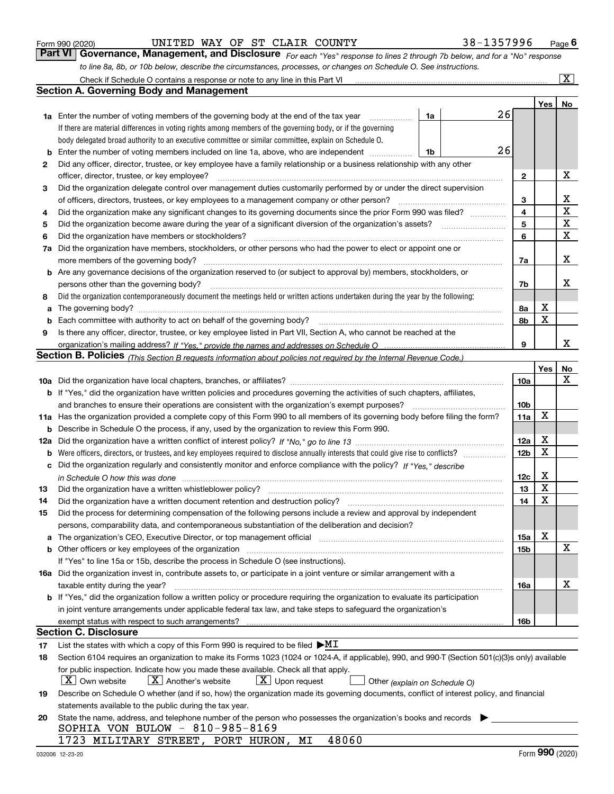|          | to line 8a, 8b, or 10b below, describe the circumstances, processes, or changes on Schedule O. See instructions.                                                        |    |  |    |                 |     |                         |  |  |  |
|----------|-------------------------------------------------------------------------------------------------------------------------------------------------------------------------|----|--|----|-----------------|-----|-------------------------|--|--|--|
|          | Check if Schedule O contains a response or note to any line in this Part VI                                                                                             |    |  |    |                 |     | $\overline{\mathbf{x}}$ |  |  |  |
|          | Section A. Governing Body and Management                                                                                                                                |    |  |    |                 |     |                         |  |  |  |
|          |                                                                                                                                                                         |    |  |    |                 | Yes | No                      |  |  |  |
|          | 1a Enter the number of voting members of the governing body at the end of the tax year                                                                                  | 1a |  | 26 |                 |     |                         |  |  |  |
|          | If there are material differences in voting rights among members of the governing body, or if the governing                                                             |    |  |    |                 |     |                         |  |  |  |
|          | body delegated broad authority to an executive committee or similar committee, explain on Schedule O.                                                                   |    |  |    |                 |     |                         |  |  |  |
| b        | Enter the number of voting members included on line 1a, above, who are independent                                                                                      | 1b |  | 26 |                 |     |                         |  |  |  |
| 2        | Did any officer, director, trustee, or key employee have a family relationship or a business relationship with any other                                                |    |  |    |                 |     |                         |  |  |  |
|          | officer, director, trustee, or key employee?                                                                                                                            |    |  |    | $\mathbf{2}$    |     | x                       |  |  |  |
| 3        | Did the organization delegate control over management duties customarily performed by or under the direct supervision                                                   |    |  |    |                 |     |                         |  |  |  |
|          | of officers, directors, trustees, or key employees to a management company or other person?                                                                             |    |  |    | 3               |     | х                       |  |  |  |
| 4        | Did the organization make any significant changes to its governing documents since the prior Form 990 was filed?                                                        |    |  |    | 4               |     | X                       |  |  |  |
| 5        |                                                                                                                                                                         |    |  |    | 5               |     | X                       |  |  |  |
| 6        | Did the organization have members or stockholders?                                                                                                                      |    |  |    | 6               |     | X                       |  |  |  |
| 7a       | Did the organization have members, stockholders, or other persons who had the power to elect or appoint one or                                                          |    |  |    |                 |     |                         |  |  |  |
|          |                                                                                                                                                                         |    |  |    | 7a              |     | x                       |  |  |  |
| b        | Are any governance decisions of the organization reserved to (or subject to approval by) members, stockholders, or                                                      |    |  |    |                 |     |                         |  |  |  |
|          | persons other than the governing body?                                                                                                                                  |    |  |    | 7b              |     | х                       |  |  |  |
| 8        | Did the organization contemporaneously document the meetings held or written actions undertaken during the year by the following:                                       |    |  |    |                 |     |                         |  |  |  |
| a        |                                                                                                                                                                         |    |  |    | 8а              | X   |                         |  |  |  |
| b        | Each committee with authority to act on behalf of the governing body?                                                                                                   |    |  |    | 8b              | X   |                         |  |  |  |
| 9        | Is there any officer, director, trustee, or key employee listed in Part VII, Section A, who cannot be reached at the                                                    |    |  |    |                 |     |                         |  |  |  |
|          |                                                                                                                                                                         |    |  |    | 9               |     | x                       |  |  |  |
|          | Section B. Policies <sub>(This Section B requests information about policies not required by the Internal Revenue Code.)</sub>                                          |    |  |    |                 |     |                         |  |  |  |
|          |                                                                                                                                                                         |    |  |    |                 | Yes | <b>No</b><br>х          |  |  |  |
|          |                                                                                                                                                                         |    |  |    | 10a             |     |                         |  |  |  |
|          | <b>b</b> If "Yes," did the organization have written policies and procedures governing the activities of such chapters, affiliates,                                     |    |  |    | 10 <sub>b</sub> |     |                         |  |  |  |
|          | and branches to ensure their operations are consistent with the organization's exempt purposes?                                                                         |    |  |    |                 |     |                         |  |  |  |
|          | 11a Has the organization provided a complete copy of this Form 990 to all members of its governing body before filing the form?                                         |    |  |    | 11a             | х   |                         |  |  |  |
| b        | Describe in Schedule O the process, if any, used by the organization to review this Form 990.                                                                           |    |  |    | 12a             | х   |                         |  |  |  |
| 12a<br>b | Were officers, directors, or trustees, and key employees required to disclose annually interests that could give rise to conflicts?                                     |    |  |    | 12 <sub>b</sub> | х   |                         |  |  |  |
|          | Did the organization regularly and consistently monitor and enforce compliance with the policy? If "Yes." describe                                                      |    |  |    |                 |     |                         |  |  |  |
| c        | in Schedule O how this was done manufactured and contact the state of the state of the state of the state of t                                                          |    |  |    | 12c             | х   |                         |  |  |  |
| 13       |                                                                                                                                                                         |    |  |    | 13              | х   |                         |  |  |  |
| 14       |                                                                                                                                                                         |    |  |    | 14              | х   |                         |  |  |  |
| 15       | Did the process for determining compensation of the following persons include a review and approval by independent                                                      |    |  |    |                 |     |                         |  |  |  |
|          | persons, comparability data, and contemporaneous substantiation of the deliberation and decision?                                                                       |    |  |    |                 |     |                         |  |  |  |
|          | a The organization's CEO, Executive Director, or top management official manufactured content of the organization's CEO, Executive Director, or top management official |    |  |    | 15a             | х   |                         |  |  |  |
| b        |                                                                                                                                                                         |    |  |    | 15b             |     | X                       |  |  |  |
|          | If "Yes" to line 15a or 15b, describe the process in Schedule O (see instructions).                                                                                     |    |  |    |                 |     |                         |  |  |  |
|          | 16a Did the organization invest in, contribute assets to, or participate in a joint venture or similar arrangement with a                                               |    |  |    |                 |     |                         |  |  |  |
|          | taxable entity during the year?                                                                                                                                         |    |  |    | 16a             |     | X                       |  |  |  |
|          | <b>b</b> If "Yes," did the organization follow a written policy or procedure requiring the organization to evaluate its participation                                   |    |  |    |                 |     |                         |  |  |  |
|          | in joint venture arrangements under applicable federal tax law, and take steps to safeguard the organization's                                                          |    |  |    |                 |     |                         |  |  |  |
|          |                                                                                                                                                                         |    |  |    | 16b             |     |                         |  |  |  |
|          | Section C. Disclosure                                                                                                                                                   |    |  |    |                 |     |                         |  |  |  |
| 17       | List the states with which a copy of this Form 990 is required to be filed $\blacktriangleright M I$                                                                    |    |  |    |                 |     |                         |  |  |  |
| 18       | Section 6104 requires an organization to make its Forms 1023 (1024 or 1024-A, if applicable), 990, and 990-T (Section 501(c)(3)s only) available                        |    |  |    |                 |     |                         |  |  |  |
|          | for public inspection. Indicate how you made these available. Check all that apply.                                                                                     |    |  |    |                 |     |                         |  |  |  |
|          | $X$ Another's website<br>$X$ Upon request<br>$\lfloor X \rfloor$ Own website<br>Other (explain on Schedule O)                                                           |    |  |    |                 |     |                         |  |  |  |
| 19       | Describe on Schedule O whether (and if so, how) the organization made its governing documents, conflict of interest policy, and financial                               |    |  |    |                 |     |                         |  |  |  |
|          | statements available to the public during the tax year.                                                                                                                 |    |  |    |                 |     |                         |  |  |  |
| 20       | State the name, address, and telephone number of the person who possesses the organization's books and records                                                          |    |  |    |                 |     |                         |  |  |  |
|          | SOPHIA VON BULOW - 810-985-8169                                                                                                                                         |    |  |    |                 |     |                         |  |  |  |
|          | 1723 MILITARY STREET, PORT HURON, MI<br>48060                                                                                                                           |    |  |    |                 |     |                         |  |  |  |

Form 990 (2020) **CONVICTED WAY OF ST CLAIR COUNTY** 38 - 1357996 Page 6<br>**Part VI Governance, Management, and Disclosure** For each "Yes" response to lines 2 through 7b below, and for a "No" response

UNITED WAY OF ST CLAIR COUNTY 38-1357996

*For each "Yes" response to lines 2 through 7b below, and for a "No" response*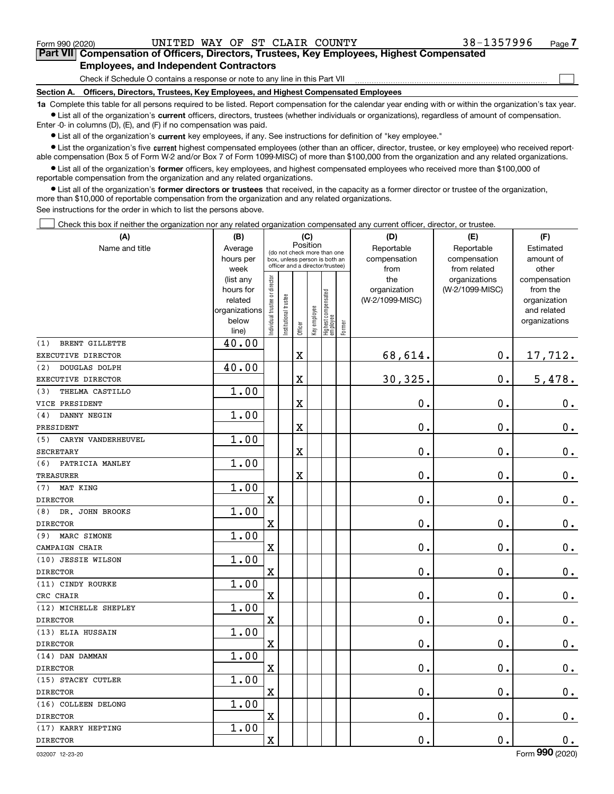$\mathcal{L}^{\text{max}}$ 

## **7Part VII Compensation of Officers, Directors, Trustees, Key Employees, Highest Compensated Employees, and Independent Contractors**

Check if Schedule O contains a response or note to any line in this Part VII

**Section A. Officers, Directors, Trustees, Key Employees, and Highest Compensated Employees**

**1a**  Complete this table for all persons required to be listed. Report compensation for the calendar year ending with or within the organization's tax year. **•** List all of the organization's current officers, directors, trustees (whether individuals or organizations), regardless of amount of compensation.

Enter -0- in columns (D), (E), and (F) if no compensation was paid.

 $\bullet$  List all of the organization's  $\,$ current key employees, if any. See instructions for definition of "key employee."

**•** List the organization's five current highest compensated employees (other than an officer, director, trustee, or key employee) who received reportable compensation (Box 5 of Form W-2 and/or Box 7 of Form 1099-MISC) of more than \$100,000 from the organization and any related organizations.

**•** List all of the organization's former officers, key employees, and highest compensated employees who received more than \$100,000 of reportable compensation from the organization and any related organizations.

**former directors or trustees**  ¥ List all of the organization's that received, in the capacity as a former director or trustee of the organization, more than \$10,000 of reportable compensation from the organization and any related organizations.

See instructions for the order in which to list the persons above.

Check this box if neither the organization nor any related organization compensated any current officer, director, or trustee.  $\mathcal{L}^{\text{max}}$ 

| (A)                          | (B)                                                                  | (C)                                                                                                         |                      |                         |              |                                   |        | (D)                                    | (E)                                        | (F)                                                                      |
|------------------------------|----------------------------------------------------------------------|-------------------------------------------------------------------------------------------------------------|----------------------|-------------------------|--------------|-----------------------------------|--------|----------------------------------------|--------------------------------------------|--------------------------------------------------------------------------|
| Name and title               | Average<br>hours per<br>week                                         | Position<br>(do not check more than one<br>box, unless person is both an<br>officer and a director/trustee) |                      |                         |              |                                   |        | Reportable<br>compensation<br>from     | Reportable<br>compensation<br>from related | Estimated<br>amount of<br>other                                          |
|                              | (list any<br>hours for<br>related<br>organizations<br>below<br>line) | ndividual trustee or director                                                                               | nstitutional trustee | Officer                 | Key employee | Highest compensated<br>  employee | Former | the<br>organization<br>(W-2/1099-MISC) | organizations<br>(W-2/1099-MISC)           | compensation<br>from the<br>organization<br>and related<br>organizations |
| <b>BRENT GILLETTE</b><br>(1) | 40.00                                                                |                                                                                                             |                      |                         |              |                                   |        |                                        |                                            |                                                                          |
| EXECUTIVE DIRECTOR           |                                                                      |                                                                                                             |                      | $\mathbf X$             |              |                                   |        | 68,614.                                | 0.                                         | 17,712.                                                                  |
| <b>DOUGLAS DOLPH</b><br>(2)  | 40.00                                                                |                                                                                                             |                      |                         |              |                                   |        |                                        |                                            |                                                                          |
| EXECUTIVE DIRECTOR           |                                                                      |                                                                                                             |                      | X                       |              |                                   |        | 30,325.                                | 0.                                         | 5,478.                                                                   |
| THELMA CASTILLO<br>(3)       | 1.00                                                                 |                                                                                                             |                      |                         |              |                                   |        |                                        |                                            |                                                                          |
| VICE PRESIDENT               |                                                                      |                                                                                                             |                      | $\overline{\textbf{X}}$ |              |                                   |        | $\mathbf 0$ .                          | $\mathbf 0$ .                              | $0_{.}$                                                                  |
| DANNY NEGIN<br>(4)           | 1.00                                                                 |                                                                                                             |                      |                         |              |                                   |        |                                        |                                            |                                                                          |
| PRESIDENT                    |                                                                      |                                                                                                             |                      | X                       |              |                                   |        | 0.                                     | 0.                                         | $0_{.}$                                                                  |
| CARYN VANDERHEUVEL<br>(5)    | 1.00                                                                 |                                                                                                             |                      |                         |              |                                   |        |                                        |                                            |                                                                          |
| <b>SECRETARY</b>             |                                                                      |                                                                                                             |                      | $\overline{\textbf{X}}$ |              |                                   |        | $\mathbf 0$ .                          | 0.                                         | $\mathbf 0$ .                                                            |
| (6)<br>PATRICIA MANLEY       | 1.00                                                                 |                                                                                                             |                      |                         |              |                                   |        |                                        |                                            |                                                                          |
| <b>TREASURER</b>             |                                                                      |                                                                                                             |                      | X                       |              |                                   |        | 0.                                     | 0.                                         | $0_{.}$                                                                  |
| (7)<br>MAT KING              | 1.00                                                                 |                                                                                                             |                      |                         |              |                                   |        |                                        |                                            |                                                                          |
| <b>DIRECTOR</b>              |                                                                      | X                                                                                                           |                      |                         |              |                                   |        | 0.                                     | $\mathbf 0$ .                              | $0_{.}$                                                                  |
| DR. JOHN BROOKS<br>(8)       | 1.00                                                                 |                                                                                                             |                      |                         |              |                                   |        |                                        |                                            |                                                                          |
| <b>DIRECTOR</b>              |                                                                      | X                                                                                                           |                      |                         |              |                                   |        | 0.                                     | 0.                                         | $0_{.}$                                                                  |
| MARC SIMONE<br>(9)           | 1.00                                                                 |                                                                                                             |                      |                         |              |                                   |        |                                        |                                            |                                                                          |
| CAMPAIGN CHAIR               |                                                                      | X                                                                                                           |                      |                         |              |                                   |        | 0.                                     | 0.                                         | $0_{\cdot}$                                                              |
| (10) JESSIE WILSON           | 1.00                                                                 |                                                                                                             |                      |                         |              |                                   |        |                                        |                                            |                                                                          |
| <b>DIRECTOR</b>              |                                                                      | X                                                                                                           |                      |                         |              |                                   |        | 0.                                     | 0.                                         | $\mathbf 0$ .                                                            |
| (11) CINDY ROURKE            | 1.00                                                                 |                                                                                                             |                      |                         |              |                                   |        |                                        |                                            |                                                                          |
| CRC CHAIR                    |                                                                      | X                                                                                                           |                      |                         |              |                                   |        | $\mathbf 0$ .                          | $\mathbf 0$ .                              | $0_{.}$                                                                  |
| (12) MICHELLE SHEPLEY        | 1.00                                                                 |                                                                                                             |                      |                         |              |                                   |        |                                        |                                            |                                                                          |
| <b>DIRECTOR</b>              |                                                                      | X                                                                                                           |                      |                         |              |                                   |        | 0.                                     | 0.                                         | $0_{\cdot}$                                                              |
| (13) ELIA HUSSAIN            | 1.00                                                                 |                                                                                                             |                      |                         |              |                                   |        |                                        |                                            |                                                                          |
| <b>DIRECTOR</b>              |                                                                      | X                                                                                                           |                      |                         |              |                                   |        | 0.                                     | 0.                                         | $0_{.}$                                                                  |
| (14) DAN DAMMAN              | 1.00                                                                 |                                                                                                             |                      |                         |              |                                   |        |                                        |                                            |                                                                          |
| <b>DIRECTOR</b>              |                                                                      | X                                                                                                           |                      |                         |              |                                   |        | 0.                                     | 0.                                         | $0_{.}$                                                                  |
| (15) STACEY CUTLER           | 1.00                                                                 |                                                                                                             |                      |                         |              |                                   |        |                                        |                                            |                                                                          |
| <b>DIRECTOR</b>              |                                                                      | $\mathbf X$                                                                                                 |                      |                         |              |                                   |        | 0.                                     | 0.                                         | $\mathbf 0$ .                                                            |
| (16) COLLEEN DELONG          | 1.00                                                                 |                                                                                                             |                      |                         |              |                                   |        |                                        |                                            |                                                                          |
| <b>DIRECTOR</b>              |                                                                      | X                                                                                                           |                      |                         |              |                                   |        | 0.                                     | 0.                                         | $\mathbf 0$ .                                                            |
| (17) KARRY HEPTING           | 1.00                                                                 |                                                                                                             |                      |                         |              |                                   |        |                                        |                                            |                                                                          |
| <b>DIRECTOR</b>              |                                                                      | $\rm X$                                                                                                     |                      |                         |              |                                   |        | 0.                                     | $\mathbf 0$ .                              | $\mathbf 0$ .                                                            |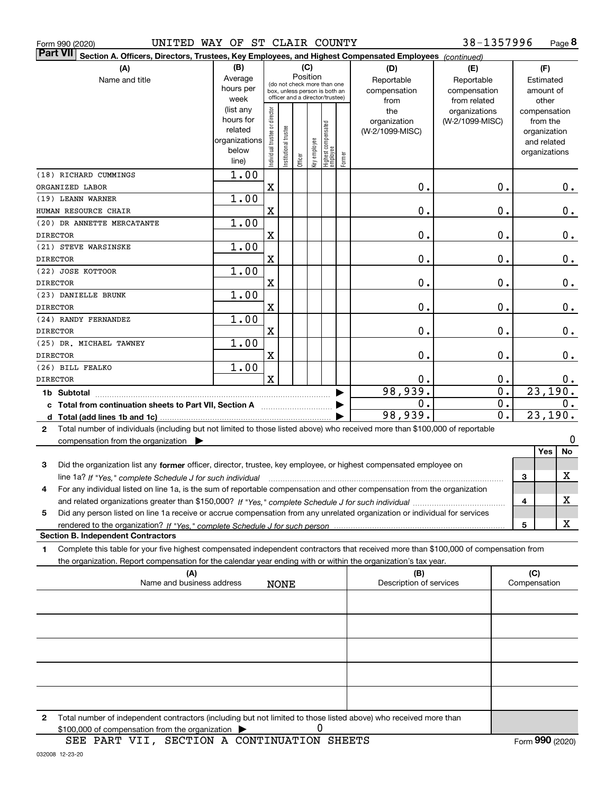| UNITED WAY OF ST CLAIR COUNTY<br>Form 990 (2020)                                                                                                |               |                                |                        |                                                              |              |                                 |        |                         | 38-1357996       |                  |               | Page 8  |
|-------------------------------------------------------------------------------------------------------------------------------------------------|---------------|--------------------------------|------------------------|--------------------------------------------------------------|--------------|---------------------------------|--------|-------------------------|------------------|------------------|---------------|---------|
| <b>Part VII</b><br>Section A. Officers, Directors, Trustees, Key Employees, and Highest Compensated Employees (continued)                       |               |                                |                        |                                                              |              |                                 |        |                         |                  |                  |               |         |
| (A)                                                                                                                                             | (B)           |                                |                        | (C)                                                          |              |                                 |        | (D)                     | (E)              |                  | (F)           |         |
| Name and title                                                                                                                                  | Average       |                                |                        | Position                                                     |              |                                 |        | Reportable              | Reportable       |                  | Estimated     |         |
|                                                                                                                                                 | hours per     |                                |                        | (do not check more than one<br>box, unless person is both an |              |                                 |        | compensation            | compensation     |                  | amount of     |         |
|                                                                                                                                                 | week          |                                |                        | officer and a director/trustee)                              |              |                                 |        | from                    | from related     |                  | other         |         |
|                                                                                                                                                 | (list any     |                                |                        |                                                              |              |                                 |        | the                     | organizations    |                  | compensation  |         |
|                                                                                                                                                 | hours for     |                                |                        |                                                              |              |                                 |        | organization            | (W-2/1099-MISC)  |                  | from the      |         |
|                                                                                                                                                 | related       |                                |                        |                                                              |              |                                 |        | (W-2/1099-MISC)         |                  |                  | organization  |         |
|                                                                                                                                                 | organizations |                                |                        |                                                              |              |                                 |        |                         |                  |                  | and related   |         |
|                                                                                                                                                 | below         | Individual trustee or director | In stitutional trustee |                                                              | key employee | Highest compensated<br>employee |        |                         |                  |                  | organizations |         |
|                                                                                                                                                 | line)         |                                |                        | Officer                                                      |              |                                 | Former |                         |                  |                  |               |         |
| (18) RICHARD CUMMINGS                                                                                                                           | 1.00          |                                |                        |                                                              |              |                                 |        |                         |                  |                  |               |         |
| ORGANIZED LABOR                                                                                                                                 |               | $\mathbf X$                    |                        |                                                              |              |                                 |        | $\mathbf 0$ .           | $\mathbf 0$ .    |                  |               | 0.      |
| (19) LEANN WARNER                                                                                                                               | 1.00          |                                |                        |                                                              |              |                                 |        |                         |                  |                  |               |         |
| HUMAN RESOURCE CHAIR                                                                                                                            |               | $\mathbf X$                    |                        |                                                              |              |                                 |        | $\mathbf 0$ .           | 0.               |                  |               | $0$ .   |
| (20) DR ANNETTE MERCATANTE                                                                                                                      | 1.00          |                                |                        |                                                              |              |                                 |        |                         |                  |                  |               |         |
| <b>DIRECTOR</b>                                                                                                                                 |               | $\mathbf X$                    |                        |                                                              |              |                                 |        | $\mathbf 0$ .           | 0.               |                  |               | $0$ .   |
| (21) STEVE WARSINSKE                                                                                                                            | 1.00          |                                |                        |                                                              |              |                                 |        |                         |                  |                  |               |         |
| <b>DIRECTOR</b>                                                                                                                                 |               | $\mathbf X$                    |                        |                                                              |              |                                 |        | $\mathbf 0$ .           | 0.               |                  |               | $0$ .   |
|                                                                                                                                                 |               |                                |                        |                                                              |              |                                 |        |                         |                  |                  |               |         |
| (22) JOSE KOTTOOR                                                                                                                               | 1.00          |                                |                        |                                                              |              |                                 |        |                         |                  |                  |               |         |
| <b>DIRECTOR</b>                                                                                                                                 |               | $\mathbf X$                    |                        |                                                              |              |                                 |        | $\mathbf 0$ .           | 0.               |                  |               | $0$ .   |
| (23) DANIELLE BRUNK                                                                                                                             | 1.00          |                                |                        |                                                              |              |                                 |        |                         |                  |                  |               |         |
| <b>DIRECTOR</b>                                                                                                                                 |               | $\mathbf X$                    |                        |                                                              |              |                                 |        | $\mathbf 0$ .           | 0.               |                  |               | $0$ .   |
| (24) RANDY FERNANDEZ                                                                                                                            | 1.00          |                                |                        |                                                              |              |                                 |        |                         |                  |                  |               |         |
| <b>DIRECTOR</b>                                                                                                                                 |               | $\mathbf X$                    |                        |                                                              |              |                                 |        | $\mathbf 0$ .           | 0.               |                  |               | 0.      |
| (25) DR. MICHAEL TAWNEY                                                                                                                         | 1.00          |                                |                        |                                                              |              |                                 |        |                         |                  |                  |               |         |
| <b>DIRECTOR</b>                                                                                                                                 |               | $\mathbf X$                    |                        |                                                              |              |                                 |        | $\mathbf 0$ .           | 0.               |                  |               | 0.      |
| (26) BILL FEALKO                                                                                                                                | 1.00          |                                |                        |                                                              |              |                                 |        |                         |                  |                  |               |         |
|                                                                                                                                                 |               | $\mathbf x$                    |                        |                                                              |              |                                 |        | 0.                      | 0.               |                  |               |         |
| <b>DIRECTOR</b>                                                                                                                                 |               |                                |                        |                                                              |              |                                 |        |                         |                  |                  |               | 0.      |
| 1b Subtotal                                                                                                                                     |               |                                |                        |                                                              |              |                                 |        | 98,939.                 |                  | $\overline{0}$ . |               | 23,190. |
| c Total from continuation sheets to Part VII, Section A                                                                                         |               |                                |                        |                                                              |              |                                 |        | 0.                      |                  | $\overline{0}$ . |               | 0.      |
|                                                                                                                                                 |               |                                |                        |                                                              |              |                                 |        | 98,939.                 | $\overline{0}$ . |                  |               | 23,190. |
| Total number of individuals (including but not limited to those listed above) who received more than \$100,000 of reportable<br>$\mathbf{2}$    |               |                                |                        |                                                              |              |                                 |        |                         |                  |                  |               |         |
| compensation from the organization $\blacktriangleright$                                                                                        |               |                                |                        |                                                              |              |                                 |        |                         |                  |                  |               | 0       |
|                                                                                                                                                 |               |                                |                        |                                                              |              |                                 |        |                         |                  |                  | Yes           | No      |
| Did the organization list any former officer, director, trustee, key employee, or highest compensated employee on<br>3                          |               |                                |                        |                                                              |              |                                 |        |                         |                  |                  |               |         |
|                                                                                                                                                 |               |                                |                        |                                                              |              |                                 |        |                         |                  |                  | 3             | X       |
| line 1a? If "Yes," complete Schedule J for such individual manufactured contained and the 1a? If "Yes," complete Schedule J for such individual |               |                                |                        |                                                              |              |                                 |        |                         |                  |                  |               |         |
| For any individual listed on line 1a, is the sum of reportable compensation and other compensation from the organization<br>4                   |               |                                |                        |                                                              |              |                                 |        |                         |                  |                  |               | х       |
|                                                                                                                                                 |               |                                |                        |                                                              |              |                                 |        |                         |                  |                  | 4             |         |
| Did any person listed on line 1a receive or accrue compensation from any unrelated organization or individual for services<br>5                 |               |                                |                        |                                                              |              |                                 |        |                         |                  |                  |               |         |
|                                                                                                                                                 |               |                                |                        |                                                              |              |                                 |        |                         |                  |                  | 5             | X       |
| <b>Section B. Independent Contractors</b>                                                                                                       |               |                                |                        |                                                              |              |                                 |        |                         |                  |                  |               |         |
| Complete this table for your five highest compensated independent contractors that received more than \$100,000 of compensation from<br>1       |               |                                |                        |                                                              |              |                                 |        |                         |                  |                  |               |         |
| the organization. Report compensation for the calendar year ending with or within the organization's tax year.                                  |               |                                |                        |                                                              |              |                                 |        |                         |                  |                  |               |         |
| (A)                                                                                                                                             |               |                                |                        |                                                              |              |                                 |        | (B)                     |                  |                  | (C)           |         |
| Name and business address                                                                                                                       |               |                                | <b>NONE</b>            |                                                              |              |                                 |        | Description of services |                  |                  | Compensation  |         |
|                                                                                                                                                 |               |                                |                        |                                                              |              |                                 |        |                         |                  |                  |               |         |
|                                                                                                                                                 |               |                                |                        |                                                              |              |                                 |        |                         |                  |                  |               |         |
|                                                                                                                                                 |               |                                |                        |                                                              |              |                                 |        |                         |                  |                  |               |         |
|                                                                                                                                                 |               |                                |                        |                                                              |              |                                 |        |                         |                  |                  |               |         |
|                                                                                                                                                 |               |                                |                        |                                                              |              |                                 |        |                         |                  |                  |               |         |
|                                                                                                                                                 |               |                                |                        |                                                              |              |                                 |        |                         |                  |                  |               |         |
|                                                                                                                                                 |               |                                |                        |                                                              |              |                                 |        |                         |                  |                  |               |         |
|                                                                                                                                                 |               |                                |                        |                                                              |              |                                 |        |                         |                  |                  |               |         |
|                                                                                                                                                 |               |                                |                        |                                                              |              |                                 |        |                         |                  |                  |               |         |
|                                                                                                                                                 |               |                                |                        |                                                              |              |                                 |        |                         |                  |                  |               |         |
|                                                                                                                                                 |               |                                |                        |                                                              |              |                                 |        |                         |                  |                  |               |         |
| Total number of independent contractors (including but not limited to those listed above) who received more than<br>2                           |               |                                |                        |                                                              |              |                                 |        |                         |                  |                  |               |         |
| \$100,000 of compensation from the organization                                                                                                 |               |                                |                        |                                                              | 0            |                                 |        |                         |                  |                  |               |         |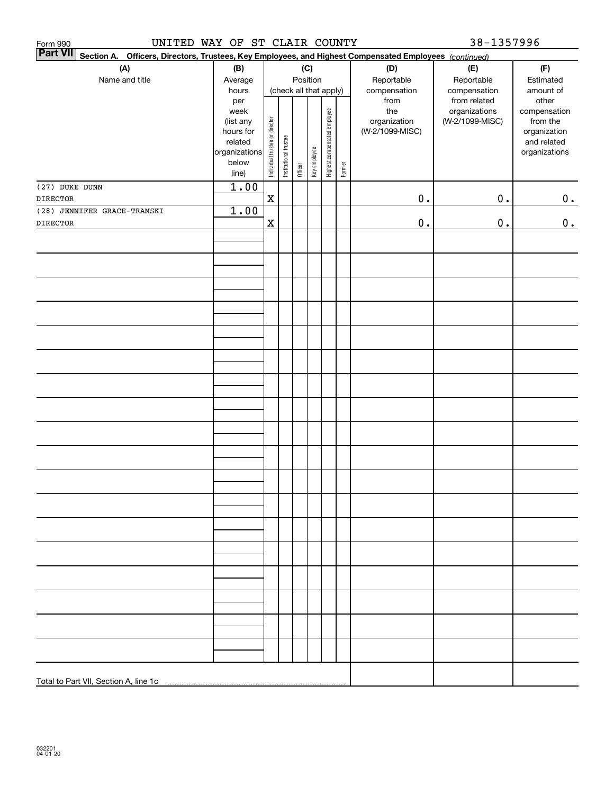| UNITED WAY OF ST CLAIR COUNTY<br>Form 990                                                                                 |                   |                                |                       |         |              |                              |        |                     | 38-1357996                       |                          |
|---------------------------------------------------------------------------------------------------------------------------|-------------------|--------------------------------|-----------------------|---------|--------------|------------------------------|--------|---------------------|----------------------------------|--------------------------|
| <b>Part VII</b><br>Section A. Officers, Directors, Trustees, Key Employees, and Highest Compensated Employees (continued) |                   |                                |                       |         |              |                              |        |                     |                                  |                          |
| (A)                                                                                                                       | (B)               |                                |                       |         | (C)          |                              |        | (D)                 | (E)                              | (F)                      |
| Name and title                                                                                                            | Average           |                                |                       |         | Position     |                              |        | Reportable          | Reportable                       | Estimated                |
|                                                                                                                           | hours             |                                |                       |         |              | (check all that apply)       |        | compensation        | compensation                     | amount of                |
|                                                                                                                           | per               |                                |                       |         |              |                              |        | from                | from related                     | other                    |
|                                                                                                                           | week<br>(list any |                                |                       |         |              |                              |        | the<br>organization | organizations<br>(W-2/1099-MISC) | compensation<br>from the |
|                                                                                                                           | hours for         |                                |                       |         |              |                              |        | (W-2/1099-MISC)     |                                  | organization             |
|                                                                                                                           | related           |                                |                       |         |              |                              |        |                     |                                  | and related              |
|                                                                                                                           | organizations     | Individual trustee or director | Institutional trustee |         | Key employee | Highest compensated employee |        |                     |                                  | organizations            |
|                                                                                                                           | below             |                                |                       | Officer |              |                              | Former |                     |                                  |                          |
|                                                                                                                           | line)             |                                |                       |         |              |                              |        |                     |                                  |                          |
| (27) DUKE DUNN                                                                                                            | 1.00              |                                |                       |         |              |                              |        |                     |                                  |                          |
| <b>DIRECTOR</b>                                                                                                           |                   | $\mathbf x$                    |                       |         |              |                              |        | $0$ .               | $0$ .                            | 0.                       |
| (28) JENNIFER GRACE-TRAMSKI                                                                                               | 1.00              |                                |                       |         |              |                              |        |                     |                                  |                          |
| <b>DIRECTOR</b>                                                                                                           |                   | $\mathbf x$                    |                       |         |              |                              |        | $0$ .               | $\mathbf 0$ .                    | 0.                       |
|                                                                                                                           |                   |                                |                       |         |              |                              |        |                     |                                  |                          |
|                                                                                                                           |                   |                                |                       |         |              |                              |        |                     |                                  |                          |
|                                                                                                                           |                   |                                |                       |         |              |                              |        |                     |                                  |                          |
|                                                                                                                           |                   |                                |                       |         |              |                              |        |                     |                                  |                          |
|                                                                                                                           |                   |                                |                       |         |              |                              |        |                     |                                  |                          |
|                                                                                                                           |                   |                                |                       |         |              |                              |        |                     |                                  |                          |
|                                                                                                                           |                   |                                |                       |         |              |                              |        |                     |                                  |                          |
|                                                                                                                           |                   |                                |                       |         |              |                              |        |                     |                                  |                          |
|                                                                                                                           |                   |                                |                       |         |              |                              |        |                     |                                  |                          |
|                                                                                                                           |                   |                                |                       |         |              |                              |        |                     |                                  |                          |
|                                                                                                                           |                   |                                |                       |         |              |                              |        |                     |                                  |                          |
|                                                                                                                           |                   |                                |                       |         |              |                              |        |                     |                                  |                          |
|                                                                                                                           |                   |                                |                       |         |              |                              |        |                     |                                  |                          |
|                                                                                                                           |                   |                                |                       |         |              |                              |        |                     |                                  |                          |
|                                                                                                                           |                   |                                |                       |         |              |                              |        |                     |                                  |                          |
|                                                                                                                           |                   |                                |                       |         |              |                              |        |                     |                                  |                          |
|                                                                                                                           |                   |                                |                       |         |              |                              |        |                     |                                  |                          |
|                                                                                                                           |                   |                                |                       |         |              |                              |        |                     |                                  |                          |
|                                                                                                                           |                   |                                |                       |         |              |                              |        |                     |                                  |                          |
|                                                                                                                           |                   |                                |                       |         |              |                              |        |                     |                                  |                          |
|                                                                                                                           |                   |                                |                       |         |              |                              |        |                     |                                  |                          |
|                                                                                                                           |                   |                                |                       |         |              |                              |        |                     |                                  |                          |
|                                                                                                                           |                   |                                |                       |         |              |                              |        |                     |                                  |                          |
|                                                                                                                           |                   |                                |                       |         |              |                              |        |                     |                                  |                          |
|                                                                                                                           |                   |                                |                       |         |              |                              |        |                     |                                  |                          |
|                                                                                                                           |                   |                                |                       |         |              |                              |        |                     |                                  |                          |
|                                                                                                                           |                   |                                |                       |         |              |                              |        |                     |                                  |                          |
|                                                                                                                           |                   |                                |                       |         |              |                              |        |                     |                                  |                          |
|                                                                                                                           |                   |                                |                       |         |              |                              |        |                     |                                  |                          |
|                                                                                                                           |                   |                                |                       |         |              |                              |        |                     |                                  |                          |
|                                                                                                                           |                   |                                |                       |         |              |                              |        |                     |                                  |                          |
|                                                                                                                           |                   |                                |                       |         |              |                              |        |                     |                                  |                          |
|                                                                                                                           |                   |                                |                       |         |              |                              |        |                     |                                  |                          |
|                                                                                                                           |                   |                                |                       |         |              |                              |        |                     |                                  |                          |
|                                                                                                                           |                   |                                |                       |         |              |                              |        |                     |                                  |                          |
|                                                                                                                           |                   |                                |                       |         |              |                              |        |                     |                                  |                          |
|                                                                                                                           |                   |                                |                       |         |              |                              |        |                     |                                  |                          |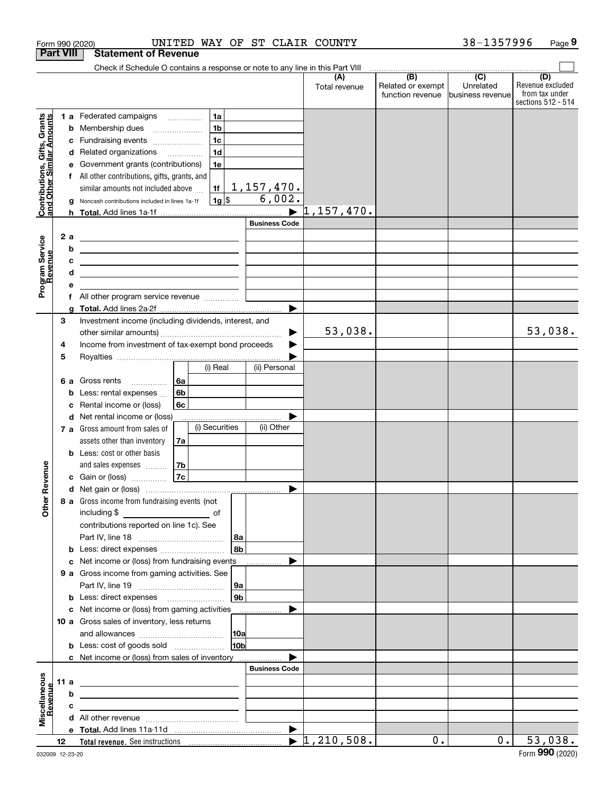|                                                           | Form 990 (2020)  |                                                                                                                                                                                                           |                                                        | UNITED WAY OF ST CLAIR COUNTY |                                     |                          | 38-1357996                  | Page 9                  |
|-----------------------------------------------------------|------------------|-----------------------------------------------------------------------------------------------------------------------------------------------------------------------------------------------------------|--------------------------------------------------------|-------------------------------|-------------------------------------|--------------------------|-----------------------------|-------------------------|
|                                                           | <b>Part VIII</b> | <b>Statement of Revenue</b>                                                                                                                                                                               |                                                        |                               |                                     |                          |                             |                         |
|                                                           |                  | Check if Schedule O contains a response or note to any line in this Part VIII                                                                                                                             |                                                        |                               |                                     |                          |                             |                         |
|                                                           |                  |                                                                                                                                                                                                           |                                                        |                               | (A)<br>Total revenue                | (B)<br>Related or exempt | $\overline{C}$<br>Unrelated | (D)<br>Revenue excluded |
|                                                           |                  |                                                                                                                                                                                                           |                                                        |                               |                                     | function revenue         | business revenue            | from tax under          |
|                                                           |                  |                                                                                                                                                                                                           |                                                        |                               |                                     |                          |                             | sections 512 - 514      |
| Contributions, Gifts, Grants<br>and Other Similar Amounts |                  | 1 a Federated campaigns                                                                                                                                                                                   | 1a                                                     |                               |                                     |                          |                             |                         |
|                                                           |                  | <b>b</b> Membership dues                                                                                                                                                                                  | 1 <sub>b</sub><br>$\ldots \ldots \ldots \ldots \ldots$ |                               |                                     |                          |                             |                         |
|                                                           | с                | Fundraising events                                                                                                                                                                                        | 1 <sub>c</sub>                                         |                               |                                     |                          |                             |                         |
|                                                           |                  | d Related organizations                                                                                                                                                                                   | 1 <sub>d</sub>                                         |                               |                                     |                          |                             |                         |
|                                                           | е                | Government grants (contributions)                                                                                                                                                                         | 1e                                                     |                               |                                     |                          |                             |                         |
|                                                           |                  | All other contributions, gifts, grants, and                                                                                                                                                               |                                                        | $1,157,470$ .                 |                                     |                          |                             |                         |
|                                                           |                  | similar amounts not included above                                                                                                                                                                        | 1f<br>$1g$ \$                                          | 6,002.                        |                                     |                          |                             |                         |
|                                                           |                  | Noncash contributions included in lines 1a-1f                                                                                                                                                             |                                                        |                               | $\blacktriangleright$ $1,157,470$ . |                          |                             |                         |
|                                                           |                  |                                                                                                                                                                                                           |                                                        | <b>Business Code</b>          |                                     |                          |                             |                         |
|                                                           | 2a               |                                                                                                                                                                                                           |                                                        |                               |                                     |                          |                             |                         |
|                                                           | b                | <u> 1989 - Johann Barnett, fransk politiker (d. 1989)</u>                                                                                                                                                 |                                                        |                               |                                     |                          |                             |                         |
|                                                           | c                | <u> 1980 - Johann Barn, mars ann an t-Amhain Aonaich ann an t-Aonaich ann an t-Aonaich ann an t-Aonaich ann an t-</u>                                                                                     |                                                        |                               |                                     |                          |                             |                         |
|                                                           | d                | <u> 1989 - Andrea Aonaich, ann an t-Aonaich an t-Aonaich an t-Aonaich an t-Aonaich an t-Aonaich an t-Aonaich an t-</u><br>the contract of the contract of the contract of the contract of the contract of |                                                        |                               |                                     |                          |                             |                         |
| Program Service<br>Revenue                                | е                |                                                                                                                                                                                                           |                                                        |                               |                                     |                          |                             |                         |
|                                                           | f                | All other program service revenue                                                                                                                                                                         |                                                        |                               |                                     |                          |                             |                         |
|                                                           | a                |                                                                                                                                                                                                           |                                                        | $\blacktriangleright$         |                                     |                          |                             |                         |
|                                                           | 3                | Investment income (including dividends, interest, and                                                                                                                                                     |                                                        |                               |                                     |                          |                             |                         |
|                                                           |                  |                                                                                                                                                                                                           |                                                        |                               | 53,038.                             |                          |                             | 53,038.                 |
|                                                           | 4                | Income from investment of tax-exempt bond proceeds                                                                                                                                                        |                                                        |                               |                                     |                          |                             |                         |
|                                                           | 5                |                                                                                                                                                                                                           |                                                        |                               |                                     |                          |                             |                         |
|                                                           |                  |                                                                                                                                                                                                           | (i) Real                                               | (ii) Personal                 |                                     |                          |                             |                         |
|                                                           |                  | 6 a Gross rents<br>.                                                                                                                                                                                      | 6a                                                     |                               |                                     |                          |                             |                         |
|                                                           | b                | Less: rental expenses                                                                                                                                                                                     | 6 <sub>b</sub>                                         |                               |                                     |                          |                             |                         |
|                                                           | c                | Rental income or (loss)                                                                                                                                                                                   | 6c                                                     |                               |                                     |                          |                             |                         |
|                                                           |                  | d Net rental income or (loss)                                                                                                                                                                             |                                                        |                               |                                     |                          |                             |                         |
|                                                           |                  | 7 a Gross amount from sales of                                                                                                                                                                            | (i) Securities                                         | (ii) Other                    |                                     |                          |                             |                         |
|                                                           |                  | assets other than inventory                                                                                                                                                                               | 7a                                                     |                               |                                     |                          |                             |                         |
|                                                           |                  | <b>b</b> Less: cost or other basis                                                                                                                                                                        |                                                        |                               |                                     |                          |                             |                         |
| venue                                                     |                  | and sales expenses                                                                                                                                                                                        | 7b<br>7c                                               |                               |                                     |                          |                             |                         |
|                                                           |                  | c Gain or (loss)                                                                                                                                                                                          |                                                        |                               |                                     |                          |                             |                         |
|                                                           |                  |                                                                                                                                                                                                           |                                                        |                               |                                     |                          |                             |                         |
| Other Re                                                  |                  | 8 a Gross income from fundraising events (not                                                                                                                                                             |                                                        |                               |                                     |                          |                             |                         |
|                                                           |                  | contributions reported on line 1c). See                                                                                                                                                                   |                                                        |                               |                                     |                          |                             |                         |
|                                                           |                  |                                                                                                                                                                                                           |                                                        | 8a                            |                                     |                          |                             |                         |
|                                                           |                  | <b>b</b> Less: direct expenses                                                                                                                                                                            |                                                        | 8b                            |                                     |                          |                             |                         |
|                                                           | c                | Net income or (loss) from fundraising events                                                                                                                                                              |                                                        | .                             |                                     |                          |                             |                         |
|                                                           |                  | 9 a Gross income from gaming activities. See                                                                                                                                                              |                                                        |                               |                                     |                          |                             |                         |
|                                                           |                  |                                                                                                                                                                                                           |                                                        | 9a                            |                                     |                          |                             |                         |
|                                                           |                  |                                                                                                                                                                                                           |                                                        | 9b                            |                                     |                          |                             |                         |
|                                                           |                  | c Net income or (loss) from gaming activities _______________                                                                                                                                             |                                                        |                               |                                     |                          |                             |                         |
|                                                           |                  | 10 a Gross sales of inventory, less returns                                                                                                                                                               |                                                        |                               |                                     |                          |                             |                         |
|                                                           |                  |                                                                                                                                                                                                           |                                                        | 10a                           |                                     |                          |                             |                         |
|                                                           |                  | <b>b</b> Less: cost of goods sold                                                                                                                                                                         |                                                        | 10b                           |                                     |                          |                             |                         |
|                                                           |                  | c Net income or (loss) from sales of inventory                                                                                                                                                            |                                                        |                               |                                     |                          |                             |                         |
|                                                           |                  |                                                                                                                                                                                                           |                                                        | <b>Business Code</b>          |                                     |                          |                             |                         |
| Miscellaneous<br>Revenue                                  | 11 a             |                                                                                                                                                                                                           |                                                        |                               |                                     |                          |                             |                         |
|                                                           | b                |                                                                                                                                                                                                           |                                                        |                               |                                     |                          |                             |                         |
|                                                           | c                |                                                                                                                                                                                                           |                                                        |                               |                                     |                          |                             |                         |
|                                                           |                  |                                                                                                                                                                                                           |                                                        |                               |                                     |                          |                             |                         |
|                                                           |                  |                                                                                                                                                                                                           |                                                        |                               | $\blacktriangleright$ 1,210,508.    | 0.                       | 0.                          | 53,038.                 |
|                                                           | 12               |                                                                                                                                                                                                           |                                                        |                               |                                     |                          |                             |                         |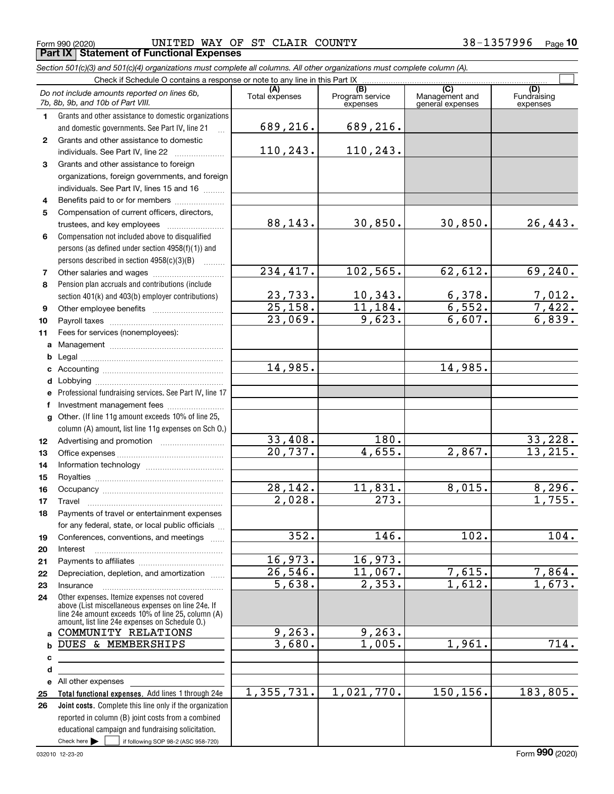|        | Form 990 (2020)<br><b>Part IX   Statement of Functional Expenses</b>                                                        | UNITED WAY OF ST CLAIR COUNTY |                             | 38-1357996                         | <u>Page</u> 10          |
|--------|-----------------------------------------------------------------------------------------------------------------------------|-------------------------------|-----------------------------|------------------------------------|-------------------------|
|        |                                                                                                                             |                               |                             |                                    |                         |
|        | Section 501(c)(3) and 501(c)(4) organizations must complete all columns. All other organizations must complete column (A).  |                               |                             |                                    |                         |
|        | Check if Schedule O contains a response or note to any line in this Part IX<br>Do not include amounts reported on lines 6b, | (A)                           | (B)                         | $\overline{\text{(C)}}$            | (D)                     |
|        | 7b, 8b, 9b, and 10b of Part VIII.                                                                                           | Total expenses                | Program service<br>expenses | Management and<br>general expenses | Fundraising<br>expenses |
| 1      | Grants and other assistance to domestic organizations                                                                       |                               |                             |                                    |                         |
|        | and domestic governments. See Part IV, line 21                                                                              | 689,216.                      | 689,216.                    |                                    |                         |
| 2      | Grants and other assistance to domestic                                                                                     |                               |                             |                                    |                         |
|        | individuals. See Part IV, line 22                                                                                           | 110,243.                      | 110,243.                    |                                    |                         |
| 3      | Grants and other assistance to foreign                                                                                      |                               |                             |                                    |                         |
|        | organizations, foreign governments, and foreign                                                                             |                               |                             |                                    |                         |
|        | individuals. See Part IV, lines 15 and 16                                                                                   |                               |                             |                                    |                         |
| 4      | Benefits paid to or for members                                                                                             |                               |                             |                                    |                         |
| 5      | Compensation of current officers, directors,                                                                                |                               |                             |                                    |                         |
|        | trustees, and key employees                                                                                                 | 88,143.                       | 30,850.                     | 30,850.                            | 26,443.                 |
| 6      | Compensation not included above to disqualified                                                                             |                               |                             |                                    |                         |
|        | persons (as defined under section 4958(f)(1)) and                                                                           |                               |                             |                                    |                         |
|        | persons described in section $4958(c)(3)(B)$<br>$\sim$                                                                      |                               |                             |                                    |                         |
| 7      |                                                                                                                             | 234,417.                      | 102, 565.                   | 62,612.                            | 69,240.                 |
| 8      | Pension plan accruals and contributions (include                                                                            |                               |                             |                                    |                         |
|        | section 401(k) and 403(b) employer contributions)                                                                           | 23,733.                       | 10, 343.                    | 6,378.                             | <u>7,012.</u>           |
| 9      |                                                                                                                             | 25,158.                       | 11,184.                     | 6,552.                             | 7,422.<br>6,839.        |
| 10     |                                                                                                                             | 23,069.                       | 9,623.                      | 6,607.                             |                         |
| 11     | Fees for services (nonemployees):                                                                                           |                               |                             |                                    |                         |
|        |                                                                                                                             |                               |                             |                                    |                         |
| b      |                                                                                                                             | 14,985.                       |                             | 14,985.                            |                         |
| c<br>d |                                                                                                                             |                               |                             |                                    |                         |
|        | e Professional fundraising services. See Part IV, line 17                                                                   |                               |                             |                                    |                         |
| f      | Investment management fees                                                                                                  |                               |                             |                                    |                         |
|        | g Other. (If line 11g amount exceeds 10% of line 25,                                                                        |                               |                             |                                    |                         |
|        | column (A) amount, list line 11g expenses on Sch O.)                                                                        |                               |                             |                                    |                         |
| 12     |                                                                                                                             | 33,408.                       | 180.                        |                                    | 33,228.                 |
| 13     |                                                                                                                             | $\overline{20, 737}$ .        | 4,655.                      | 2,867.                             | 13, 215.                |
| 14     |                                                                                                                             |                               |                             |                                    |                         |
| 15     |                                                                                                                             |                               |                             |                                    |                         |
| 16     |                                                                                                                             | 28, 142.                      | 11,831.                     | 8,015.                             | 8,296.                  |
| 17     | Travel                                                                                                                      | 2,028.                        | 273.                        |                                    | 1,755.                  |
| 18     | Payments of travel or entertainment expenses                                                                                |                               |                             |                                    |                         |
|        | for any federal, state, or local public officials                                                                           |                               |                             |                                    |                         |
| 19     | Conferences, conventions, and meetings                                                                                      | 352.                          | 146.                        | 102.                               | 104.                    |
| 20     | Interest                                                                                                                    |                               |                             |                                    |                         |
| 21     |                                                                                                                             | 16,973.                       | 16,973.                     |                                    |                         |
| 22     | Depreciation, depletion, and amortization                                                                                   | 26,546.                       | 11,067.                     | 7,615.<br>1,612.                   | 7,864.                  |
| 23     | Insurance                                                                                                                   | 5,638.                        | 2,353.                      |                                    | 1,673.                  |
| 24     | Other expenses. Itemize expenses not covered<br>above (List miscellaneous expenses on line 24e. If                          |                               |                             |                                    |                         |
|        | line 24e amount exceeds 10% of line 25, column (A)                                                                          |                               |                             |                                    |                         |
|        | amount, list line 24e expenses on Schedule O.)<br>a COMMUNITY RELATIONS                                                     | 9, 263.                       | 9, 263.                     |                                    |                         |
| b      | DUES & MEMBERSHIPS                                                                                                          | 3,680.                        | 1,005.                      | 1,961.                             | 714.                    |
| c      |                                                                                                                             |                               |                             |                                    |                         |
| d      |                                                                                                                             |                               |                             |                                    |                         |
|        | e All other expenses                                                                                                        |                               |                             |                                    |                         |
| 25     | Total functional expenses. Add lines 1 through 24e                                                                          | 1,355,731.                    | 1,021,770.                  | 150, 156.                          | 183,805.                |

Check here  $\blacktriangleright$ 

**26**

Check here  $\bullet$  if following SOP 98-2 (ASC 958-720)

reported in column (B) joint costs from a combined educational campaign and fundraising solicitation.

**Joint costs.** Complete this line only if the organization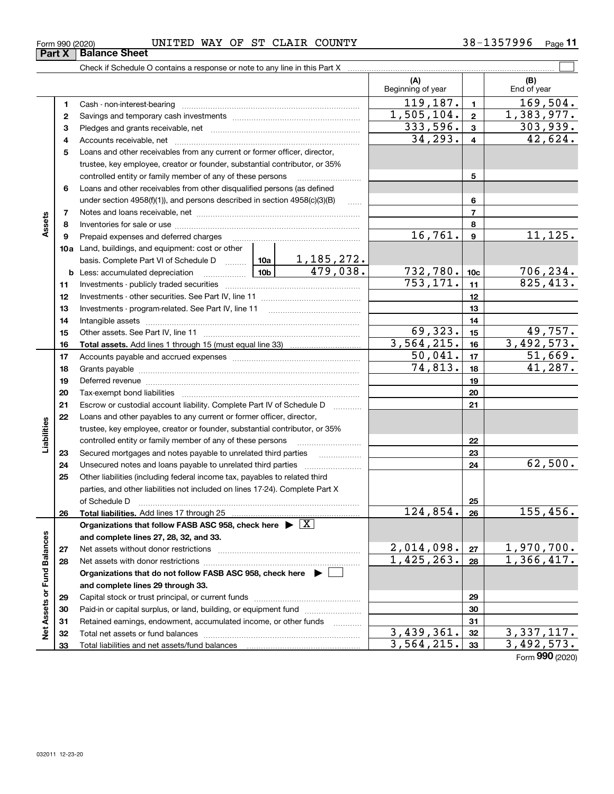| Form 990 (2020) | UNITED | WAY | OF | ST | CLAIR | COUNTY | <b>157996</b><br>$38 -$<br>-25<br>ر ر | Page |  |
|-----------------|--------|-----|----|----|-------|--------|---------------------------------------|------|--|
|                 |        |     |    |    |       |        |                                       |      |  |

|                             |    |                                                                                            |                                                            |                               | (A)<br>Beginning of year |                | (B)<br>End of year |
|-----------------------------|----|--------------------------------------------------------------------------------------------|------------------------------------------------------------|-------------------------------|--------------------------|----------------|--------------------|
|                             | 1  |                                                                                            |                                                            |                               | 119,187.                 | $\mathbf{1}$   | 169,504.           |
|                             | 2  |                                                                                            |                                                            |                               | 1,505,104.               | $\mathbf{2}$   | 1,383,977.         |
|                             | з  |                                                                                            |                                                            |                               | 333,596.                 | $\mathbf{3}$   | 303,939.           |
|                             | 4  |                                                                                            |                                                            |                               | 34, 293.                 | $\overline{4}$ | 42,624.            |
|                             | 5  | Loans and other receivables from any current or former officer, director,                  |                                                            |                               |                          |                |                    |
|                             |    | trustee, key employee, creator or founder, substantial contributor, or 35%                 |                                                            |                               |                          |                |                    |
|                             |    |                                                                                            | controlled entity or family member of any of these persons |                               |                          |                |                    |
|                             | 6  | Loans and other receivables from other disqualified persons (as defined                    |                                                            |                               |                          |                |                    |
|                             |    | under section $4958(f)(1)$ , and persons described in section $4958(c)(3)(B)$              |                                                            | $\ldots$                      |                          | 6              |                    |
|                             | 7  |                                                                                            |                                                            |                               |                          | $\overline{7}$ |                    |
| Assets                      | 8  |                                                                                            |                                                            |                               |                          | 8              |                    |
|                             | 9  | Prepaid expenses and deferred charges                                                      |                                                            |                               | 16,761.                  | 9              | 11,125.            |
|                             |    | <b>10a</b> Land, buildings, and equipment: cost or other                                   |                                                            |                               |                          |                |                    |
|                             |    | basis. Complete Part VI of Schedule D  10a                                                 |                                                            | <u>1,185,272.</u><br>479,038. |                          |                |                    |
|                             |    | <b>b</b> Less: accumulated depreciation                                                    | 732,780.                                                   | 10 <sub>c</sub>               | 706,234.                 |                |                    |
|                             | 11 |                                                                                            | 753, 171.                                                  | 11                            | 825,413.                 |                |                    |
|                             | 12 |                                                                                            |                                                            | 12                            |                          |                |                    |
|                             | 13 |                                                                                            |                                                            | 13                            |                          |                |                    |
|                             | 14 |                                                                                            |                                                            | 14                            |                          |                |                    |
|                             | 15 |                                                                                            | 69,323.                                                    | 15                            | 49,757.                  |                |                    |
|                             | 16 |                                                                                            | 3,564,215.                                                 | 16                            | 3,492,573.               |                |                    |
|                             | 17 |                                                                                            | 50,041.                                                    | 17                            | 51,669.                  |                |                    |
|                             | 18 |                                                                                            |                                                            |                               | 74,813.                  | 18             | 41,287.            |
|                             | 19 |                                                                                            |                                                            |                               |                          | 19             |                    |
|                             | 20 |                                                                                            |                                                            |                               |                          | 20             |                    |
|                             | 21 | Escrow or custodial account liability. Complete Part IV of Schedule D                      |                                                            |                               |                          | 21             |                    |
|                             | 22 | Loans and other payables to any current or former officer, director,                       |                                                            |                               |                          |                |                    |
| Liabilities                 |    | trustee, key employee, creator or founder, substantial contributor, or 35%                 |                                                            |                               |                          |                |                    |
|                             |    | controlled entity or family member of any of these persons                                 |                                                            |                               |                          | 22             |                    |
|                             | 23 | Secured mortgages and notes payable to unrelated third parties                             |                                                            |                               |                          | 23             |                    |
|                             | 24 |                                                                                            |                                                            |                               |                          | 24             | 62,500.            |
|                             | 25 | Other liabilities (including federal income tax, payables to related third                 |                                                            |                               |                          |                |                    |
|                             |    | parties, and other liabilities not included on lines 17-24). Complete Part X               |                                                            |                               |                          |                |                    |
|                             |    | of Schedule D <b>contract the contract of Schedule D</b>                                   |                                                            | 25                            |                          |                |                    |
|                             | 26 |                                                                                            |                                                            |                               | 124,854.                 | 26             | 155,456.           |
|                             |    | Organizations that follow FASB ASC 958, check here $\blacktriangleright \lfloor X \rfloor$ |                                                            |                               |                          |                |                    |
|                             |    | and complete lines 27, 28, 32, and 33.                                                     |                                                            |                               |                          |                |                    |
|                             | 27 |                                                                                            |                                                            |                               | 2,014,098.               | 27             | <u>1,970,700.</u>  |
|                             | 28 |                                                                                            | 1,425,263.                                                 | 28                            | 1,366,417.               |                |                    |
|                             |    | Organizations that do not follow FASB ASC 958, check here ▶ □                              |                                                            |                               |                          |                |                    |
| Net Assets or Fund Balances |    | and complete lines 29 through 33.                                                          |                                                            |                               |                          |                |                    |
|                             | 29 |                                                                                            |                                                            |                               |                          | 29             |                    |
|                             | 30 | Paid-in or capital surplus, or land, building, or equipment fund                           |                                                            |                               |                          | 30             |                    |
|                             | 31 | Retained earnings, endowment, accumulated income, or other funds                           |                                                            |                               |                          | 31             |                    |
|                             | 32 |                                                                                            |                                                            |                               | 3,439,361.               | 32             | 3, 337, 117.       |
|                             | 33 |                                                                                            |                                                            |                               | 3,564,215.               | 33             | 3,492,573.         |

Form (2020) **990**

| orm 990 (2020) |                        | UNI |
|----------------|------------------------|-----|
|                | Part X   Balance Sheet |     |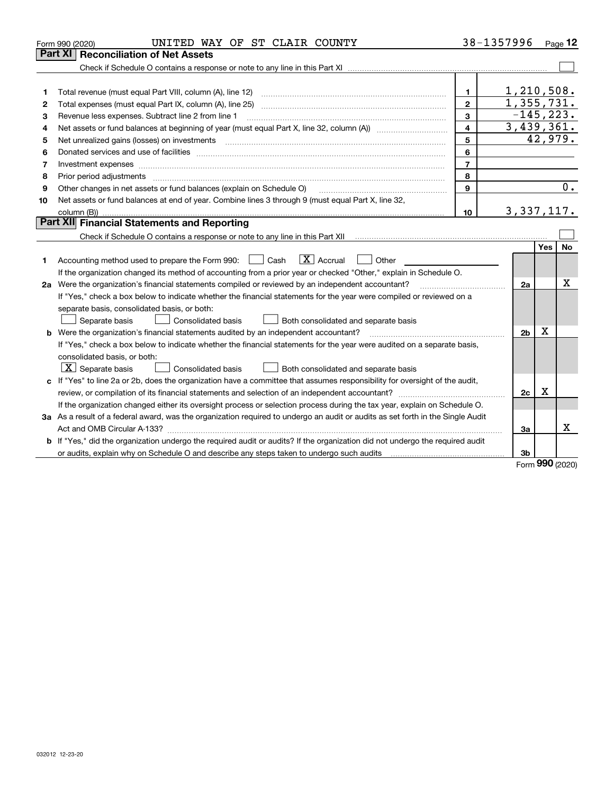|    | UNITED WAY OF ST CLAIR COUNTY<br>Form 990 (2020)                                                                                                                                                                              | 38-1357996     |                |            | Page $12$ |
|----|-------------------------------------------------------------------------------------------------------------------------------------------------------------------------------------------------------------------------------|----------------|----------------|------------|-----------|
|    | Part XI<br><b>Reconciliation of Net Assets</b>                                                                                                                                                                                |                |                |            |           |
|    |                                                                                                                                                                                                                               |                |                |            |           |
|    |                                                                                                                                                                                                                               |                |                |            |           |
| 1  |                                                                                                                                                                                                                               | 1              | 1,210,508.     |            |           |
| 2  | Total expenses (must equal Part IX, column (A), line 25)                                                                                                                                                                      | $\mathbf{2}$   | 1,355,731.     |            |           |
| 3  | Revenue less expenses. Subtract line 2 from line 1                                                                                                                                                                            | 3              | $-145, 223.$   |            |           |
| 4  |                                                                                                                                                                                                                               | 4              | 3,439,361.     |            |           |
| 5  | Net unrealized gains (losses) on investments                                                                                                                                                                                  | 5              |                | 42,979.    |           |
| 6  |                                                                                                                                                                                                                               | 6              |                |            |           |
| 7  |                                                                                                                                                                                                                               | $\overline{7}$ |                |            |           |
| 8  | Prior period adjustments                                                                                                                                                                                                      | 8              |                |            |           |
| 9  | Other changes in net assets or fund balances (explain on Schedule O)                                                                                                                                                          | $\mathbf{9}$   |                |            | 0.        |
| 10 | Net assets or fund balances at end of year. Combine lines 3 through 9 (must equal Part X, line 32,                                                                                                                            |                |                |            |           |
|    |                                                                                                                                                                                                                               | 10             | 3, 337, 117.   |            |           |
|    | Part XII Financial Statements and Reporting                                                                                                                                                                                   |                |                |            |           |
|    |                                                                                                                                                                                                                               |                |                |            |           |
|    |                                                                                                                                                                                                                               |                |                | <b>Yes</b> | <b>No</b> |
| 1  | $\boxed{\text{X}}$ Accrual<br>Accounting method used to prepare the Form 990: <u>June</u> Cash<br>Other                                                                                                                       |                |                |            |           |
|    | If the organization changed its method of accounting from a prior year or checked "Other," explain in Schedule O.                                                                                                             |                |                |            |           |
|    | 2a Were the organization's financial statements compiled or reviewed by an independent accountant?                                                                                                                            |                | 2a             |            | х         |
|    | If "Yes," check a box below to indicate whether the financial statements for the year were compiled or reviewed on a                                                                                                          |                |                |            |           |
|    | separate basis, consolidated basis, or both:                                                                                                                                                                                  |                |                |            |           |
|    | Separate basis<br>Consolidated basis<br>Both consolidated and separate basis                                                                                                                                                  |                |                |            |           |
|    | Were the organization's financial statements audited by an independent accountant?                                                                                                                                            |                | 2 <sub>b</sub> | X          |           |
|    | If "Yes," check a box below to indicate whether the financial statements for the year were audited on a separate basis,                                                                                                       |                |                |            |           |
|    | consolidated basis, or both:                                                                                                                                                                                                  |                |                |            |           |
|    | $X$ Separate basis<br><b>Consolidated basis</b><br>Both consolidated and separate basis                                                                                                                                       |                |                |            |           |
|    | c If "Yes" to line 2a or 2b, does the organization have a committee that assumes responsibility for oversight of the audit,                                                                                                   |                |                |            |           |
|    |                                                                                                                                                                                                                               |                | 2c             | Х          |           |
|    | If the organization changed either its oversight process or selection process during the tax year, explain on Schedule O.                                                                                                     |                |                |            |           |
|    | 3a As a result of a federal award, was the organization required to undergo an audit or audits as set forth in the Single Audit                                                                                               |                |                |            |           |
|    |                                                                                                                                                                                                                               |                | За             |            | Χ         |
|    | <b>b</b> If "Yes," did the organization undergo the required audit or audits? If the organization did not undergo the required audit                                                                                          |                |                |            |           |
|    | or audits, explain why on Schedule O and describe any steps taken to undergo such audits [11] contains the school of audits [11] or audits [11] or audits [11] or audits [11] or audits [11] or audits [11] or audits [11] or |                | 3b             | nnn        |           |
|    |                                                                                                                                                                                                                               |                |                |            |           |

Form (2020) **990**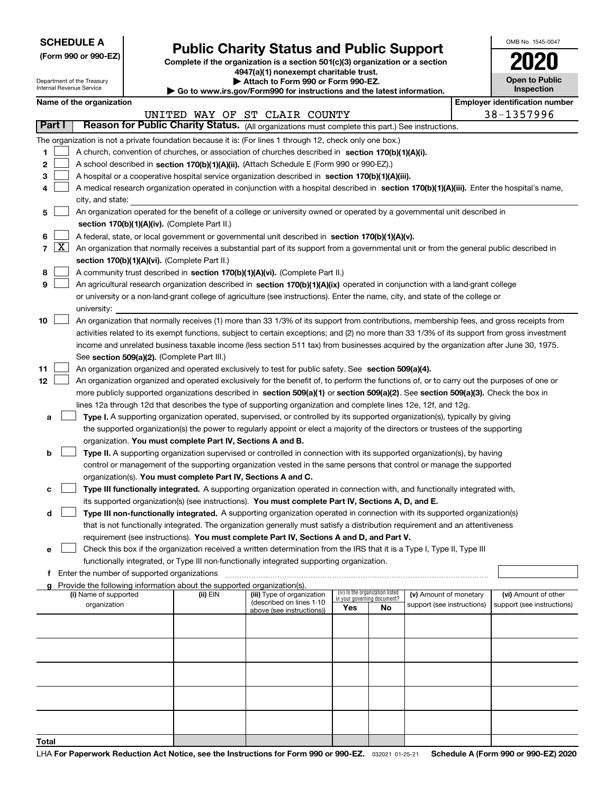| <b>SCHEDULE A</b> |
|-------------------|
|-------------------|

Department of the Treasury Internal Revenue Service

**(Form 990 or 990-EZ)**

## **Public Charity Status and Public Support**

**Complete if the organization is a section 501(c)(3) organization or a section 4947(a)(1) nonexempt charitable trust.**

**| Attach to Form 990 or Form 990-EZ.** 

**| Go to www.irs.gov/Form990 for instructions and the latest information.**

| OMB No 1545-0047                    |
|-------------------------------------|
| 020                                 |
| <b>Open to Public</b><br>Inspection |

|                | Name of the organization<br><b>Employer identification number</b> |                                                                                                                                                                                                                     |          |                                                       |                                                                |    |                            |  |                            |  |  |  |
|----------------|-------------------------------------------------------------------|---------------------------------------------------------------------------------------------------------------------------------------------------------------------------------------------------------------------|----------|-------------------------------------------------------|----------------------------------------------------------------|----|----------------------------|--|----------------------------|--|--|--|
|                |                                                                   |                                                                                                                                                                                                                     |          | UNITED WAY OF ST CLAIR COUNTY                         |                                                                |    |                            |  | 38-1357996                 |  |  |  |
| Part I         |                                                                   | Reason for Public Charity Status. (All organizations must complete this part.) See instructions.                                                                                                                    |          |                                                       |                                                                |    |                            |  |                            |  |  |  |
|                |                                                                   | The organization is not a private foundation because it is: (For lines 1 through 12, check only one box.)                                                                                                           |          |                                                       |                                                                |    |                            |  |                            |  |  |  |
| 1              |                                                                   | A church, convention of churches, or association of churches described in section 170(b)(1)(A)(i).                                                                                                                  |          |                                                       |                                                                |    |                            |  |                            |  |  |  |
| 2              |                                                                   | A school described in section 170(b)(1)(A)(ii). (Attach Schedule E (Form 990 or 990-EZ).)                                                                                                                           |          |                                                       |                                                                |    |                            |  |                            |  |  |  |
| 3              |                                                                   | A hospital or a cooperative hospital service organization described in section 170(b)(1)(A)(iii).                                                                                                                   |          |                                                       |                                                                |    |                            |  |                            |  |  |  |
|                |                                                                   | A medical research organization operated in conjunction with a hospital described in section 170(b)(1)(A)(iii). Enter the hospital's name,                                                                          |          |                                                       |                                                                |    |                            |  |                            |  |  |  |
|                | city, and state:                                                  |                                                                                                                                                                                                                     |          |                                                       |                                                                |    |                            |  |                            |  |  |  |
| 5              |                                                                   | An organization operated for the benefit of a college or university owned or operated by a governmental unit described in                                                                                           |          |                                                       |                                                                |    |                            |  |                            |  |  |  |
|                |                                                                   | section 170(b)(1)(A)(iv). (Complete Part II.)                                                                                                                                                                       |          |                                                       |                                                                |    |                            |  |                            |  |  |  |
|                |                                                                   | A federal, state, or local government or governmental unit described in section 170(b)(1)(A)(v).                                                                                                                    |          |                                                       |                                                                |    |                            |  |                            |  |  |  |
| $\overline{7}$ | $\lfloor x \rfloor$                                               | An organization that normally receives a substantial part of its support from a governmental unit or from the general public described in                                                                           |          |                                                       |                                                                |    |                            |  |                            |  |  |  |
|                |                                                                   | section 170(b)(1)(A)(vi). (Complete Part II.)                                                                                                                                                                       |          |                                                       |                                                                |    |                            |  |                            |  |  |  |
| 8              |                                                                   | A community trust described in section 170(b)(1)(A)(vi). (Complete Part II.)                                                                                                                                        |          |                                                       |                                                                |    |                            |  |                            |  |  |  |
| 9              |                                                                   | An agricultural research organization described in section 170(b)(1)(A)(ix) operated in conjunction with a land-grant college                                                                                       |          |                                                       |                                                                |    |                            |  |                            |  |  |  |
|                |                                                                   | or university or a non-land-grant college of agriculture (see instructions). Enter the name, city, and state of the college or                                                                                      |          |                                                       |                                                                |    |                            |  |                            |  |  |  |
|                |                                                                   | university:                                                                                                                                                                                                         |          |                                                       |                                                                |    |                            |  |                            |  |  |  |
| 10             |                                                                   | An organization that normally receives (1) more than 33 1/3% of its support from contributions, membership fees, and gross receipts from                                                                            |          |                                                       |                                                                |    |                            |  |                            |  |  |  |
|                |                                                                   | activities related to its exempt functions, subject to certain exceptions; and (2) no more than 33 1/3% of its support from gross investment                                                                        |          |                                                       |                                                                |    |                            |  |                            |  |  |  |
|                |                                                                   | income and unrelated business taxable income (less section 511 tax) from businesses acquired by the organization after June 30, 1975.                                                                               |          |                                                       |                                                                |    |                            |  |                            |  |  |  |
|                |                                                                   | See section 509(a)(2). (Complete Part III.)                                                                                                                                                                         |          |                                                       |                                                                |    |                            |  |                            |  |  |  |
| 11             |                                                                   | An organization organized and operated exclusively to test for public safety. See section 509(a)(4).                                                                                                                |          |                                                       |                                                                |    |                            |  |                            |  |  |  |
| 12             |                                                                   | An organization organized and operated exclusively for the benefit of, to perform the functions of, or to carry out the purposes of one or                                                                          |          |                                                       |                                                                |    |                            |  |                            |  |  |  |
|                |                                                                   | more publicly supported organizations described in section 509(a)(1) or section 509(a)(2). See section 509(a)(3). Check the box in                                                                                  |          |                                                       |                                                                |    |                            |  |                            |  |  |  |
|                |                                                                   | lines 12a through 12d that describes the type of supporting organization and complete lines 12e, 12f, and 12g.                                                                                                      |          |                                                       |                                                                |    |                            |  |                            |  |  |  |
| а              |                                                                   | Type I. A supporting organization operated, supervised, or controlled by its supported organization(s), typically by giving                                                                                         |          |                                                       |                                                                |    |                            |  |                            |  |  |  |
|                |                                                                   | the supported organization(s) the power to regularly appoint or elect a majority of the directors or trustees of the supporting                                                                                     |          |                                                       |                                                                |    |                            |  |                            |  |  |  |
|                |                                                                   | organization. You must complete Part IV, Sections A and B.                                                                                                                                                          |          |                                                       |                                                                |    |                            |  |                            |  |  |  |
| b              |                                                                   | Type II. A supporting organization supervised or controlled in connection with its supported organization(s), by having                                                                                             |          |                                                       |                                                                |    |                            |  |                            |  |  |  |
|                |                                                                   | control or management of the supporting organization vested in the same persons that control or manage the supported                                                                                                |          |                                                       |                                                                |    |                            |  |                            |  |  |  |
|                |                                                                   | organization(s). You must complete Part IV, Sections A and C.                                                                                                                                                       |          |                                                       |                                                                |    |                            |  |                            |  |  |  |
| с              |                                                                   | Type III functionally integrated. A supporting organization operated in connection with, and functionally integrated with,                                                                                          |          |                                                       |                                                                |    |                            |  |                            |  |  |  |
|                |                                                                   | its supported organization(s) (see instructions). You must complete Part IV, Sections A, D, and E.                                                                                                                  |          |                                                       |                                                                |    |                            |  |                            |  |  |  |
| d              |                                                                   | Type III non-functionally integrated. A supporting organization operated in connection with its supported organization(s)                                                                                           |          |                                                       |                                                                |    |                            |  |                            |  |  |  |
|                |                                                                   | that is not functionally integrated. The organization generally must satisfy a distribution requirement and an attentiveness                                                                                        |          |                                                       |                                                                |    |                            |  |                            |  |  |  |
| е              |                                                                   | requirement (see instructions). You must complete Part IV, Sections A and D, and Part V.<br>Check this box if the organization received a written determination from the IRS that it is a Type I, Type II, Type III |          |                                                       |                                                                |    |                            |  |                            |  |  |  |
|                |                                                                   | functionally integrated, or Type III non-functionally integrated supporting organization.                                                                                                                           |          |                                                       |                                                                |    |                            |  |                            |  |  |  |
|                |                                                                   | Enter the number of supported organizations                                                                                                                                                                         |          |                                                       |                                                                |    |                            |  |                            |  |  |  |
|                |                                                                   | g Provide the following information about the supported organization(s).                                                                                                                                            |          |                                                       |                                                                |    |                            |  |                            |  |  |  |
|                |                                                                   | (i) Name of supported                                                                                                                                                                                               | (ii) EIN | (iii) Type of organization                            | (iv) Is the organization listed<br>in your governing document? |    | (v) Amount of monetary     |  | (vi) Amount of other       |  |  |  |
|                |                                                                   | organization                                                                                                                                                                                                        |          | (described on lines 1-10<br>above (see instructions)) | Yes                                                            | No | support (see instructions) |  | support (see instructions) |  |  |  |
|                |                                                                   |                                                                                                                                                                                                                     |          |                                                       |                                                                |    |                            |  |                            |  |  |  |
|                |                                                                   |                                                                                                                                                                                                                     |          |                                                       |                                                                |    |                            |  |                            |  |  |  |
|                |                                                                   |                                                                                                                                                                                                                     |          |                                                       |                                                                |    |                            |  |                            |  |  |  |
|                |                                                                   |                                                                                                                                                                                                                     |          |                                                       |                                                                |    |                            |  |                            |  |  |  |
|                |                                                                   |                                                                                                                                                                                                                     |          |                                                       |                                                                |    |                            |  |                            |  |  |  |
|                |                                                                   |                                                                                                                                                                                                                     |          |                                                       |                                                                |    |                            |  |                            |  |  |  |
|                |                                                                   |                                                                                                                                                                                                                     |          |                                                       |                                                                |    |                            |  |                            |  |  |  |
|                |                                                                   |                                                                                                                                                                                                                     |          |                                                       |                                                                |    |                            |  |                            |  |  |  |
|                |                                                                   |                                                                                                                                                                                                                     |          |                                                       |                                                                |    |                            |  |                            |  |  |  |
| Total          |                                                                   |                                                                                                                                                                                                                     |          |                                                       |                                                                |    |                            |  |                            |  |  |  |
|                |                                                                   |                                                                                                                                                                                                                     |          |                                                       |                                                                |    |                            |  |                            |  |  |  |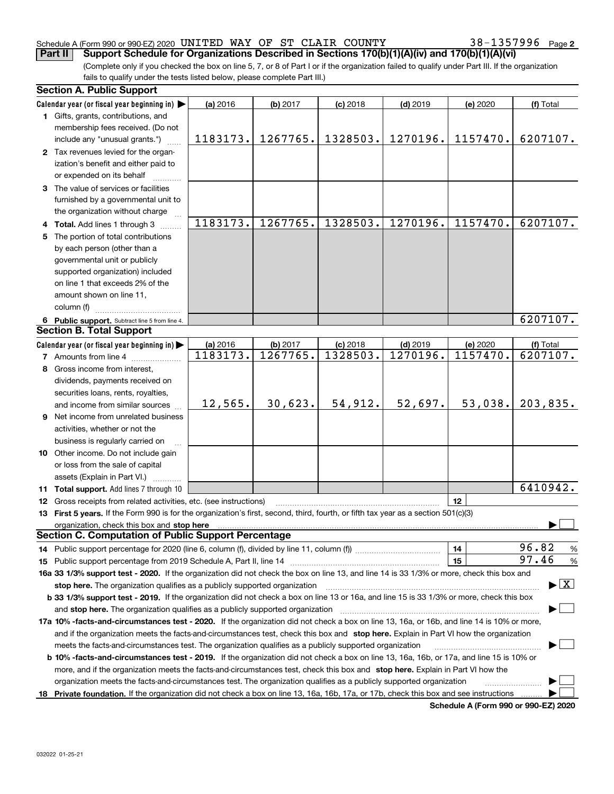#### Schedule A (Form 990 or 990-EZ) 2020 <code>UNITED WAY OF ST CLAIR COUNTY</code>  $38-1357996$  <code>Page</code>

**2**

(Complete only if you checked the box on line 5, 7, or 8 of Part I or if the organization failed to qualify under Part III. If the organization fails to qualify under the tests listed below, please complete Part III.) **Part II Support Schedule for Organizations Described in Sections 170(b)(1)(A)(iv) and 170(b)(1)(A)(vi)**

|    | <b>Section A. Public Support</b>                                                                                                               |                      |                      |                        |                        |                      |                                          |
|----|------------------------------------------------------------------------------------------------------------------------------------------------|----------------------|----------------------|------------------------|------------------------|----------------------|------------------------------------------|
|    | Calendar year (or fiscal year beginning in)                                                                                                    | (a) 2016             | (b) 2017             | $(c)$ 2018             | $(d)$ 2019             | (e) 2020             | (f) Total                                |
|    | 1 Gifts, grants, contributions, and                                                                                                            |                      |                      |                        |                        |                      |                                          |
|    | membership fees received. (Do not                                                                                                              |                      |                      |                        |                        |                      |                                          |
|    | include any "unusual grants.")                                                                                                                 | 1183173.             | 1267765.             | 1328503.               | 1270196.               | 1157470.             | 6207107.                                 |
|    | 2 Tax revenues levied for the organ-                                                                                                           |                      |                      |                        |                        |                      |                                          |
|    | ization's benefit and either paid to                                                                                                           |                      |                      |                        |                        |                      |                                          |
|    | or expended on its behalf                                                                                                                      |                      |                      |                        |                        |                      |                                          |
|    | 3 The value of services or facilities                                                                                                          |                      |                      |                        |                        |                      |                                          |
|    | furnished by a governmental unit to                                                                                                            |                      |                      |                        |                        |                      |                                          |
|    | the organization without charge                                                                                                                |                      |                      |                        |                        |                      |                                          |
|    | 4 Total. Add lines 1 through 3                                                                                                                 | 1183173.             | 1267765.             | 1328503.               | 1270196.               | 1157470.             | 6207107.                                 |
| 5. | The portion of total contributions                                                                                                             |                      |                      |                        |                        |                      |                                          |
|    | by each person (other than a                                                                                                                   |                      |                      |                        |                        |                      |                                          |
|    | governmental unit or publicly                                                                                                                  |                      |                      |                        |                        |                      |                                          |
|    | supported organization) included                                                                                                               |                      |                      |                        |                        |                      |                                          |
|    | on line 1 that exceeds 2% of the                                                                                                               |                      |                      |                        |                        |                      |                                          |
|    | amount shown on line 11,                                                                                                                       |                      |                      |                        |                        |                      |                                          |
|    | column (f)                                                                                                                                     |                      |                      |                        |                        |                      |                                          |
|    |                                                                                                                                                |                      |                      |                        |                        |                      | 6207107.                                 |
|    | 6 Public support. Subtract line 5 from line 4.<br><b>Section B. Total Support</b>                                                              |                      |                      |                        |                        |                      |                                          |
|    |                                                                                                                                                |                      |                      |                        |                        |                      |                                          |
|    | Calendar year (or fiscal year beginning in)                                                                                                    | (a) 2016<br>1183173. | (b) 2017<br>1267765. | $(c)$ 2018<br>1328503. | $(d)$ 2019<br>1270196. | (e) 2020<br>1157470. | (f) Total<br>6207107.                    |
|    | <b>7</b> Amounts from line 4                                                                                                                   |                      |                      |                        |                        |                      |                                          |
|    | 8 Gross income from interest,                                                                                                                  |                      |                      |                        |                        |                      |                                          |
|    | dividends, payments received on                                                                                                                |                      |                      |                        |                        |                      |                                          |
|    | securities loans, rents, royalties,                                                                                                            |                      |                      |                        |                        |                      |                                          |
|    | and income from similar sources                                                                                                                | 12,565.              | 30,623.              | 54,912.                | 52,697.                | 53,038.              | 203,835.                                 |
|    | 9 Net income from unrelated business                                                                                                           |                      |                      |                        |                        |                      |                                          |
|    | activities, whether or not the                                                                                                                 |                      |                      |                        |                        |                      |                                          |
|    | business is regularly carried on                                                                                                               |                      |                      |                        |                        |                      |                                          |
|    | 10 Other income. Do not include gain                                                                                                           |                      |                      |                        |                        |                      |                                          |
|    | or loss from the sale of capital                                                                                                               |                      |                      |                        |                        |                      |                                          |
|    | assets (Explain in Part VI.)                                                                                                                   |                      |                      |                        |                        |                      |                                          |
|    | 11 Total support. Add lines 7 through 10                                                                                                       |                      |                      |                        |                        |                      | 6410942.                                 |
|    | 12 Gross receipts from related activities, etc. (see instructions)                                                                             |                      |                      |                        |                        | 12                   |                                          |
|    | 13 First 5 years. If the Form 990 is for the organization's first, second, third, fourth, or fifth tax year as a section 501(c)(3)             |                      |                      |                        |                        |                      |                                          |
|    | organization, check this box and stop here                                                                                                     |                      |                      |                        |                        |                      |                                          |
|    | <b>Section C. Computation of Public Support Percentage</b>                                                                                     |                      |                      |                        |                        |                      |                                          |
|    |                                                                                                                                                |                      |                      |                        |                        | 14                   | 96.82<br>%                               |
|    |                                                                                                                                                |                      |                      |                        |                        | 15                   | 97.46<br>$\%$                            |
|    | 16a 33 1/3% support test - 2020. If the organization did not check the box on line 13, and line 14 is 33 1/3% or more, check this box and      |                      |                      |                        |                        |                      |                                          |
|    | stop here. The organization qualifies as a publicly supported organization                                                                     |                      |                      |                        |                        |                      | $\blacktriangleright$ $\boxed{\text{X}}$ |
|    | b 33 1/3% support test - 2019. If the organization did not check a box on line 13 or 16a, and line 15 is 33 1/3% or more, check this box       |                      |                      |                        |                        |                      |                                          |
|    | and stop here. The organization qualifies as a publicly supported organization                                                                 |                      |                      |                        |                        |                      |                                          |
|    | 17a 10% -facts-and-circumstances test - 2020. If the organization did not check a box on line 13, 16a, or 16b, and line 14 is 10% or more,     |                      |                      |                        |                        |                      |                                          |
|    | and if the organization meets the facts-and-circumstances test, check this box and stop here. Explain in Part VI how the organization          |                      |                      |                        |                        |                      |                                          |
|    | meets the facts-and-circumstances test. The organization qualifies as a publicly supported organization                                        |                      |                      |                        |                        |                      |                                          |
|    | <b>b 10% -facts-and-circumstances test - 2019.</b> If the organization did not check a box on line 13, 16a, 16b, or 17a, and line 15 is 10% or |                      |                      |                        |                        |                      |                                          |
|    | more, and if the organization meets the facts-and-circumstances test, check this box and stop here. Explain in Part VI how the                 |                      |                      |                        |                        |                      |                                          |
|    | organization meets the facts-and-circumstances test. The organization qualifies as a publicly supported organization                           |                      |                      |                        |                        |                      |                                          |
|    | 18 Private foundation. If the organization did not check a box on line 13, 16a, 16b, 17a, or 17b, check this box and see instructions          |                      |                      |                        |                        |                      |                                          |
|    |                                                                                                                                                |                      |                      |                        |                        |                      |                                          |

**Schedule A (Form 990 or 990-EZ) 2020**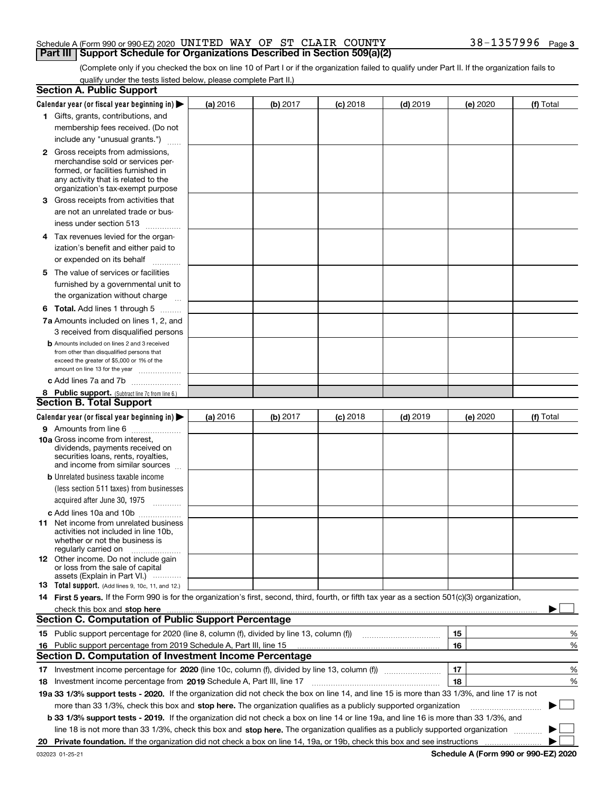#### Schedule A (Form 990 or 990-EZ) 2020 <code>UNITED WAY OF ST CLAIR COUNTY</code>  $38-1357996$  <code>Page</code> **Part III Support Schedule for Organizations Described in Section 509(a)(2)**

(Complete only if you checked the box on line 10 of Part I or if the organization failed to qualify under Part II. If the organization fails to qualify under the tests listed below, please complete Part II.)

|    | <b>Section A. Public Support</b>                                                                                                                                                                                               |          |          |            |            |          |             |
|----|--------------------------------------------------------------------------------------------------------------------------------------------------------------------------------------------------------------------------------|----------|----------|------------|------------|----------|-------------|
|    | Calendar year (or fiscal year beginning in) $\blacktriangleright$                                                                                                                                                              | (a) 2016 | (b) 2017 | $(c)$ 2018 | $(d)$ 2019 | (e) 2020 | (f) Total   |
|    | 1 Gifts, grants, contributions, and                                                                                                                                                                                            |          |          |            |            |          |             |
|    | membership fees received. (Do not                                                                                                                                                                                              |          |          |            |            |          |             |
|    | include any "unusual grants.")                                                                                                                                                                                                 |          |          |            |            |          |             |
|    | <b>2</b> Gross receipts from admissions,                                                                                                                                                                                       |          |          |            |            |          |             |
|    | merchandise sold or services per-                                                                                                                                                                                              |          |          |            |            |          |             |
|    | formed, or facilities furnished in                                                                                                                                                                                             |          |          |            |            |          |             |
|    | any activity that is related to the<br>organization's tax-exempt purpose                                                                                                                                                       |          |          |            |            |          |             |
|    | 3 Gross receipts from activities that                                                                                                                                                                                          |          |          |            |            |          |             |
|    | are not an unrelated trade or bus-                                                                                                                                                                                             |          |          |            |            |          |             |
|    | iness under section 513                                                                                                                                                                                                        |          |          |            |            |          |             |
|    | 4 Tax revenues levied for the organ-                                                                                                                                                                                           |          |          |            |            |          |             |
|    | ization's benefit and either paid to                                                                                                                                                                                           |          |          |            |            |          |             |
|    | or expended on its behalf                                                                                                                                                                                                      |          |          |            |            |          |             |
|    | .                                                                                                                                                                                                                              |          |          |            |            |          |             |
|    | 5 The value of services or facilities                                                                                                                                                                                          |          |          |            |            |          |             |
|    | furnished by a governmental unit to                                                                                                                                                                                            |          |          |            |            |          |             |
|    | the organization without charge                                                                                                                                                                                                |          |          |            |            |          |             |
|    | <b>6 Total.</b> Add lines 1 through 5                                                                                                                                                                                          |          |          |            |            |          |             |
|    | 7a Amounts included on lines 1, 2, and                                                                                                                                                                                         |          |          |            |            |          |             |
|    | 3 received from disqualified persons                                                                                                                                                                                           |          |          |            |            |          |             |
|    | <b>b</b> Amounts included on lines 2 and 3 received<br>from other than disqualified persons that                                                                                                                               |          |          |            |            |          |             |
|    | exceed the greater of \$5,000 or 1% of the                                                                                                                                                                                     |          |          |            |            |          |             |
|    | amount on line 13 for the year                                                                                                                                                                                                 |          |          |            |            |          |             |
|    | c Add lines 7a and 7b                                                                                                                                                                                                          |          |          |            |            |          |             |
|    | 8 Public support. (Subtract line 7c from line 6.)                                                                                                                                                                              |          |          |            |            |          |             |
|    | <b>Section B. Total Support</b>                                                                                                                                                                                                |          |          |            |            |          |             |
|    | Calendar year (or fiscal year beginning in)                                                                                                                                                                                    | (a) 2016 | (b) 2017 | $(c)$ 2018 | $(d)$ 2019 | (e) 2020 | (f) Total   |
|    | 9 Amounts from line 6                                                                                                                                                                                                          |          |          |            |            |          |             |
|    | <b>10a</b> Gross income from interest,<br>dividends, payments received on                                                                                                                                                      |          |          |            |            |          |             |
|    | securities loans, rents, royalties,                                                                                                                                                                                            |          |          |            |            |          |             |
|    | and income from similar sources                                                                                                                                                                                                |          |          |            |            |          |             |
|    | <b>b</b> Unrelated business taxable income                                                                                                                                                                                     |          |          |            |            |          |             |
|    | (less section 511 taxes) from businesses                                                                                                                                                                                       |          |          |            |            |          |             |
|    | acquired after June 30, 1975 [10001]                                                                                                                                                                                           |          |          |            |            |          |             |
|    | c Add lines 10a and 10b                                                                                                                                                                                                        |          |          |            |            |          |             |
|    | 11 Net income from unrelated business                                                                                                                                                                                          |          |          |            |            |          |             |
|    | activities not included in line 10b,<br>whether or not the business is                                                                                                                                                         |          |          |            |            |          |             |
|    | regularly carried on                                                                                                                                                                                                           |          |          |            |            |          |             |
|    | <b>12</b> Other income. Do not include gain                                                                                                                                                                                    |          |          |            |            |          |             |
|    | or loss from the sale of capital                                                                                                                                                                                               |          |          |            |            |          |             |
|    | assets (Explain in Part VI.)<br><b>13</b> Total support. (Add lines 9, 10c, 11, and 12.)                                                                                                                                       |          |          |            |            |          |             |
|    | 14 First 5 years. If the Form 990 is for the organization's first, second, third, fourth, or fifth tax year as a section 501(c)(3) organization,                                                                               |          |          |            |            |          |             |
|    | check this box and stop here measured and contained a state of the state of the state of the state of the state of the state of the state of the state of the state of the state of the state of the state of the state of the |          |          |            |            |          |             |
|    | <b>Section C. Computation of Public Support Percentage</b>                                                                                                                                                                     |          |          |            |            |          |             |
|    | 15 Public support percentage for 2020 (line 8, column (f), divided by line 13, column (f))                                                                                                                                     |          |          |            |            | 15       | %           |
|    | 16 Public support percentage from 2019 Schedule A, Part III, line 15                                                                                                                                                           |          |          |            |            | 16       | %           |
|    | Section D. Computation of Investment Income Percentage                                                                                                                                                                         |          |          |            |            |          |             |
|    | 17 Investment income percentage for 2020 (line 10c, column (f), divided by line 13, column (f))                                                                                                                                |          |          |            |            | 17       | %           |
|    | <b>18</b> Investment income percentage from <b>2019</b> Schedule A, Part III, line 17                                                                                                                                          |          |          |            |            | 18       | %           |
|    | 19a 33 1/3% support tests - 2020. If the organization did not check the box on line 14, and line 15 is more than 33 1/3%, and line 17 is not                                                                                   |          |          |            |            |          |             |
|    | more than 33 1/3%, check this box and stop here. The organization qualifies as a publicly supported organization                                                                                                               |          |          |            |            |          | $\sim$<br>▶ |
|    | b 33 1/3% support tests - 2019. If the organization did not check a box on line 14 or line 19a, and line 16 is more than 33 1/3%, and                                                                                          |          |          |            |            |          |             |
|    | line 18 is not more than 33 1/3%, check this box and stop here. The organization qualifies as a publicly supported organization                                                                                                |          |          |            |            |          |             |
| 20 |                                                                                                                                                                                                                                |          |          |            |            |          |             |
|    |                                                                                                                                                                                                                                |          |          |            |            |          |             |

**Schedule A (Form 990 or 990-EZ) 2020**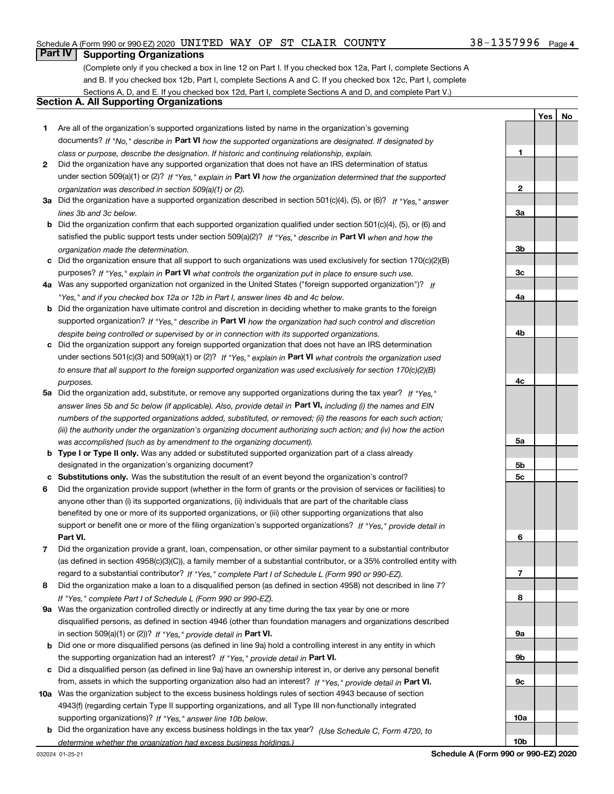#### Schedule A (Form 990 or 990-EZ) 2020 <code>UNITED WAY OF ST CLAIR COUNTY</code>  $38-1357996$  <code>Page</code>

### **Part IV Supporting Organizations**

(Complete only if you checked a box in line 12 on Part I. If you checked box 12a, Part I, complete Sections A and B. If you checked box 12b, Part I, complete Sections A and C. If you checked box 12c, Part I, complete Sections A, D, and E. If you checked box 12d, Part I, complete Sections A and D, and complete Part V.)

#### **Section A. All Supporting Organizations**

- **1** Are all of the organization's supported organizations listed by name in the organization's governing documents? If "No," describe in **Part VI** how the supported organizations are designated. If designated by *class or purpose, describe the designation. If historic and continuing relationship, explain.*
- **2** Did the organization have any supported organization that does not have an IRS determination of status under section 509(a)(1) or (2)? If "Yes," explain in Part VI how the organization determined that the supported *organization was described in section 509(a)(1) or (2).*
- **3a** Did the organization have a supported organization described in section 501(c)(4), (5), or (6)? If "Yes," answer *lines 3b and 3c below.*
- **b** Did the organization confirm that each supported organization qualified under section 501(c)(4), (5), or (6) and satisfied the public support tests under section 509(a)(2)? If "Yes," describe in **Part VI** when and how the *organization made the determination.*
- **c**Did the organization ensure that all support to such organizations was used exclusively for section 170(c)(2)(B) purposes? If "Yes," explain in **Part VI** what controls the organization put in place to ensure such use.
- **4a***If* Was any supported organization not organized in the United States ("foreign supported organization")? *"Yes," and if you checked box 12a or 12b in Part I, answer lines 4b and 4c below.*
- **b** Did the organization have ultimate control and discretion in deciding whether to make grants to the foreign supported organization? If "Yes," describe in **Part VI** how the organization had such control and discretion *despite being controlled or supervised by or in connection with its supported organizations.*
- **c** Did the organization support any foreign supported organization that does not have an IRS determination under sections 501(c)(3) and 509(a)(1) or (2)? If "Yes," explain in **Part VI** what controls the organization used *to ensure that all support to the foreign supported organization was used exclusively for section 170(c)(2)(B) purposes.*
- **5a***If "Yes,"* Did the organization add, substitute, or remove any supported organizations during the tax year? answer lines 5b and 5c below (if applicable). Also, provide detail in **Part VI,** including (i) the names and EIN *numbers of the supported organizations added, substituted, or removed; (ii) the reasons for each such action; (iii) the authority under the organization's organizing document authorizing such action; and (iv) how the action was accomplished (such as by amendment to the organizing document).*
- **b** Type I or Type II only. Was any added or substituted supported organization part of a class already designated in the organization's organizing document?
- **cSubstitutions only.**  Was the substitution the result of an event beyond the organization's control?
- **6** Did the organization provide support (whether in the form of grants or the provision of services or facilities) to **Part VI.** *If "Yes," provide detail in* support or benefit one or more of the filing organization's supported organizations? anyone other than (i) its supported organizations, (ii) individuals that are part of the charitable class benefited by one or more of its supported organizations, or (iii) other supporting organizations that also
- **7**Did the organization provide a grant, loan, compensation, or other similar payment to a substantial contributor *If "Yes," complete Part I of Schedule L (Form 990 or 990-EZ).* regard to a substantial contributor? (as defined in section 4958(c)(3)(C)), a family member of a substantial contributor, or a 35% controlled entity with
- **8** Did the organization make a loan to a disqualified person (as defined in section 4958) not described in line 7? *If "Yes," complete Part I of Schedule L (Form 990 or 990-EZ).*
- **9a** Was the organization controlled directly or indirectly at any time during the tax year by one or more in section 509(a)(1) or (2))? If "Yes," *provide detail in* <code>Part VI.</code> disqualified persons, as defined in section 4946 (other than foundation managers and organizations described
- **b** Did one or more disqualified persons (as defined in line 9a) hold a controlling interest in any entity in which the supporting organization had an interest? If "Yes," provide detail in P**art VI**.
- **c**Did a disqualified person (as defined in line 9a) have an ownership interest in, or derive any personal benefit from, assets in which the supporting organization also had an interest? If "Yes," provide detail in P**art VI.**
- **10a** Was the organization subject to the excess business holdings rules of section 4943 because of section supporting organizations)? If "Yes," answer line 10b below. 4943(f) (regarding certain Type II supporting organizations, and all Type III non-functionally integrated
- **b** Did the organization have any excess business holdings in the tax year? (Use Schedule C, Form 4720, to *determine whether the organization had excess business holdings.)*

032024 01-25-21

**Schedule A (Form 990 or 990-EZ) 2020**

**1**

**2**

**3a**

**3b**

**3c**

**4a**

**4b**

**4c**

**5a**

**5b5c**

**6**

**7**

**8**

**9a**

**9b**

**9c**

**10a**

**10b**

**YesNo**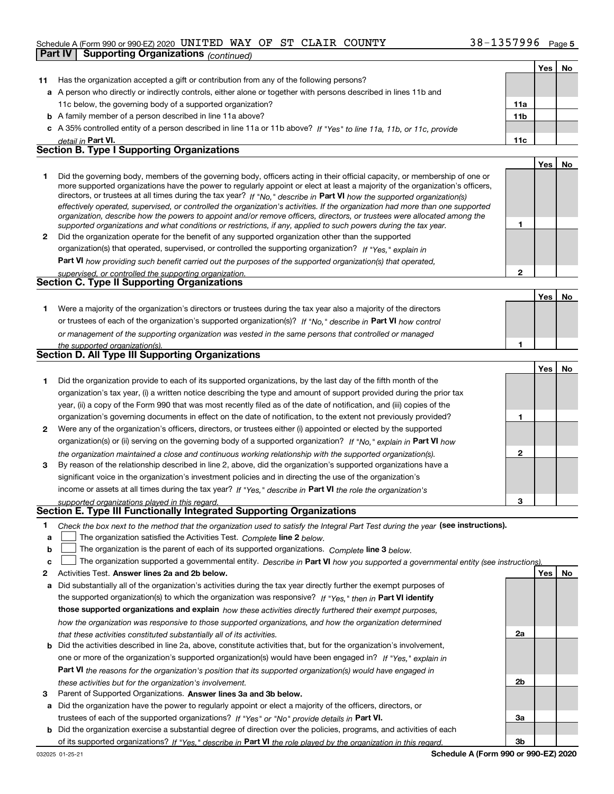#### Schedule A (Form 990 or 990-EZ) 2020 <code>UNITED WAY OF ST CLAIR COUNTY</code>  $38-1357996$  <code>Page</code>

|    | <b>Supporting Organizations (continued)</b><br>Part IV                                                                                                                                                                                                     |                 |     |    |
|----|------------------------------------------------------------------------------------------------------------------------------------------------------------------------------------------------------------------------------------------------------------|-----------------|-----|----|
|    |                                                                                                                                                                                                                                                            |                 | Yes | No |
| 11 | Has the organization accepted a gift or contribution from any of the following persons?                                                                                                                                                                    |                 |     |    |
|    | a A person who directly or indirectly controls, either alone or together with persons described in lines 11b and                                                                                                                                           |                 |     |    |
|    | 11c below, the governing body of a supported organization?                                                                                                                                                                                                 | 11a             |     |    |
|    | <b>b</b> A family member of a person described in line 11a above?                                                                                                                                                                                          | 11 <sub>b</sub> |     |    |
|    | c A 35% controlled entity of a person described in line 11a or 11b above? If "Yes" to line 11a, 11b, or 11c, provide                                                                                                                                       |                 |     |    |
|    | detail in Part VI.                                                                                                                                                                                                                                         | 11c             |     |    |
|    | <b>Section B. Type I Supporting Organizations</b>                                                                                                                                                                                                          |                 |     |    |
|    |                                                                                                                                                                                                                                                            |                 | Yes | No |
| 1. | Did the governing body, members of the governing body, officers acting in their official capacity, or membership of one or                                                                                                                                 |                 |     |    |
|    | more supported organizations have the power to regularly appoint or elect at least a majority of the organization's officers,                                                                                                                              |                 |     |    |
|    | directors, or trustees at all times during the tax year? If "No," describe in Part VI how the supported organization(s)                                                                                                                                    |                 |     |    |
|    | effectively operated, supervised, or controlled the organization's activities. If the organization had more than one supported<br>organization, describe how the powers to appoint and/or remove officers, directors, or trustees were allocated among the |                 |     |    |
|    | supported organizations and what conditions or restrictions, if any, applied to such powers during the tax year.                                                                                                                                           | 1               |     |    |
| 2  | Did the organization operate for the benefit of any supported organization other than the supported                                                                                                                                                        |                 |     |    |
|    | organization(s) that operated, supervised, or controlled the supporting organization? If "Yes," explain in                                                                                                                                                 |                 |     |    |
|    | Part VI how providing such benefit carried out the purposes of the supported organization(s) that operated,                                                                                                                                                |                 |     |    |
|    | supervised, or controlled the supporting organization.                                                                                                                                                                                                     | $\overline{2}$  |     |    |
|    | Section C. Type II Supporting Organizations                                                                                                                                                                                                                |                 |     |    |
|    |                                                                                                                                                                                                                                                            |                 | Yes | No |
| 1. | Were a majority of the organization's directors or trustees during the tax year also a majority of the directors                                                                                                                                           |                 |     |    |
|    | or trustees of each of the organization's supported organization(s)? If "No," describe in Part VI how control                                                                                                                                              |                 |     |    |
|    | or management of the supporting organization was vested in the same persons that controlled or managed                                                                                                                                                     |                 |     |    |
|    | the supported organization(s).                                                                                                                                                                                                                             | 1               |     |    |
|    | Section D. All Type III Supporting Organizations                                                                                                                                                                                                           |                 |     |    |
|    |                                                                                                                                                                                                                                                            |                 | Yes | No |
| 1. | Did the organization provide to each of its supported organizations, by the last day of the fifth month of the                                                                                                                                             |                 |     |    |
|    | organization's tax year, (i) a written notice describing the type and amount of support provided during the prior tax                                                                                                                                      |                 |     |    |
|    | year, (ii) a copy of the Form 990 that was most recently filed as of the date of notification, and (iii) copies of the                                                                                                                                     |                 |     |    |
|    | organization's governing documents in effect on the date of notification, to the extent not previously provided?                                                                                                                                           | 1               |     |    |
| 2  | Were any of the organization's officers, directors, or trustees either (i) appointed or elected by the supported                                                                                                                                           |                 |     |    |
|    | organization(s) or (ii) serving on the governing body of a supported organization? If "No," explain in Part VI how                                                                                                                                         |                 |     |    |
|    | the organization maintained a close and continuous working relationship with the supported organization(s).                                                                                                                                                | $\mathbf{2}$    |     |    |
| 3  | By reason of the relationship described in line 2, above, did the organization's supported organizations have a                                                                                                                                            |                 |     |    |
|    | significant voice in the organization's investment policies and in directing the use of the organization's                                                                                                                                                 |                 |     |    |
|    | income or assets at all times during the tax year? If "Yes," describe in Part VI the role the organization's                                                                                                                                               |                 |     |    |
|    | supported organizations played in this regard.<br>Section E. Type III Functionally Integrated Supporting Organizations                                                                                                                                     | 3               |     |    |
|    |                                                                                                                                                                                                                                                            |                 |     |    |
| 1  | Check the box next to the method that the organization used to satisfy the Integral Part Test during the year (see instructions).                                                                                                                          |                 |     |    |
| а  | The organization satisfied the Activities Test. Complete line 2 below.                                                                                                                                                                                     |                 |     |    |
| b  | The organization is the parent of each of its supported organizations. Complete line 3 below.                                                                                                                                                              |                 |     |    |
| с  | The organization supported a governmental entity. Describe in Part VI how you supported a governmental entity (see instructions)                                                                                                                           |                 |     |    |
| 2  | Activities Test. Answer lines 2a and 2b below.                                                                                                                                                                                                             |                 | Yes | No |
| а  | Did substantially all of the organization's activities during the tax year directly further the exempt purposes of                                                                                                                                         |                 |     |    |
|    | the supported organization(s) to which the organization was responsive? If "Yes," then in Part VI identify                                                                                                                                                 |                 |     |    |
|    | those supported organizations and explain how these activities directly furthered their exempt purposes,                                                                                                                                                   |                 |     |    |

**b** Did the activities described in line 2a, above, constitute activities that, but for the organization's involvement, **Part VI**  *the reasons for the organization's position that its supported organization(s) would have engaged in how the organization was responsive to those supported organizations, and how the organization determined that these activities constituted substantially all of its activities.* one or more of the organization's supported organization(s) would have been engaged in? If "Yes," e*xplain in* 

- *these activities but for the organization's involvement.*
- **3** Parent of Supported Organizations. Answer lines 3a and 3b below.

**a** Did the organization have the power to regularly appoint or elect a majority of the officers, directors, or trustees of each of the supported organizations? If "Yes" or "No" provide details in **Part VI.** 

**b** Did the organization exercise a substantial degree of direction over the policies, programs, and activities of each of its supported organizations? If "Yes," describe in Part VI the role played by the organization in this regard.

**2a**

**2b**

**3a**

**3b**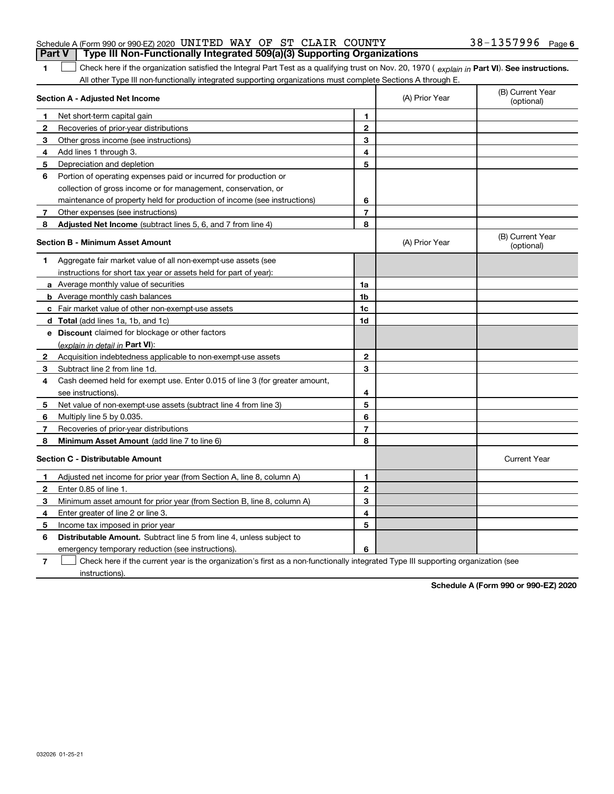| <b>Part V</b> Type III Non-Functionally Integrated 509(a)(3) Supporting Organizations |  |  |                       |  |
|---------------------------------------------------------------------------------------|--|--|-----------------------|--|
| Schedule A (Form 990 or 990-EZ) 2020 UNITED WAY OF ST CLAIR COUNTY                    |  |  | $38 - 1357996$ Page 6 |  |

1 Check here if the organization satisfied the Integral Part Test as a qualifying trust on Nov. 20, 1970 (explain in Part VI). See instructions. All other Type III non-functionally integrated supporting organizations must complete Sections A through E.

|              | Section A - Adjusted Net Income                                             | (A) Prior Year | (B) Current Year<br>(optional) |                                |
|--------------|-----------------------------------------------------------------------------|----------------|--------------------------------|--------------------------------|
| 1            | Net short-term capital gain                                                 | 1              |                                |                                |
| $\mathbf{2}$ | Recoveries of prior-year distributions                                      | $\mathbf{2}$   |                                |                                |
| 3            | Other gross income (see instructions)                                       | 3              |                                |                                |
| 4            | Add lines 1 through 3.                                                      | 4              |                                |                                |
| 5            | Depreciation and depletion                                                  | 5              |                                |                                |
| 6            | Portion of operating expenses paid or incurred for production or            |                |                                |                                |
|              | collection of gross income or for management, conservation, or              |                |                                |                                |
|              | maintenance of property held for production of income (see instructions)    | 6              |                                |                                |
| 7            | Other expenses (see instructions)                                           | $\overline{7}$ |                                |                                |
| 8            | Adjusted Net Income (subtract lines 5, 6, and 7 from line 4)                | 8              |                                |                                |
|              | <b>Section B - Minimum Asset Amount</b>                                     |                | (A) Prior Year                 | (B) Current Year<br>(optional) |
| 1            | Aggregate fair market value of all non-exempt-use assets (see               |                |                                |                                |
|              | instructions for short tax year or assets held for part of year):           |                |                                |                                |
|              | a Average monthly value of securities                                       | 1a             |                                |                                |
|              | <b>b</b> Average monthly cash balances                                      | 1 <sub>b</sub> |                                |                                |
|              | c Fair market value of other non-exempt-use assets                          | $1c$           |                                |                                |
|              | <b>d</b> Total (add lines 1a, 1b, and 1c)                                   | 1d             |                                |                                |
|              | e Discount claimed for blockage or other factors                            |                |                                |                                |
|              | (explain in detail in Part VI):                                             |                |                                |                                |
| 2            | Acquisition indebtedness applicable to non-exempt-use assets                | $\mathbf{2}$   |                                |                                |
| 3            | Subtract line 2 from line 1d.                                               | 3              |                                |                                |
| 4            | Cash deemed held for exempt use. Enter 0.015 of line 3 (for greater amount, |                |                                |                                |
|              | see instructions).                                                          | 4              |                                |                                |
| 5            | Net value of non-exempt-use assets (subtract line 4 from line 3)            | 5              |                                |                                |
| 6            | Multiply line 5 by 0.035.                                                   | 6              |                                |                                |
| 7            | Recoveries of prior-year distributions                                      | $\overline{7}$ |                                |                                |
| 8            | Minimum Asset Amount (add line 7 to line 6)                                 | 8              |                                |                                |
|              | <b>Section C - Distributable Amount</b>                                     |                |                                | <b>Current Year</b>            |
| 1            | Adjusted net income for prior year (from Section A, line 8, column A)       | 1              |                                |                                |
| 2            | Enter 0.85 of line 1.                                                       | $\mathbf{2}$   |                                |                                |
| 3            | Minimum asset amount for prior year (from Section B, line 8, column A)      | 3              |                                |                                |
| 4            | Enter greater of line 2 or line 3.                                          | 4              |                                |                                |
| 5            | Income tax imposed in prior year                                            | 5              |                                |                                |
| 6            | Distributable Amount. Subtract line 5 from line 4, unless subject to        |                |                                |                                |
|              | emergency temporary reduction (see instructions).                           | 6              |                                |                                |
|              |                                                                             |                |                                |                                |

**7**Check here if the current year is the organization's first as a non-functionally integrated Type III supporting organization (see instructions).

**Schedule A (Form 990 or 990-EZ) 2020**

**1**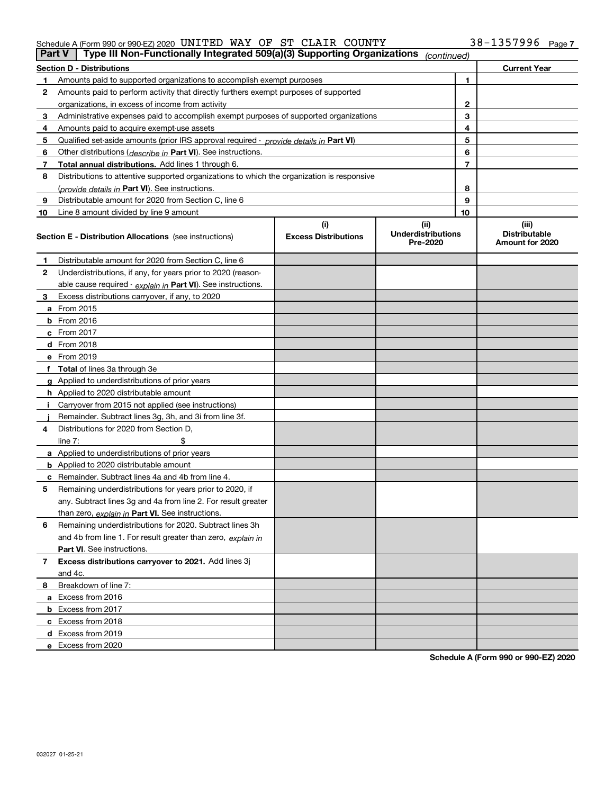#### Schedule A (Form 990 or 990-EZ) 2020 <code>UNITED WAY OF ST CLAIR COUNTY</code>  $38-1357996$  <code>Page</code>

| <b>Part V</b> | Type III Non-Functionally Integrated 509(a)(3) Supporting Organizations                    |                                    | (continued)                                   |    |                                                  |
|---------------|--------------------------------------------------------------------------------------------|------------------------------------|-----------------------------------------------|----|--------------------------------------------------|
|               | <b>Section D - Distributions</b>                                                           |                                    |                                               |    | <b>Current Year</b>                              |
| 1             | Amounts paid to supported organizations to accomplish exempt purposes                      |                                    | 1                                             |    |                                                  |
| 2             | Amounts paid to perform activity that directly furthers exempt purposes of supported       |                                    |                                               |    |                                                  |
|               | organizations, in excess of income from activity                                           |                                    | $\mathbf{2}$                                  |    |                                                  |
| 3             | Administrative expenses paid to accomplish exempt purposes of supported organizations      |                                    | 3                                             |    |                                                  |
| 4             | Amounts paid to acquire exempt-use assets                                                  |                                    |                                               | 4  |                                                  |
| 5             | Qualified set-aside amounts (prior IRS approval required - provide details in Part VI)     |                                    |                                               | 5  |                                                  |
| 6             | Other distributions ( <i>describe in</i> Part VI). See instructions.                       |                                    |                                               | 6  |                                                  |
| 7             | Total annual distributions. Add lines 1 through 6.                                         |                                    |                                               | 7  |                                                  |
| 8             | Distributions to attentive supported organizations to which the organization is responsive |                                    |                                               |    |                                                  |
|               | (provide details in Part VI). See instructions.                                            |                                    |                                               | 8  |                                                  |
| 9             | Distributable amount for 2020 from Section C, line 6                                       |                                    |                                               | 9  |                                                  |
| 10            | Line 8 amount divided by line 9 amount                                                     |                                    |                                               | 10 |                                                  |
|               | <b>Section E - Distribution Allocations</b> (see instructions)                             | (i)<br><b>Excess Distributions</b> | (ii)<br><b>Underdistributions</b><br>Pre-2020 |    | (iii)<br><b>Distributable</b><br>Amount for 2020 |
| 1             | Distributable amount for 2020 from Section C, line 6                                       |                                    |                                               |    |                                                  |
| 2             | Underdistributions, if any, for years prior to 2020 (reason-                               |                                    |                                               |    |                                                  |
|               | able cause required - explain in Part VI). See instructions.                               |                                    |                                               |    |                                                  |
| 3             | Excess distributions carryover, if any, to 2020                                            |                                    |                                               |    |                                                  |
|               | a From 2015                                                                                |                                    |                                               |    |                                                  |
|               | <b>b</b> From 2016                                                                         |                                    |                                               |    |                                                  |
|               | $c$ From 2017                                                                              |                                    |                                               |    |                                                  |
|               | d From 2018                                                                                |                                    |                                               |    |                                                  |
|               | e From 2019                                                                                |                                    |                                               |    |                                                  |
|               | f Total of lines 3a through 3e                                                             |                                    |                                               |    |                                                  |
|               | g Applied to underdistributions of prior years                                             |                                    |                                               |    |                                                  |
|               | <b>h</b> Applied to 2020 distributable amount                                              |                                    |                                               |    |                                                  |
|               | Carryover from 2015 not applied (see instructions)                                         |                                    |                                               |    |                                                  |
|               | Remainder. Subtract lines 3g, 3h, and 3i from line 3f.                                     |                                    |                                               |    |                                                  |
| 4             | Distributions for 2020 from Section D,                                                     |                                    |                                               |    |                                                  |
|               | line $7:$                                                                                  |                                    |                                               |    |                                                  |
|               | a Applied to underdistributions of prior years                                             |                                    |                                               |    |                                                  |
|               | <b>b</b> Applied to 2020 distributable amount                                              |                                    |                                               |    |                                                  |
|               | c Remainder. Subtract lines 4a and 4b from line 4.                                         |                                    |                                               |    |                                                  |
| 5.            | Remaining underdistributions for years prior to 2020, if                                   |                                    |                                               |    |                                                  |
|               | any. Subtract lines 3g and 4a from line 2. For result greater                              |                                    |                                               |    |                                                  |
|               | than zero, explain in Part VI. See instructions.                                           |                                    |                                               |    |                                                  |
| 6             | Remaining underdistributions for 2020. Subtract lines 3h                                   |                                    |                                               |    |                                                  |
|               | and 4b from line 1. For result greater than zero, explain in                               |                                    |                                               |    |                                                  |
|               | Part VI. See instructions.                                                                 |                                    |                                               |    |                                                  |
| 7             | Excess distributions carryover to 2021. Add lines 3j                                       |                                    |                                               |    |                                                  |
|               | and 4c.                                                                                    |                                    |                                               |    |                                                  |
| 8             | Breakdown of line 7:                                                                       |                                    |                                               |    |                                                  |
|               | a Excess from 2016                                                                         |                                    |                                               |    |                                                  |
|               | <b>b</b> Excess from 2017                                                                  |                                    |                                               |    |                                                  |
|               | c Excess from 2018                                                                         |                                    |                                               |    |                                                  |
|               | d Excess from 2019                                                                         |                                    |                                               |    |                                                  |
|               | e Excess from 2020                                                                         |                                    |                                               |    |                                                  |

**Schedule A (Form 990 or 990-EZ) 2020**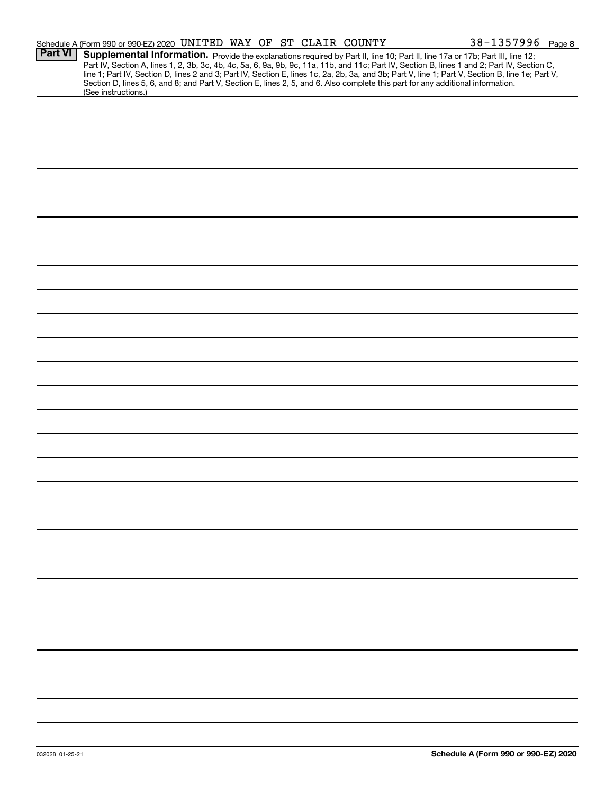|                | Schedule A (Form 990 or 990-EZ) 2020 UNITED WAY OF ST CLAIR COUNTY                                                                                                                                                                                                                      |  |  | $38 - 1357996$ Page 8                                                                                                                                                                                                                                                                            |
|----------------|-----------------------------------------------------------------------------------------------------------------------------------------------------------------------------------------------------------------------------------------------------------------------------------------|--|--|--------------------------------------------------------------------------------------------------------------------------------------------------------------------------------------------------------------------------------------------------------------------------------------------------|
| <b>Part VI</b> | Supplemental Information. Provide the explanations required by Part II, line 10; Part II, line 17a or 17b; Part III, line 12;<br>Section D, lines 5, 6, and 8; and Part V, Section E, lines 2, 5, and 6. Also complete this part for any additional information.<br>(See instructions.) |  |  | Part IV, Section A, lines 1, 2, 3b, 3c, 4b, 4c, 5a, 6, 9a, 9b, 9c, 11a, 11b, and 11c; Part IV, Section B, lines 1 and 2; Part IV, Section C,<br>line 1; Part IV, Section D, lines 2 and 3; Part IV, Section E, lines 1c, 2a, 2b, 3a, and 3b; Part V, line 1; Part V, Section B, line 1e; Part V, |
|                |                                                                                                                                                                                                                                                                                         |  |  |                                                                                                                                                                                                                                                                                                  |
|                |                                                                                                                                                                                                                                                                                         |  |  |                                                                                                                                                                                                                                                                                                  |
|                |                                                                                                                                                                                                                                                                                         |  |  |                                                                                                                                                                                                                                                                                                  |
|                |                                                                                                                                                                                                                                                                                         |  |  |                                                                                                                                                                                                                                                                                                  |
|                |                                                                                                                                                                                                                                                                                         |  |  |                                                                                                                                                                                                                                                                                                  |
|                |                                                                                                                                                                                                                                                                                         |  |  |                                                                                                                                                                                                                                                                                                  |
|                |                                                                                                                                                                                                                                                                                         |  |  |                                                                                                                                                                                                                                                                                                  |
|                |                                                                                                                                                                                                                                                                                         |  |  |                                                                                                                                                                                                                                                                                                  |
|                |                                                                                                                                                                                                                                                                                         |  |  |                                                                                                                                                                                                                                                                                                  |
|                |                                                                                                                                                                                                                                                                                         |  |  |                                                                                                                                                                                                                                                                                                  |
|                |                                                                                                                                                                                                                                                                                         |  |  |                                                                                                                                                                                                                                                                                                  |
|                |                                                                                                                                                                                                                                                                                         |  |  |                                                                                                                                                                                                                                                                                                  |
|                |                                                                                                                                                                                                                                                                                         |  |  |                                                                                                                                                                                                                                                                                                  |
|                |                                                                                                                                                                                                                                                                                         |  |  |                                                                                                                                                                                                                                                                                                  |
|                |                                                                                                                                                                                                                                                                                         |  |  |                                                                                                                                                                                                                                                                                                  |
|                |                                                                                                                                                                                                                                                                                         |  |  |                                                                                                                                                                                                                                                                                                  |
|                |                                                                                                                                                                                                                                                                                         |  |  |                                                                                                                                                                                                                                                                                                  |
|                |                                                                                                                                                                                                                                                                                         |  |  |                                                                                                                                                                                                                                                                                                  |
|                |                                                                                                                                                                                                                                                                                         |  |  |                                                                                                                                                                                                                                                                                                  |
|                |                                                                                                                                                                                                                                                                                         |  |  |                                                                                                                                                                                                                                                                                                  |
|                |                                                                                                                                                                                                                                                                                         |  |  |                                                                                                                                                                                                                                                                                                  |
|                |                                                                                                                                                                                                                                                                                         |  |  |                                                                                                                                                                                                                                                                                                  |
|                |                                                                                                                                                                                                                                                                                         |  |  |                                                                                                                                                                                                                                                                                                  |
|                |                                                                                                                                                                                                                                                                                         |  |  |                                                                                                                                                                                                                                                                                                  |
|                |                                                                                                                                                                                                                                                                                         |  |  |                                                                                                                                                                                                                                                                                                  |
|                |                                                                                                                                                                                                                                                                                         |  |  |                                                                                                                                                                                                                                                                                                  |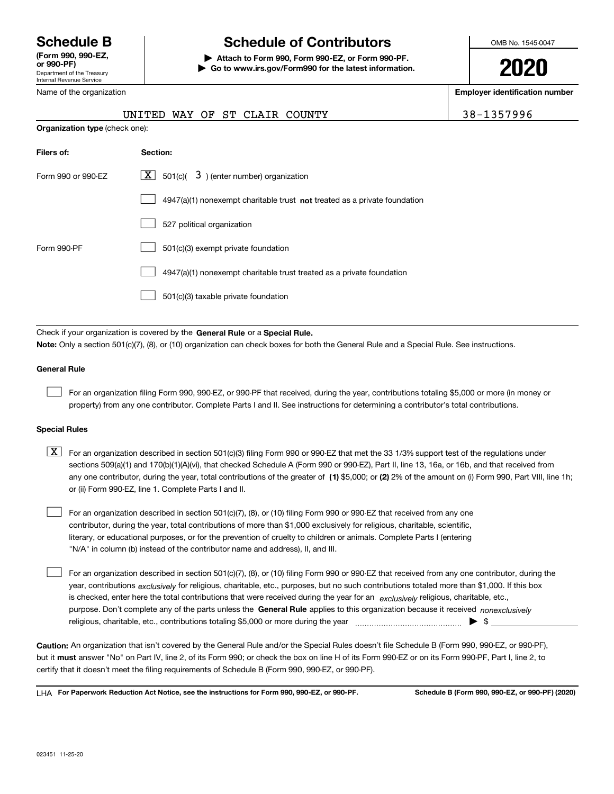Department of the Treasury Internal Revenue Service **(Form 990, 990-EZ, or 990-PF)** Name of the organization

## **Schedule B Schedule of Contributors**

**| Attach to Form 990, Form 990-EZ, or Form 990-PF. | Go to www.irs.gov/Form990 for the latest information.** OMB No. 1545-0047

**2020**

**Employer identification number**

|                                       |          |  |  | UNITED WAY OF ST CLAIR COUNTY | 38-1357996 |
|---------------------------------------|----------|--|--|-------------------------------|------------|
| <b>Organization type</b> (check one): |          |  |  |                               |            |
| Filers of:                            | Section: |  |  |                               |            |

| Form 990 or 990-EZ | $\lfloor x \rfloor$ 501(c)( 3) (enter number) organization                |
|--------------------|---------------------------------------------------------------------------|
|                    | 4947(a)(1) nonexempt charitable trust not treated as a private foundation |
|                    | 527 political organization                                                |
| Form 990-PF        | 501(c)(3) exempt private foundation                                       |
|                    | 4947(a)(1) nonexempt charitable trust treated as a private foundation     |
|                    | 501(c)(3) taxable private foundation                                      |

Check if your organization is covered by the **General Rule** or a **Special Rule. Note:**  Only a section 501(c)(7), (8), or (10) organization can check boxes for both the General Rule and a Special Rule. See instructions.

#### **General Rule**

 $\mathcal{L}^{\text{max}}$ 

For an organization filing Form 990, 990-EZ, or 990-PF that received, during the year, contributions totaling \$5,000 or more (in money or property) from any one contributor. Complete Parts I and II. See instructions for determining a contributor's total contributions.

#### **Special Rules**

any one contributor, during the year, total contributions of the greater of  $\,$  (1) \$5,000; or **(2)** 2% of the amount on (i) Form 990, Part VIII, line 1h;  $\boxed{\textbf{X}}$  For an organization described in section 501(c)(3) filing Form 990 or 990-EZ that met the 33 1/3% support test of the regulations under sections 509(a)(1) and 170(b)(1)(A)(vi), that checked Schedule A (Form 990 or 990-EZ), Part II, line 13, 16a, or 16b, and that received from or (ii) Form 990-EZ, line 1. Complete Parts I and II.

For an organization described in section 501(c)(7), (8), or (10) filing Form 990 or 990-EZ that received from any one contributor, during the year, total contributions of more than \$1,000 exclusively for religious, charitable, scientific, literary, or educational purposes, or for the prevention of cruelty to children or animals. Complete Parts I (entering "N/A" in column (b) instead of the contributor name and address), II, and III.  $\mathcal{L}^{\text{max}}$ 

purpose. Don't complete any of the parts unless the **General Rule** applies to this organization because it received *nonexclusively* year, contributions <sub>exclusively</sub> for religious, charitable, etc., purposes, but no such contributions totaled more than \$1,000. If this box is checked, enter here the total contributions that were received during the year for an  $\;$ exclusively religious, charitable, etc., For an organization described in section 501(c)(7), (8), or (10) filing Form 990 or 990-EZ that received from any one contributor, during the religious, charitable, etc., contributions totaling \$5,000 or more during the year  $\Box$ — $\Box$   $\Box$  $\mathcal{L}^{\text{max}}$ 

**Caution:**  An organization that isn't covered by the General Rule and/or the Special Rules doesn't file Schedule B (Form 990, 990-EZ, or 990-PF),  **must** but it answer "No" on Part IV, line 2, of its Form 990; or check the box on line H of its Form 990-EZ or on its Form 990-PF, Part I, line 2, to certify that it doesn't meet the filing requirements of Schedule B (Form 990, 990-EZ, or 990-PF).

**For Paperwork Reduction Act Notice, see the instructions for Form 990, 990-EZ, or 990-PF. Schedule B (Form 990, 990-EZ, or 990-PF) (2020)** LHA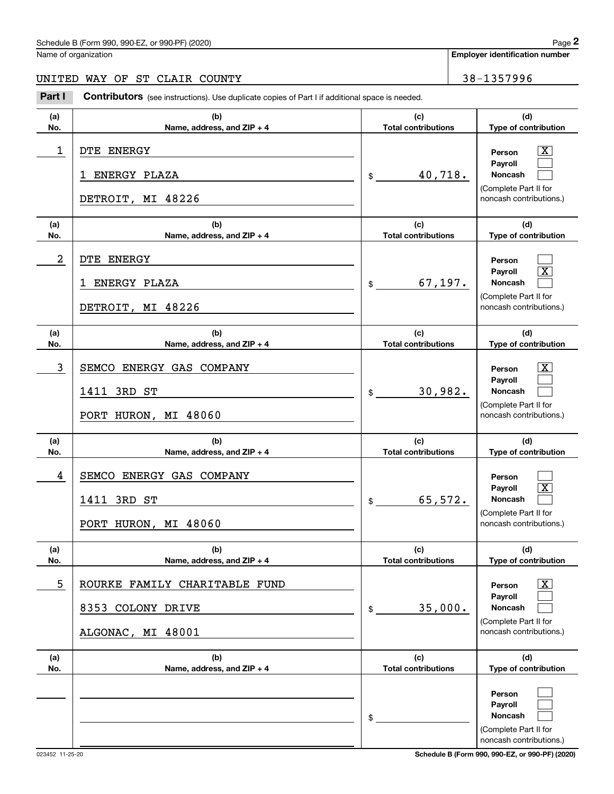### Schedule B (Form 990, 990-EZ, or 990-PF) (2020) Page 2

Name of organization

**Employer identification number**

#### UNITED WAY OF ST CLAIR COUNTY 38-1357996

(schedule B (Form 990, 990-EZ, or 990-PF) (2020)<br> **2Part I Contributors** (see instructions). Use duplicate copies of Part I if additional space is needed.<br> **2Part I Contributors** (see instructions). Use duplicate copies of

| (a)        | (b)                               | (c)                               | (d)                                              |
|------------|-----------------------------------|-----------------------------------|--------------------------------------------------|
| No.        | Name, address, and ZIP + 4        | <b>Total contributions</b>        | Type of contribution                             |
| 1          | DTE ENERGY<br>ENERGY PLAZA<br>1   | 40,718.                           | $\mathbf{X}$<br>Person<br>Payroll<br>Noncash     |
|            |                                   | $\frac{1}{2}$                     | (Complete Part II for                            |
|            | DETROIT, MI 48226                 |                                   | noncash contributions.)                          |
| (a)<br>No. | (b)<br>Name, address, and ZIP + 4 | (c)<br><b>Total contributions</b> | (d)<br>Type of contribution                      |
| 2          | DTE ENERGY                        |                                   | Person                                           |
|            | ENERGY PLAZA<br>ı                 | 67, 197.<br>\$                    | $\boxed{\text{X}}$<br>Payroll<br>Noncash         |
|            | DETROIT, MI 48226                 |                                   | (Complete Part II for<br>noncash contributions.) |
| (a)<br>No. | (b)<br>Name, address, and ZIP + 4 | (c)<br><b>Total contributions</b> | (d)<br>Type of contribution                      |
| 3          | SEMCO ENERGY GAS COMPANY          |                                   | $\mathbf{X}$<br>Person                           |
|            | 1411 3RD ST                       | 30,982.<br>\$                     | Payroll<br>Noncash                               |
|            | PORT HURON, MI 48060              |                                   | (Complete Part II for<br>noncash contributions.) |
| (a)<br>No. | (b)<br>Name, address, and ZIP + 4 | (c)<br><b>Total contributions</b> | (d)<br>Type of contribution                      |
| 4          | SEMCO ENERGY GAS COMPANY          |                                   | Person                                           |
|            |                                   |                                   |                                                  |
|            | 1411 3RD ST                       | 65,572.<br>$\mathfrak{S}$         | $\boxed{\text{X}}$<br>Payroll<br>Noncash         |
|            | PORT HURON, MI 48060              |                                   | (Complete Part II for<br>noncash contributions.) |
| (a)<br>No. | (b)<br>Name, address, and ZIP + 4 | (c)<br><b>Total contributions</b> | (d)<br>Type of contribution                      |
| 5          | ROURKE FAMILY CHARITABLE FUND     |                                   | $\boxed{\text{X}}$<br>Person                     |
|            | 8353 COLONY DRIVE                 | 35,000.<br>\$                     | Payroll<br>Noncash                               |
|            | ALGONAC, MI 48001                 |                                   | (Complete Part II for<br>noncash contributions.) |
| (a)<br>No. | (b)<br>Name, address, and ZIP + 4 | (c)<br><b>Total contributions</b> | (d)<br>Type of contribution                      |

023452 11-25-20 **Schedule B (Form 990, 990-EZ, or 990-PF) (2020)**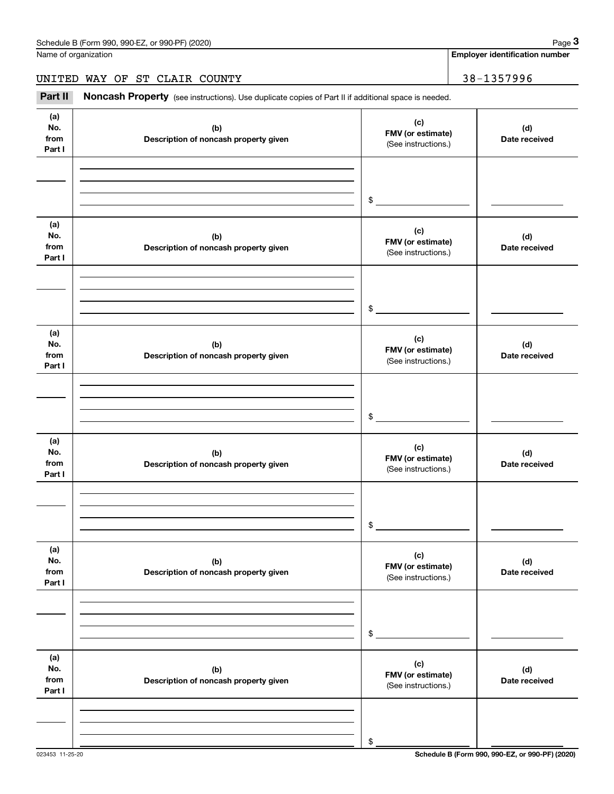Name of organization

**Employer identification number**

### UNITED WAY OF ST CLAIR COUNTY 38-1357996

(see instructions). Use duplicate copies of Part II if additional space is needed.<br> **2Part II Noncash Property** (see instructions). Use duplicate copies of Part II if additional space is needed.<br>
3Part II **Noncash Proper** 

| (a)<br>No.<br>from<br>Part I | (b)<br>Description of noncash property given | (c)<br>FMV (or estimate)<br>(See instructions.) | (d)<br>Date received |
|------------------------------|----------------------------------------------|-------------------------------------------------|----------------------|
|                              |                                              |                                                 |                      |
|                              |                                              | $\frac{1}{2}$                                   |                      |
| (a)                          |                                              |                                                 |                      |
| No.<br>from<br>Part I        | (b)<br>Description of noncash property given | (c)<br>FMV (or estimate)<br>(See instructions.) | (d)<br>Date received |
|                              |                                              |                                                 |                      |
|                              |                                              | $\frac{1}{2}$                                   |                      |
|                              |                                              |                                                 |                      |
| (a)<br>No.<br>from<br>Part I | (b)<br>Description of noncash property given | (c)<br>FMV (or estimate)<br>(See instructions.) | (d)<br>Date received |
|                              |                                              |                                                 |                      |
|                              |                                              | $\frac{1}{2}$                                   |                      |
|                              |                                              |                                                 |                      |
| (a)<br>No.<br>from<br>Part I | (b)<br>Description of noncash property given | (c)<br>FMV (or estimate)<br>(See instructions.) | (d)<br>Date received |
|                              |                                              |                                                 |                      |
|                              |                                              | $\mathsf{\$}$                                   |                      |
|                              |                                              |                                                 |                      |
| (a)<br>No.<br>from<br>Part I | (b)<br>Description of noncash property given | (c)<br>FMV (or estimate)<br>(See instructions.) | (d)<br>Date received |
|                              |                                              |                                                 |                      |
|                              |                                              | \$                                              |                      |
|                              |                                              |                                                 |                      |
| (a)<br>No.<br>from<br>Part I | (b)<br>Description of noncash property given | (c)<br>FMV (or estimate)<br>(See instructions.) | (d)<br>Date received |
|                              |                                              |                                                 |                      |
|                              |                                              | \$                                              |                      |
|                              |                                              |                                                 |                      |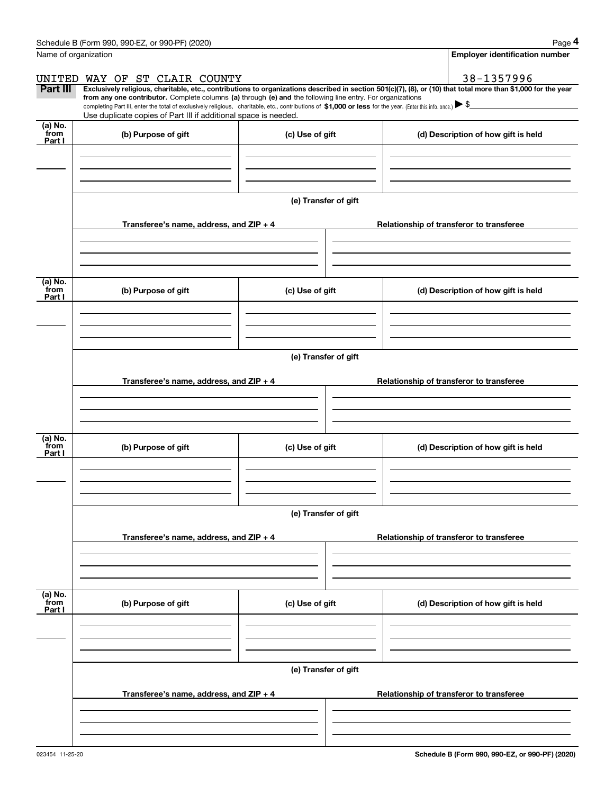|                           | Schedule B (Form 990, 990-EZ, or 990-PF) (2020)                                                                                                                                                                                                      |                      | Page 4                                                                                                                                                         |  |  |  |  |  |
|---------------------------|------------------------------------------------------------------------------------------------------------------------------------------------------------------------------------------------------------------------------------------------------|----------------------|----------------------------------------------------------------------------------------------------------------------------------------------------------------|--|--|--|--|--|
|                           | Name of organization                                                                                                                                                                                                                                 |                      | <b>Employer identification number</b>                                                                                                                          |  |  |  |  |  |
| UNITED                    | WAY OF ST CLAIR COUNTY                                                                                                                                                                                                                               |                      | 38-1357996                                                                                                                                                     |  |  |  |  |  |
| Part III                  | from any one contributor. Complete columns (a) through (e) and the following line entry. For organizations                                                                                                                                           |                      | Exclusively religious, charitable, etc., contributions to organizations described in section 501(c)(7), (8), or (10) that total more than \$1,000 for the year |  |  |  |  |  |
|                           | completing Part III, enter the total of exclusively religious, charitable, etc., contributions of \$1,000 or less for the year. (Enter this info. once.) $\blacktriangleright$ \$<br>Use duplicate copies of Part III if additional space is needed. |                      |                                                                                                                                                                |  |  |  |  |  |
| (a) No.<br>from<br>Part I | (b) Purpose of gift                                                                                                                                                                                                                                  | (c) Use of gift      | (d) Description of how gift is held                                                                                                                            |  |  |  |  |  |
|                           |                                                                                                                                                                                                                                                      |                      |                                                                                                                                                                |  |  |  |  |  |
|                           |                                                                                                                                                                                                                                                      |                      |                                                                                                                                                                |  |  |  |  |  |
|                           |                                                                                                                                                                                                                                                      | (e) Transfer of gift |                                                                                                                                                                |  |  |  |  |  |
|                           | Transferee's name, address, and ZIP + 4                                                                                                                                                                                                              |                      | Relationship of transferor to transferee                                                                                                                       |  |  |  |  |  |
|                           |                                                                                                                                                                                                                                                      |                      |                                                                                                                                                                |  |  |  |  |  |
| (a) No.<br>from<br>Part I | (b) Purpose of gift                                                                                                                                                                                                                                  | (c) Use of gift      | (d) Description of how gift is held                                                                                                                            |  |  |  |  |  |
|                           |                                                                                                                                                                                                                                                      |                      |                                                                                                                                                                |  |  |  |  |  |
|                           |                                                                                                                                                                                                                                                      |                      |                                                                                                                                                                |  |  |  |  |  |
|                           | (e) Transfer of gift                                                                                                                                                                                                                                 |                      |                                                                                                                                                                |  |  |  |  |  |
|                           | Transferee's name, address, and ZIP + 4                                                                                                                                                                                                              |                      | Relationship of transferor to transferee                                                                                                                       |  |  |  |  |  |
|                           |                                                                                                                                                                                                                                                      |                      |                                                                                                                                                                |  |  |  |  |  |
|                           |                                                                                                                                                                                                                                                      |                      |                                                                                                                                                                |  |  |  |  |  |
|                           |                                                                                                                                                                                                                                                      |                      |                                                                                                                                                                |  |  |  |  |  |
| (a) No.<br>from<br>Part I | (b) Purpose of gift                                                                                                                                                                                                                                  | (c) Use of gift      | (d) Description of how gift is held                                                                                                                            |  |  |  |  |  |
|                           |                                                                                                                                                                                                                                                      |                      |                                                                                                                                                                |  |  |  |  |  |
|                           |                                                                                                                                                                                                                                                      |                      |                                                                                                                                                                |  |  |  |  |  |
|                           |                                                                                                                                                                                                                                                      |                      |                                                                                                                                                                |  |  |  |  |  |
|                           |                                                                                                                                                                                                                                                      | (e) Transfer of gift |                                                                                                                                                                |  |  |  |  |  |
|                           | Transferee's name, address, and ZIP + 4                                                                                                                                                                                                              |                      | Relationship of transferor to transferee                                                                                                                       |  |  |  |  |  |
|                           |                                                                                                                                                                                                                                                      |                      |                                                                                                                                                                |  |  |  |  |  |
|                           |                                                                                                                                                                                                                                                      |                      |                                                                                                                                                                |  |  |  |  |  |
|                           |                                                                                                                                                                                                                                                      |                      |                                                                                                                                                                |  |  |  |  |  |
| (a) No.<br>from<br>Part I | (b) Purpose of gift                                                                                                                                                                                                                                  | (c) Use of gift      | (d) Description of how gift is held                                                                                                                            |  |  |  |  |  |
|                           |                                                                                                                                                                                                                                                      |                      |                                                                                                                                                                |  |  |  |  |  |
|                           | (e) Transfer of gift                                                                                                                                                                                                                                 |                      |                                                                                                                                                                |  |  |  |  |  |
|                           | Transferee's name, address, and $ZIP + 4$                                                                                                                                                                                                            |                      | Relationship of transferor to transferee                                                                                                                       |  |  |  |  |  |
|                           |                                                                                                                                                                                                                                                      |                      |                                                                                                                                                                |  |  |  |  |  |
|                           |                                                                                                                                                                                                                                                      |                      |                                                                                                                                                                |  |  |  |  |  |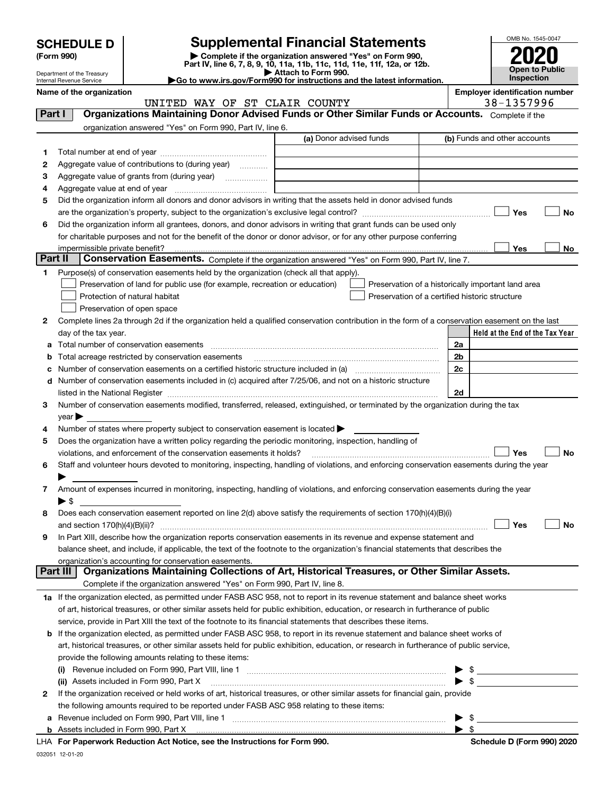| <b>SCHEDULE D</b> |  |
|-------------------|--|
|-------------------|--|

| (Form 990) |  |
|------------|--|
|------------|--|

## **SCHEDULE D Supplemental Financial Statements**

(Form 990)<br>
Pepartment of the Treasury<br>
Department of the Treasury<br>
Department of the Treasury<br>
Department of the Treasury<br> **Co to www.irs.gov/Form990 for instructions and the latest information.**<br> **Co to www.irs.gov/Form9** 



Department of the Treasury Internal Revenue Service

**Name of the organization**<br>**Name of the organization interval to the organization Employer identification number**<br>
28 – 1357996

| 38-1357996 |  |  |
|------------|--|--|
|            |  |  |

|         | UNITED WAY OF ST CLAIR COUNTY                                                                                                                                                                                                 |                         | 38-1357996                                         |
|---------|-------------------------------------------------------------------------------------------------------------------------------------------------------------------------------------------------------------------------------|-------------------------|----------------------------------------------------|
| Part I  | Organizations Maintaining Donor Advised Funds or Other Similar Funds or Accounts. Complete if the                                                                                                                             |                         |                                                    |
|         | organization answered "Yes" on Form 990, Part IV, line 6.                                                                                                                                                                     |                         |                                                    |
|         |                                                                                                                                                                                                                               | (a) Donor advised funds | (b) Funds and other accounts                       |
| 1       |                                                                                                                                                                                                                               |                         |                                                    |
| 2       | Aggregate value of contributions to (during year)                                                                                                                                                                             |                         |                                                    |
| з       | Aggregate value of grants from (during year)                                                                                                                                                                                  |                         |                                                    |
| 4       |                                                                                                                                                                                                                               |                         |                                                    |
| 5       | Did the organization inform all donors and donor advisors in writing that the assets held in donor advised funds                                                                                                              |                         |                                                    |
|         |                                                                                                                                                                                                                               |                         | Yes<br>No                                          |
|         |                                                                                                                                                                                                                               |                         |                                                    |
| 6       | Did the organization inform all grantees, donors, and donor advisors in writing that grant funds can be used only                                                                                                             |                         |                                                    |
|         | for charitable purposes and not for the benefit of the donor or donor advisor, or for any other purpose conferring                                                                                                            |                         |                                                    |
| Part II | impermissible private benefit?                                                                                                                                                                                                |                         | Yes<br>No                                          |
|         | Conservation Easements. Complete if the organization answered "Yes" on Form 990, Part IV, line 7.                                                                                                                             |                         |                                                    |
| 1       | Purpose(s) of conservation easements held by the organization (check all that apply).                                                                                                                                         |                         |                                                    |
|         | Preservation of land for public use (for example, recreation or education)                                                                                                                                                    |                         | Preservation of a historically important land area |
|         | Protection of natural habitat                                                                                                                                                                                                 |                         | Preservation of a certified historic structure     |
|         | Preservation of open space                                                                                                                                                                                                    |                         |                                                    |
| 2       | Complete lines 2a through 2d if the organization held a qualified conservation contribution in the form of a conservation easement on the last                                                                                |                         |                                                    |
|         | day of the tax year.                                                                                                                                                                                                          |                         | Held at the End of the Tax Year                    |
| а       |                                                                                                                                                                                                                               |                         | 2a                                                 |
| b       | Total acreage restricted by conservation easements                                                                                                                                                                            |                         | 2 <sub>b</sub>                                     |
| с       | Number of conservation easements on a certified historic structure included in (a) manufacture included in (a)                                                                                                                |                         | 2c                                                 |
| d       | Number of conservation easements included in (c) acquired after 7/25/06, and not on a historic structure                                                                                                                      |                         |                                                    |
|         | listed in the National Register [11, 1200] [12] The National Register [11, 1200] [12] The National Register [11, 1200] [12] The National Register [11, 1200] [12] The National Register [11, 1200] [12] The National Register |                         | 2d                                                 |
| 3       | Number of conservation easements modified, transferred, released, extinguished, or terminated by the organization during the tax                                                                                              |                         |                                                    |
|         | year                                                                                                                                                                                                                          |                         |                                                    |
| 4       | Number of states where property subject to conservation easement is located >                                                                                                                                                 |                         |                                                    |
| 5       | Does the organization have a written policy regarding the periodic monitoring, inspection, handling of                                                                                                                        |                         |                                                    |
|         | violations, and enforcement of the conservation easements it holds?                                                                                                                                                           |                         | Yes<br>No                                          |
| 6       | Staff and volunteer hours devoted to monitoring, inspecting, handling of violations, and enforcing conservation easements during the year                                                                                     |                         |                                                    |
|         |                                                                                                                                                                                                                               |                         |                                                    |
| 7       | Amount of expenses incurred in monitoring, inspecting, handling of violations, and enforcing conservation easements during the year                                                                                           |                         |                                                    |
|         | $\blacktriangleright$ \$                                                                                                                                                                                                      |                         |                                                    |
| 8       | Does each conservation easement reported on line 2(d) above satisfy the requirements of section 170(h)(4)(B)(i)                                                                                                               |                         |                                                    |
|         |                                                                                                                                                                                                                               |                         | Yes<br>No                                          |
| 9       | In Part XIII, describe how the organization reports conservation easements in its revenue and expense statement and                                                                                                           |                         |                                                    |
|         | balance sheet, and include, if applicable, the text of the footnote to the organization's financial statements that describes the                                                                                             |                         |                                                    |
|         | organization's accounting for conservation easements.                                                                                                                                                                         |                         |                                                    |
|         | Organizations Maintaining Collections of Art, Historical Treasures, or Other Similar Assets.<br>Part III                                                                                                                      |                         |                                                    |
|         | Complete if the organization answered "Yes" on Form 990, Part IV, line 8.                                                                                                                                                     |                         |                                                    |
|         | 1a If the organization elected, as permitted under FASB ASC 958, not to report in its revenue statement and balance sheet works                                                                                               |                         |                                                    |
|         | of art, historical treasures, or other similar assets held for public exhibition, education, or research in furtherance of public                                                                                             |                         |                                                    |
|         | service, provide in Part XIII the text of the footnote to its financial statements that describes these items.                                                                                                                |                         |                                                    |
| b       | If the organization elected, as permitted under FASB ASC 958, to report in its revenue statement and balance sheet works of                                                                                                   |                         |                                                    |
|         | art, historical treasures, or other similar assets held for public exhibition, education, or research in furtherance of public service,                                                                                       |                         |                                                    |
|         | provide the following amounts relating to these items:                                                                                                                                                                        |                         |                                                    |
|         |                                                                                                                                                                                                                               |                         | \$                                                 |
|         |                                                                                                                                                                                                                               |                         | $\blacktriangleright$ \$                           |
|         | (ii) Assets included in Form 990, Part X                                                                                                                                                                                      |                         |                                                    |
| 2       | If the organization received or held works of art, historical treasures, or other similar assets for financial gain, provide                                                                                                  |                         |                                                    |
|         | the following amounts required to be reported under FASB ASC 958 relating to these items:                                                                                                                                     |                         |                                                    |
| a       |                                                                                                                                                                                                                               |                         | -\$                                                |
|         |                                                                                                                                                                                                                               |                         | $\blacktriangleright$ \$                           |

**For Paperwork Reduction Act Notice, see the Instructions for Form 990. Schedule D (Form 990) 2020** LHA

032051 12-01-20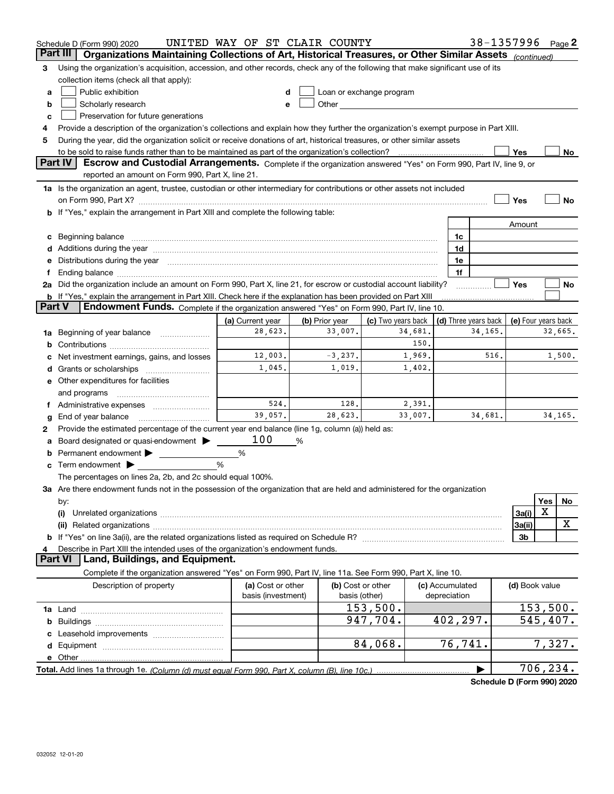|                | Schedule D (Form 990) 2020                                                                                                                                                                                                     | UNITED WAY OF ST CLAIR COUNTY |                |                                                                                                                                                                                                                               |                 |                      |                | 38-1357996 Page 2   |
|----------------|--------------------------------------------------------------------------------------------------------------------------------------------------------------------------------------------------------------------------------|-------------------------------|----------------|-------------------------------------------------------------------------------------------------------------------------------------------------------------------------------------------------------------------------------|-----------------|----------------------|----------------|---------------------|
|                | Part III<br>Organizations Maintaining Collections of Art, Historical Treasures, or Other Similar Assets (continued)                                                                                                            |                               |                |                                                                                                                                                                                                                               |                 |                      |                |                     |
| 3              | Using the organization's acquisition, accession, and other records, check any of the following that make significant use of its                                                                                                |                               |                |                                                                                                                                                                                                                               |                 |                      |                |                     |
|                | collection items (check all that apply):                                                                                                                                                                                       |                               |                |                                                                                                                                                                                                                               |                 |                      |                |                     |
| a              | Public exhibition                                                                                                                                                                                                              |                               |                | Loan or exchange program                                                                                                                                                                                                      |                 |                      |                |                     |
| b              | Scholarly research                                                                                                                                                                                                             | e                             |                | Other and the contract of the contract of the contract of the contract of the contract of the contract of the contract of the contract of the contract of the contract of the contract of the contract of the contract of the |                 |                      |                |                     |
| c              | Preservation for future generations                                                                                                                                                                                            |                               |                |                                                                                                                                                                                                                               |                 |                      |                |                     |
|                | Provide a description of the organization's collections and explain how they further the organization's exempt purpose in Part XIII.                                                                                           |                               |                |                                                                                                                                                                                                                               |                 |                      |                |                     |
| 5              | During the year, did the organization solicit or receive donations of art, historical treasures, or other similar assets                                                                                                       |                               |                |                                                                                                                                                                                                                               |                 |                      |                |                     |
|                | to be sold to raise funds rather than to be maintained as part of the organization's collection?                                                                                                                               |                               |                |                                                                                                                                                                                                                               |                 |                      | Yes            | No                  |
| <b>Part IV</b> | Escrow and Custodial Arrangements. Complete if the organization answered "Yes" on Form 990, Part IV, line 9, or                                                                                                                |                               |                |                                                                                                                                                                                                                               |                 |                      |                |                     |
|                | reported an amount on Form 990, Part X, line 21.                                                                                                                                                                               |                               |                |                                                                                                                                                                                                                               |                 |                      |                |                     |
|                | 1a Is the organization an agent, trustee, custodian or other intermediary for contributions or other assets not included                                                                                                       |                               |                |                                                                                                                                                                                                                               |                 |                      |                |                     |
|                | on Form 990, Part X? [11] matter and the contract of the contract of the contract of the contract of the contract of the contract of the contract of the contract of the contract of the contract of the contract of the contr |                               |                |                                                                                                                                                                                                                               |                 |                      | Yes            | No                  |
|                | b If "Yes," explain the arrangement in Part XIII and complete the following table:                                                                                                                                             |                               |                |                                                                                                                                                                                                                               |                 |                      |                |                     |
|                |                                                                                                                                                                                                                                |                               |                |                                                                                                                                                                                                                               |                 |                      | Amount         |                     |
|                | c Beginning balance measurements and the contract of the contract of the contract of the contract of the contract of the contract of the contract of the contract of the contract of the contract of the contract of the contr |                               |                |                                                                                                                                                                                                                               | 1c              |                      |                |                     |
|                |                                                                                                                                                                                                                                |                               |                |                                                                                                                                                                                                                               | 1d              |                      |                |                     |
|                | e Distributions during the year manufactured and continuum and contract the year manufactured and contract the                                                                                                                 |                               |                |                                                                                                                                                                                                                               | 1e              |                      |                |                     |
|                |                                                                                                                                                                                                                                |                               |                |                                                                                                                                                                                                                               | 1f              |                      |                |                     |
|                | 2a Did the organization include an amount on Form 990, Part X, line 21, for escrow or custodial account liability?                                                                                                             |                               |                |                                                                                                                                                                                                                               |                 |                      | Yes            | No                  |
| <b>Part V</b>  | <b>b</b> If "Yes," explain the arrangement in Part XIII. Check here if the explanation has been provided on Part XIII                                                                                                          |                               |                |                                                                                                                                                                                                                               |                 |                      |                |                     |
|                | Endowment Funds. Complete if the organization answered "Yes" on Form 990, Part IV, line 10.                                                                                                                                    |                               |                |                                                                                                                                                                                                                               |                 |                      |                |                     |
|                |                                                                                                                                                                                                                                | (a) Current year<br>28,623.   | (b) Prior year | (c) Two years back                                                                                                                                                                                                            |                 | (d) Three years back |                | (e) Four years back |
| 1a             | Beginning of year balance                                                                                                                                                                                                      |                               | 33,007.        | 34,681.<br>150.                                                                                                                                                                                                               |                 | 34,165.              |                | 32,665.             |
|                |                                                                                                                                                                                                                                | 12,003.                       | $-3,237.$      | 1,969.                                                                                                                                                                                                                        |                 | 516.                 |                | 1,500.              |
|                | Net investment earnings, gains, and losses                                                                                                                                                                                     | 1,045.                        | 1,019.         | 1,402.                                                                                                                                                                                                                        |                 |                      |                |                     |
|                |                                                                                                                                                                                                                                |                               |                |                                                                                                                                                                                                                               |                 |                      |                |                     |
|                | e Other expenditures for facilities                                                                                                                                                                                            |                               |                |                                                                                                                                                                                                                               |                 |                      |                |                     |
|                | and programs                                                                                                                                                                                                                   | 524.                          | 128.           | 2,391.                                                                                                                                                                                                                        |                 |                      |                |                     |
|                | f Administrative expenses<br>End of year balance                                                                                                                                                                               | 39,057.                       | 28,623.        | 33,007.                                                                                                                                                                                                                       |                 | 34,681.              |                | 34, 165.            |
| g              | Provide the estimated percentage of the current year end balance (line 1g, column (a)) held as:                                                                                                                                |                               |                |                                                                                                                                                                                                                               |                 |                      |                |                     |
| 2              | Board designated or quasi-endowment                                                                                                                                                                                            | 100                           | %              |                                                                                                                                                                                                                               |                 |                      |                |                     |
|                | Permanent endowment                                                                                                                                                                                                            | %                             |                |                                                                                                                                                                                                                               |                 |                      |                |                     |
|                | <b>c</b> Term endowment $\blacktriangleright$                                                                                                                                                                                  | %                             |                |                                                                                                                                                                                                                               |                 |                      |                |                     |
|                | The percentages on lines 2a, 2b, and 2c should equal 100%.                                                                                                                                                                     |                               |                |                                                                                                                                                                                                                               |                 |                      |                |                     |
|                | 3a Are there endowment funds not in the possession of the organization that are held and administered for the organization                                                                                                     |                               |                |                                                                                                                                                                                                                               |                 |                      |                |                     |
|                | by:                                                                                                                                                                                                                            |                               |                |                                                                                                                                                                                                                               |                 |                      |                | Yes<br>No           |
|                | (i)                                                                                                                                                                                                                            |                               |                |                                                                                                                                                                                                                               |                 |                      | 3a(i)          | X                   |
|                | (ii)                                                                                                                                                                                                                           |                               |                |                                                                                                                                                                                                                               |                 |                      | 3a(ii)         | X                   |
|                |                                                                                                                                                                                                                                |                               |                |                                                                                                                                                                                                                               |                 |                      | 3b             |                     |
| 4              | Describe in Part XIII the intended uses of the organization's endowment funds.                                                                                                                                                 |                               |                |                                                                                                                                                                                                                               |                 |                      |                |                     |
| <b>Part VI</b> | Land, Buildings, and Equipment.                                                                                                                                                                                                |                               |                |                                                                                                                                                                                                                               |                 |                      |                |                     |
|                | Complete if the organization answered "Yes" on Form 990, Part IV, line 11a. See Form 990, Part X, line 10.                                                                                                                     |                               |                |                                                                                                                                                                                                                               |                 |                      |                |                     |
|                | Description of property                                                                                                                                                                                                        | (a) Cost or other             |                | (b) Cost or other                                                                                                                                                                                                             | (c) Accumulated |                      | (d) Book value |                     |
|                |                                                                                                                                                                                                                                | basis (investment)            |                | basis (other)                                                                                                                                                                                                                 | depreciation    |                      |                |                     |
|                |                                                                                                                                                                                                                                |                               |                | 153,500.                                                                                                                                                                                                                      |                 |                      |                | 153,500.            |
|                |                                                                                                                                                                                                                                |                               |                | 947,704.                                                                                                                                                                                                                      | 402,297.        |                      |                | 545,407.            |
|                |                                                                                                                                                                                                                                |                               |                |                                                                                                                                                                                                                               |                 |                      |                |                     |
|                |                                                                                                                                                                                                                                |                               |                | 84,068.                                                                                                                                                                                                                       | 76, 741.        |                      |                | 7,327.              |
|                | e Other                                                                                                                                                                                                                        |                               |                |                                                                                                                                                                                                                               |                 |                      |                |                     |
|                |                                                                                                                                                                                                                                |                               |                |                                                                                                                                                                                                                               |                 |                      |                | 706,234.            |

**Schedule D (Form 990) 2020**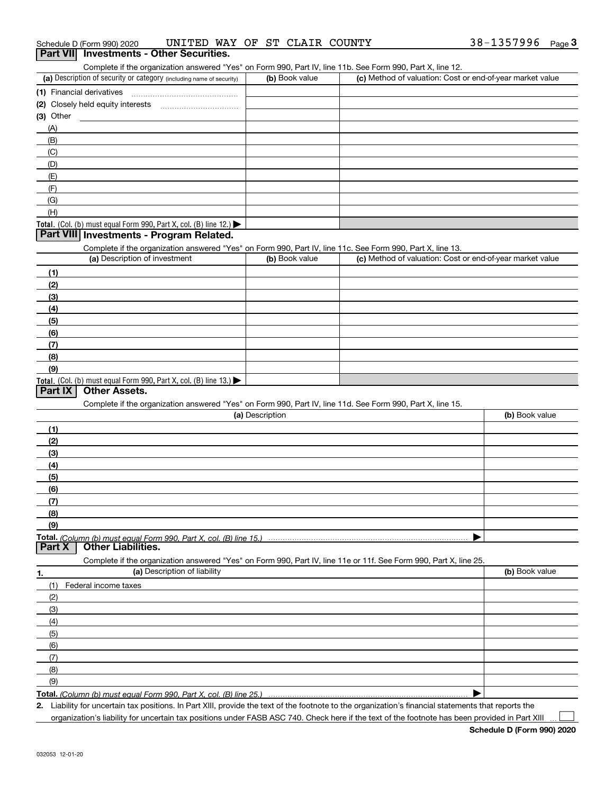|  | Schedule D (Form 990) 2020 | UNITED WAY OF ST CLAIR COUNTY |  |  |  |  |  | 38-1357996 | Page |  |
|--|----------------------------|-------------------------------|--|--|--|--|--|------------|------|--|
|--|----------------------------|-------------------------------|--|--|--|--|--|------------|------|--|

#### **Part VII Investments - Other Securities.**

Complete if the organization answered "Yes" on Form 990, Part IV, line 11b. See Form 990, Part X, line 12.

| (a) Description of security or category (including name of security)                          | (b) Book value | (c) Method of valuation: Cost or end-of-year market value |
|-----------------------------------------------------------------------------------------------|----------------|-----------------------------------------------------------|
| (1) Financial derivatives                                                                     |                |                                                           |
| (2) Closely held equity interests<br>                                                         |                |                                                           |
| $(3)$ Other                                                                                   |                |                                                           |
| (A)                                                                                           |                |                                                           |
| (B)                                                                                           |                |                                                           |
| (C)                                                                                           |                |                                                           |
| (D)                                                                                           |                |                                                           |
| (E)                                                                                           |                |                                                           |
| (F)                                                                                           |                |                                                           |
| (G)                                                                                           |                |                                                           |
| (H)                                                                                           |                |                                                           |
| <b>Total.</b> (Col. (b) must equal Form 990, Part X, col. (B) line 12.) $\blacktriangleright$ |                |                                                           |

#### **Part VIII Investments - Program Related.**

Complete if the organization answered "Yes" on Form 990, Part IV, line 11c. See Form 990, Part X, line 13.

| (a) Description of investment                                    | (b) Book value | (c) Method of valuation: Cost or end-of-year market value |
|------------------------------------------------------------------|----------------|-----------------------------------------------------------|
| (1)                                                              |                |                                                           |
| (2)                                                              |                |                                                           |
| $\frac{1}{2}$                                                    |                |                                                           |
| (4)                                                              |                |                                                           |
| (5)                                                              |                |                                                           |
| (6)                                                              |                |                                                           |
| $\sqrt{(7)}$                                                     |                |                                                           |
| (8)                                                              |                |                                                           |
| (9)                                                              |                |                                                           |
| Total. (Col. (b) must equal Form 990, Part X, col. (B) line 13.) |                |                                                           |

#### **Part IX Other Assets.**

Complete if the organization answered "Yes" on Form 990, Part IV, line 11d. See Form 990, Part X, line 15.

| (a) Description                                                                                                   | (b) Book value |
|-------------------------------------------------------------------------------------------------------------------|----------------|
| (1)                                                                                                               |                |
| (2)                                                                                                               |                |
| (3)                                                                                                               |                |
| (4)                                                                                                               |                |
| (5)                                                                                                               |                |
| (6)                                                                                                               |                |
| (7)                                                                                                               |                |
| (8)                                                                                                               |                |
| (9)                                                                                                               |                |
| Total. (Column (b) must equal Form 990, Part X, col. (B) line 15.)                                                |                |
| <b>Other Liabilities.</b><br>Part X                                                                               |                |
| Complete if the organization answered "Yes" on Form 990, Part IV, line 11e or 11f. See Form 990, Part X, line 25. |                |
| (a) Description of liability<br>1.                                                                                | (b) Book value |
| Federal income taxes<br>(1)                                                                                       |                |

| (2)                                                             |  |
|-----------------------------------------------------------------|--|
| (3)                                                             |  |
| (4)                                                             |  |
| (5)                                                             |  |
| (6)                                                             |  |
| (7)                                                             |  |
| (8)                                                             |  |
| (9)                                                             |  |
| Total, $(Column(h) must equal Form 990 Part X col (B) line 25)$ |  |

**Total.**  *(Column (b) must equal Form 990, Part X, col. (B) line 25.)* 

**2.** Liability for uncertain tax positions. In Part XIII, provide the text of the footnote to the organization's financial statements that reports the

organization's liability for uncertain tax positions under FASB ASC 740. Check here if the text of the footnote has been provided in Part XIII  $\mathcal{L}^{\text{max}}$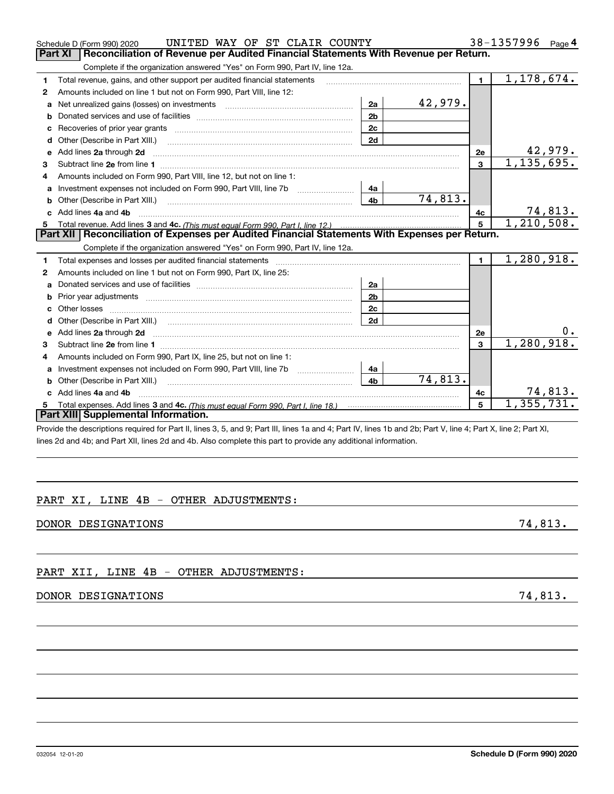| Schedule D (Form 990) 2020 |
|----------------------------|
|                            |

|         | UNITED WAY OF ST CLAIR COUNTY<br>Schedule D (Form 990) 2020                                                                                                                                                                         |                |                |                | 38-1357996               | Page 4         |
|---------|-------------------------------------------------------------------------------------------------------------------------------------------------------------------------------------------------------------------------------------|----------------|----------------|----------------|--------------------------|----------------|
| Part XI | Reconciliation of Revenue per Audited Financial Statements With Revenue per Return.                                                                                                                                                 |                |                |                |                          |                |
|         | Complete if the organization answered "Yes" on Form 990, Part IV, line 12a.                                                                                                                                                         |                |                |                |                          |                |
| 1       | Total revenue, gains, and other support per audited financial statements                                                                                                                                                            |                |                | $\blacksquare$ | 1,178,674.               |                |
| 2       | Amounts included on line 1 but not on Form 990, Part VIII, line 12:                                                                                                                                                                 |                |                |                |                          |                |
|         | a Net unrealized gains (losses) on investments [11] [12] Net unrealized gains (losses) on investments [11] [12                                                                                                                      | 2a             | <u>42,979.</u> |                |                          |                |
| b       |                                                                                                                                                                                                                                     | 2 <sub>b</sub> |                |                |                          |                |
| c       |                                                                                                                                                                                                                                     | 2c             |                |                |                          |                |
|         | Other (Describe in Part XIII.) <b>Construction Contract Construction</b> Construction Construction Construction Constr                                                                                                              | 2d             |                |                |                          |                |
| e       | Add lines 2a through 2d <b>contained a contained a contained a contained a</b> contained a contained a contained a contained a contained a contained a contained a contained a contained a contained a contained a contained a cont |                |                | 2e             |                          | 42,979.        |
| З       |                                                                                                                                                                                                                                     |                |                | 3              | 1,135,695.               |                |
| 4       | Amounts included on Form 990, Part VIII, line 12, but not on line 1:                                                                                                                                                                |                |                |                |                          |                |
| a       |                                                                                                                                                                                                                                     | 4a             |                |                |                          |                |
|         |                                                                                                                                                                                                                                     | 4 <sub>h</sub> | 74,813.        |                |                          |                |
|         | c Add lines 4a and 4b                                                                                                                                                                                                               |                |                | 4с             |                          | <u>74,813.</u> |
|         |                                                                                                                                                                                                                                     |                |                | 5              | 1, 210, 508.             |                |
|         | Part XII   Reconciliation of Expenses per Audited Financial Statements With Expenses per Return.                                                                                                                                    |                |                |                |                          |                |
|         | Complete if the organization answered "Yes" on Form 990, Part IV, line 12a.                                                                                                                                                         |                |                |                |                          |                |
| 1       | Total expenses and losses per audited financial statements                                                                                                                                                                          |                |                | $\blacksquare$ | 1,280,918.               |                |
| 2       | Amounts included on line 1 but not on Form 990, Part IX, line 25:                                                                                                                                                                   |                |                |                |                          |                |
| a       |                                                                                                                                                                                                                                     | 2a             |                |                |                          |                |
| b       | Prior year adjustments [1111] [121] The Management Strategy (1211] Management Strategy (1211) [121] Management                                                                                                                      | 2 <sub>b</sub> |                |                |                          |                |
|         | Other losses                                                                                                                                                                                                                        | 2 <sub>c</sub> |                |                |                          |                |
| d       |                                                                                                                                                                                                                                     | 2d             |                |                |                          |                |
|         | e Add lines 2a through 2d <b>[10]</b> Manuscription and the Add lines 2a through 2d <b>[10]</b> Manuscription <b>Add lines</b> 2a through 2d                                                                                        |                |                | 2e             |                          | υ.             |
| З       |                                                                                                                                                                                                                                     |                |                | 3              | 1,280,918.               |                |
| 4       | Amounts included on Form 990, Part IX, line 25, but not on line 1:                                                                                                                                                                  |                |                |                |                          |                |
| a       |                                                                                                                                                                                                                                     | 4a             |                |                |                          |                |
|         |                                                                                                                                                                                                                                     | 4 <sub>h</sub> | 74,813.        |                |                          |                |
|         | Add lines 4a and 4b                                                                                                                                                                                                                 |                |                | 4c             |                          | 74,813.        |
| 5       |                                                                                                                                                                                                                                     |                |                | 5              | $\overline{1,355,731}$ . |                |
|         | Part XIII Supplemental Information.                                                                                                                                                                                                 |                |                |                |                          |                |
|         | Provide the descriptions required for Part II, lines 3, 5, and 9; Part III, lines 1a and 4; Part IV, lines 1b and 2b; Part V, line 4; Part X, line 2; Part XI,                                                                      |                |                |                |                          |                |

PART XI, LINE 4B - OTHER ADJUSTMENTS:

lines 2d and 4b; and Part XII, lines 2d and 4b. Also complete this part to provide any additional information.

| DONOR DESIGNATIONS | 74,813. |  |
|--------------------|---------|--|

PART XII, LINE 4B - OTHER ADJUSTMENTS:

## DONOR DESIGNATIONS 74,813.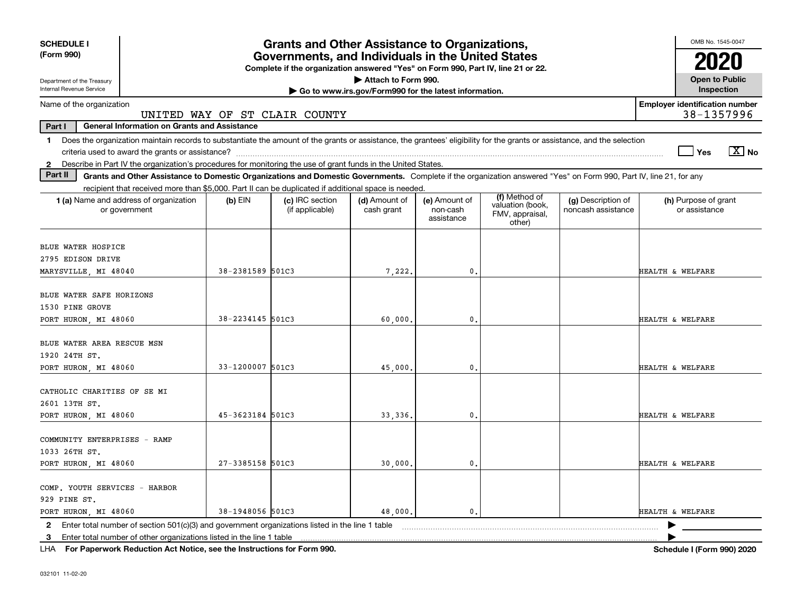| <b>SCHEDULE I</b>                                                                                                             |                                                     |                  | <b>Grants and Other Assistance to Organizations,</b>                                                                                      |                                                       |                                         |                                                                                                                                                                          |                                          |                                       | OMB No. 1545-0047                     |
|-------------------------------------------------------------------------------------------------------------------------------|-----------------------------------------------------|------------------|-------------------------------------------------------------------------------------------------------------------------------------------|-------------------------------------------------------|-----------------------------------------|--------------------------------------------------------------------------------------------------------------------------------------------------------------------------|------------------------------------------|---------------------------------------|---------------------------------------|
| (Form 990)                                                                                                                    |                                                     |                  | Governments, and Individuals in the United States<br>Complete if the organization answered "Yes" on Form 990, Part IV, line 21 or 22.     |                                                       |                                         |                                                                                                                                                                          |                                          |                                       | 2020                                  |
| Department of the Treasury                                                                                                    |                                                     |                  |                                                                                                                                           | Attach to Form 990.                                   |                                         |                                                                                                                                                                          |                                          |                                       | <b>Open to Public</b>                 |
| Internal Revenue Service                                                                                                      |                                                     |                  |                                                                                                                                           | Go to www.irs.gov/Form990 for the latest information. |                                         |                                                                                                                                                                          |                                          |                                       | Inspection                            |
| Name of the organization                                                                                                      |                                                     |                  | UNITED WAY OF ST CLAIR COUNTY                                                                                                             |                                                       |                                         |                                                                                                                                                                          |                                          | <b>Employer identification number</b> | 38-1357996                            |
| Part I                                                                                                                        | <b>General Information on Grants and Assistance</b> |                  |                                                                                                                                           |                                                       |                                         |                                                                                                                                                                          |                                          |                                       |                                       |
| $\mathbf 1$                                                                                                                   |                                                     |                  |                                                                                                                                           |                                                       |                                         | Does the organization maintain records to substantiate the amount of the grants or assistance, the grantees' eligibility for the grants or assistance, and the selection |                                          |                                       | $\sqrt{X}$ No<br>Yes                  |
| Describe in Part IV the organization's procedures for monitoring the use of grant funds in the United States.<br>$\mathbf{2}$ |                                                     |                  |                                                                                                                                           |                                                       |                                         |                                                                                                                                                                          |                                          |                                       |                                       |
| Part II                                                                                                                       |                                                     |                  |                                                                                                                                           |                                                       |                                         | Grants and Other Assistance to Domestic Organizations and Domestic Governments. Complete if the organization answered "Yes" on Form 990, Part IV, line 21, for any       |                                          |                                       |                                       |
| 1 (a) Name and address of organization<br>or government                                                                       |                                                     | $(b)$ EIN        | recipient that received more than \$5,000. Part II can be duplicated if additional space is needed.<br>(c) IRC section<br>(if applicable) | (d) Amount of<br>cash grant                           | (e) Amount of<br>non-cash<br>assistance | (f) Method of<br>valuation (book,<br>FMV, appraisal,<br>other)                                                                                                           | (g) Description of<br>noncash assistance |                                       | (h) Purpose of grant<br>or assistance |
| <b>BLUE WATER HOSPICE</b>                                                                                                     |                                                     |                  |                                                                                                                                           |                                                       |                                         |                                                                                                                                                                          |                                          |                                       |                                       |
| 2795 EDISON DRIVE                                                                                                             |                                                     |                  |                                                                                                                                           |                                                       |                                         |                                                                                                                                                                          |                                          |                                       |                                       |
| MARYSVILLE, MI 48040                                                                                                          |                                                     | 38-2381589 501C3 |                                                                                                                                           | 7,222.                                                | $\mathbf{0}$ .                          |                                                                                                                                                                          |                                          | HEALTH & WELFARE                      |                                       |
| BLUE WATER SAFE HORIZONS<br>1530 PINE GROVE                                                                                   |                                                     |                  |                                                                                                                                           |                                                       |                                         |                                                                                                                                                                          |                                          |                                       |                                       |
| PORT HURON, MI 48060                                                                                                          |                                                     | 38-2234145 501C3 |                                                                                                                                           | 60,000.                                               | 0.                                      |                                                                                                                                                                          |                                          | HEALTH & WELFARE                      |                                       |
| BLUE WATER AREA RESCUE MSN<br>1920 24TH ST.                                                                                   |                                                     |                  |                                                                                                                                           |                                                       |                                         |                                                                                                                                                                          |                                          |                                       |                                       |
| PORT HURON, MI 48060                                                                                                          |                                                     | 33-1200007 501C3 |                                                                                                                                           | 45,000.                                               | $\mathbf{0}$ .                          |                                                                                                                                                                          |                                          | HEALTH & WELFARE                      |                                       |
| CATHOLIC CHARITIES OF SE MI<br>2601 13TH ST.                                                                                  |                                                     |                  |                                                                                                                                           |                                                       |                                         |                                                                                                                                                                          |                                          |                                       |                                       |
| PORT HURON, MI 48060                                                                                                          |                                                     | 45-3623184 501C3 |                                                                                                                                           | 33,336.                                               | $\mathbf{0}$ .                          |                                                                                                                                                                          |                                          | HEALTH & WELFARE                      |                                       |
| COMMUNITY ENTERPRISES - RAMP<br>1033 26TH ST.<br>PORT HURON, MI 48060                                                         |                                                     | 27-3385158 501C3 |                                                                                                                                           | 30,000.                                               | 0.                                      |                                                                                                                                                                          |                                          | HEALTH & WELFARE                      |                                       |
|                                                                                                                               |                                                     |                  |                                                                                                                                           |                                                       |                                         |                                                                                                                                                                          |                                          |                                       |                                       |
| COMP. YOUTH SERVICES - HARBOR<br>929 PINE ST.                                                                                 |                                                     |                  |                                                                                                                                           |                                                       |                                         |                                                                                                                                                                          |                                          |                                       |                                       |
| PORT HURON, MI 48060                                                                                                          |                                                     | 38-1948056 501C3 |                                                                                                                                           | 48,000.                                               | $\mathbf{0}$ .                          |                                                                                                                                                                          |                                          | HEALTH & WELFARE                      |                                       |
| 2 Enter total number of section 501(c)(3) and government organizations listed in the line 1 table                             |                                                     |                  |                                                                                                                                           |                                                       |                                         |                                                                                                                                                                          |                                          |                                       |                                       |
| 3 Enter total number of other organizations listed in the line 1 table                                                        |                                                     |                  |                                                                                                                                           |                                                       |                                         |                                                                                                                                                                          |                                          |                                       |                                       |

**For Paperwork Reduction Act Notice, see the Instructions for Form 990. Schedule I (Form 990) 2020** LHA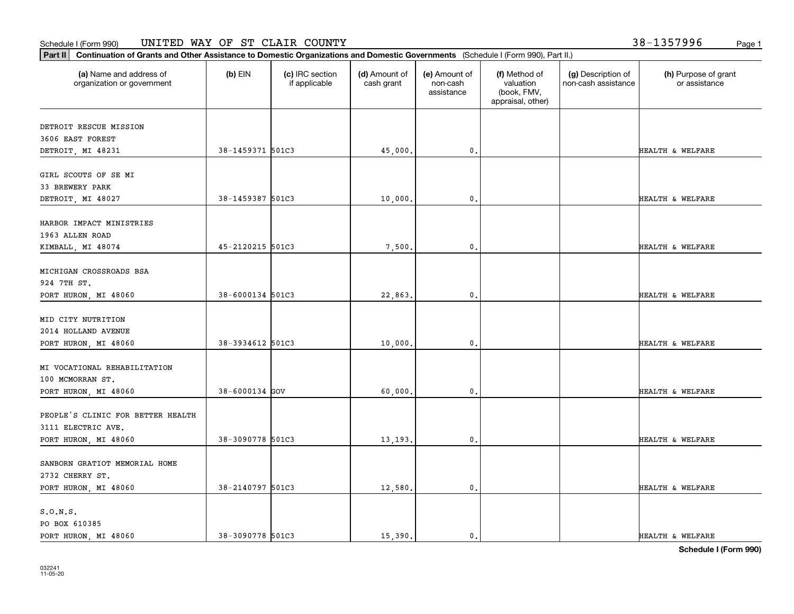#### Schedule I (Form 990) Page 1 UNITED WAY OF ST CLAIR COUNTY 38-1357996

т

**Part II Continuation of Grants and Other Assistance to Domestic Organizations and Domestic Governments**  (Schedule I (Form 990), Part II.)

| (a) Name and address of<br>organization or government | $(b)$ EIN          | (c) IRC section<br>if applicable | (d) Amount of<br>cash grant | (e) Amount of<br>non-cash<br>assistance | (f) Method of<br>valuation<br>(book, FMV,<br>appraisal, other) | (g) Description of<br>non-cash assistance | (h) Purpose of grant<br>or assistance |
|-------------------------------------------------------|--------------------|----------------------------------|-----------------------------|-----------------------------------------|----------------------------------------------------------------|-------------------------------------------|---------------------------------------|
| DETROIT RESCUE MISSION                                |                    |                                  |                             |                                         |                                                                |                                           |                                       |
| 3606 EAST FOREST                                      |                    |                                  |                             |                                         |                                                                |                                           |                                       |
| DETROIT, MI 48231                                     | 38-1459371 501C3   |                                  | 45,000.                     | $\mathfrak o$ .                         |                                                                |                                           | HEALTH & WELFARE                      |
| GIRL SCOUTS OF SE MI                                  |                    |                                  |                             |                                         |                                                                |                                           |                                       |
| 33 BREWERY PARK                                       |                    |                                  |                             |                                         |                                                                |                                           |                                       |
| DETROIT, MI 48027                                     | 38-1459387 501C3   |                                  | 10,000.                     | $\mathfrak o$ .                         |                                                                |                                           | HEALTH & WELFARE                      |
| HARBOR IMPACT MINISTRIES                              |                    |                                  |                             |                                         |                                                                |                                           |                                       |
| 1963 ALLEN ROAD                                       |                    |                                  |                             |                                         |                                                                |                                           |                                       |
| KIMBALL, MI 48074                                     | 45-2120215 501C3   |                                  | 7,500.                      | $\mathbf{0}$                            |                                                                |                                           | HEALTH & WELFARE                      |
| MICHIGAN CROSSROADS BSA                               |                    |                                  |                             |                                         |                                                                |                                           |                                       |
| 924 7TH ST.                                           |                    |                                  |                             |                                         |                                                                |                                           |                                       |
| PORT HURON, MI 48060                                  | 38-6000134 501C3   |                                  | 22,863.                     | $^{\circ}$ .                            |                                                                |                                           | HEALTH & WELFARE                      |
|                                                       |                    |                                  |                             |                                         |                                                                |                                           |                                       |
| MID CITY NUTRITION                                    |                    |                                  |                             |                                         |                                                                |                                           |                                       |
| 2014 HOLLAND AVENUE                                   |                    |                                  |                             |                                         |                                                                |                                           |                                       |
| PORT HURON, MI 48060                                  | 38-3934612 501C3   |                                  | 10,000.                     | $\mathfrak o$ .                         |                                                                |                                           | HEALTH & WELFARE                      |
| MI VOCATIONAL REHABILITATION                          |                    |                                  |                             |                                         |                                                                |                                           |                                       |
| 100 MCMORRAN ST.                                      |                    |                                  |                             |                                         |                                                                |                                           |                                       |
| PORT HURON, MI 48060                                  | $38 - 6000134$ GOV |                                  | 60,000.                     | $\mathbf{0}$                            |                                                                |                                           | HEALTH & WELFARE                      |
|                                                       |                    |                                  |                             |                                         |                                                                |                                           |                                       |
| PEOPLE'S CLINIC FOR BETTER HEALTH                     |                    |                                  |                             |                                         |                                                                |                                           |                                       |
| 3111 ELECTRIC AVE.                                    |                    |                                  |                             |                                         |                                                                |                                           |                                       |
| PORT HURON, MI 48060                                  | 38-3090778 501C3   |                                  | 13,193.                     | $\mathbf{0}$ .                          |                                                                |                                           | HEALTH & WELFARE                      |
|                                                       |                    |                                  |                             |                                         |                                                                |                                           |                                       |
| SANBORN GRATIOT MEMORIAL HOME<br>2732 CHERRY ST.      |                    |                                  |                             |                                         |                                                                |                                           |                                       |
| PORT HURON, MI 48060                                  | 38-2140797 501C3   |                                  | 12,580.                     | 0.                                      |                                                                |                                           | HEALTH & WELFARE                      |
|                                                       |                    |                                  |                             |                                         |                                                                |                                           |                                       |
| S.O.N.S.                                              |                    |                                  |                             |                                         |                                                                |                                           |                                       |
| PO BOX 610385                                         |                    |                                  |                             |                                         |                                                                |                                           |                                       |

Т

PORT HURON, MI 48060 38-3090778 501C3 15,390. 0. 0. THEALTH & WELFARE

**Schedule I (Form 990)**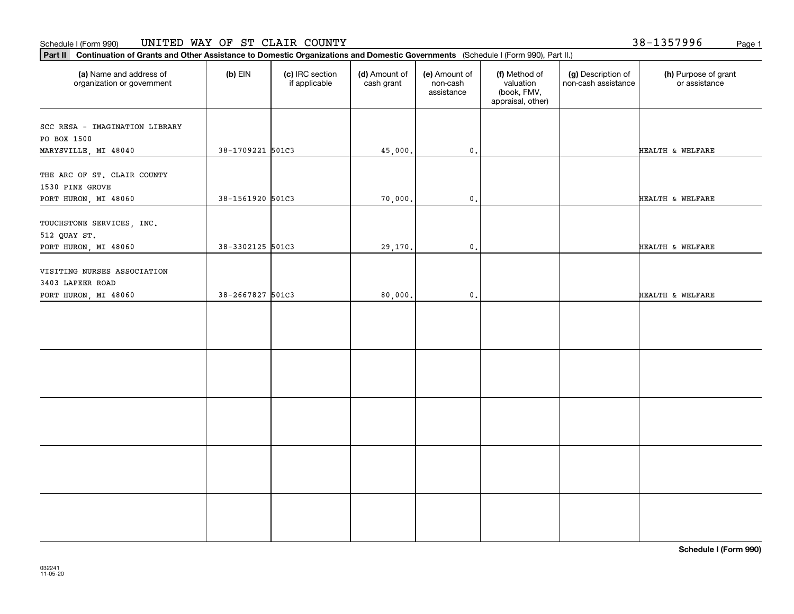#### Schedule I (Form 990) Page 1 UNITED WAY OF ST CLAIR COUNTY

**Part II Continuation of Grants and Other Assistance to Domestic Organizations and Domestic Governments**  (Schedule I (Form 990), Part II.)

| (a) Name and address of<br>organization or government                   | $(b)$ EIN        | (c) IRC section<br>if applicable | (d) Amount of<br>cash grant | (e) Amount of<br>non-cash<br>assistance | (f) Method of<br>valuation<br>(book, FMV,<br>appraisal, other) | (g) Description of<br>non-cash assistance | (h) Purpose of grant<br>or assistance |
|-------------------------------------------------------------------------|------------------|----------------------------------|-----------------------------|-----------------------------------------|----------------------------------------------------------------|-------------------------------------------|---------------------------------------|
| SCC RESA - IMAGINATION LIBRARY<br>PO BOX 1500                           |                  |                                  |                             |                                         |                                                                |                                           |                                       |
| MARYSVILLE, MI 48040                                                    | 38-1709221 501C3 |                                  | 45,000.                     | $\mathbf{0}$ .                          |                                                                |                                           | HEALTH & WELFARE                      |
| THE ARC OF ST. CLAIR COUNTY<br>1530 PINE GROVE<br>PORT HURON, MI 48060  | 38-1561920 501C3 |                                  | 70,000.                     | $\mathbf{0}$ .                          |                                                                |                                           | HEALTH & WELFARE                      |
| TOUCHSTONE SERVICES, INC.<br>512 QUAY ST.                               |                  |                                  |                             |                                         |                                                                |                                           |                                       |
| PORT HURON, MI 48060                                                    | 38-3302125 501C3 |                                  | 29,170.                     | $\mathfrak{o}$ .                        |                                                                |                                           | HEALTH & WELFARE                      |
| VISITING NURSES ASSOCIATION<br>3403 LAPEER ROAD<br>PORT HURON, MI 48060 | 38-2667827 501C3 |                                  | 80,000.                     | $\mathbf{0}$ .                          |                                                                |                                           | HEALTH & WELFARE                      |
|                                                                         |                  |                                  |                             |                                         |                                                                |                                           |                                       |
|                                                                         |                  |                                  |                             |                                         |                                                                |                                           |                                       |
|                                                                         |                  |                                  |                             |                                         |                                                                |                                           |                                       |
|                                                                         |                  |                                  |                             |                                         |                                                                |                                           |                                       |
|                                                                         |                  |                                  |                             |                                         |                                                                |                                           |                                       |

**Schedule I (Form 990)**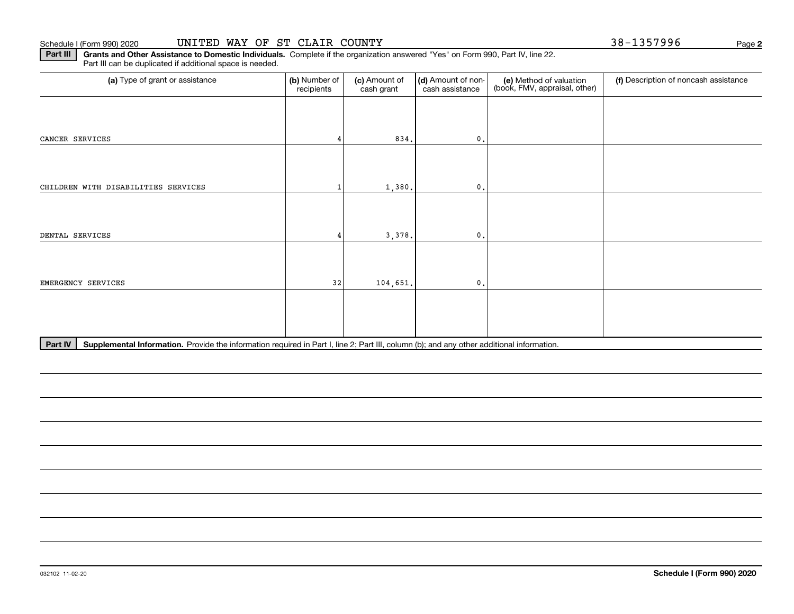**2**

**Part III** | Grants and Other Assistance to Domestic Individuals. Complete if the organization answered "Yes" on Form 990, Part IV, line 22. Part III can be duplicated if additional space is needed.

| (a) Type of grant or assistance     | (b) Number of<br>recipients | (c) Amount of<br>cash grant | (d) Amount of non-<br>cash assistance      | (e) Method of valuation<br>(book, FMV, appraisal, other) | (f) Description of noncash assistance |
|-------------------------------------|-----------------------------|-----------------------------|--------------------------------------------|----------------------------------------------------------|---------------------------------------|
|                                     |                             |                             |                                            |                                                          |                                       |
| CANCER SERVICES                     |                             | 834.                        | $\mathbf{0}$ .                             |                                                          |                                       |
|                                     |                             |                             |                                            |                                                          |                                       |
| CHILDREN WITH DISABILITIES SERVICES |                             | 1,380.                      | $\mathbf{0}$ .                             |                                                          |                                       |
|                                     |                             |                             |                                            |                                                          |                                       |
| DENTAL SERVICES                     |                             | 3,378.                      | $\mathbf{0}$ .                             |                                                          |                                       |
|                                     |                             |                             |                                            |                                                          |                                       |
| EMERGENCY SERVICES                  | 32                          | 104,651.                    | $\mathbf{0}$ .                             |                                                          |                                       |
|                                     |                             |                             |                                            |                                                          |                                       |
|                                     |                             |                             |                                            |                                                          |                                       |
| $\cdot$ .                           | .                           | $\cdots$<br>$\sim$ $\sim$   | $\mathbf{a}$<br>$\sim$ $\sim$<br>$\cdot$ . |                                                          |                                       |

Part IV | Supplemental Information. Provide the information required in Part I, line 2; Part III, column (b); and any other additional information.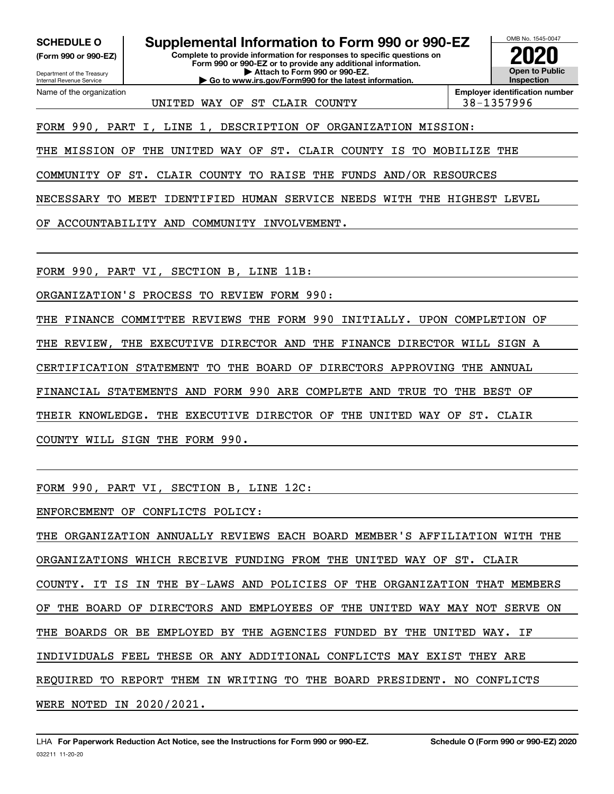**(Form 990 or 990-EZ)**

Department of the Treasury Internal Revenue Service Name of the organization

**SCHEDULE O Supplemental Information to Form 990 or 990-EZ**

**Complete to provide information for responses to specific questions on Form 990 or 990-EZ or to provide any additional information. | Attach to Form 990 or 990-EZ. | Go to www.irs.gov/Form990 for the latest information.**



UNITED WAY OF ST CLAIR COUNTY  $\vert$  38-1357996

**Employer identification number**

FORM 990, PART I, LINE 1, DESCRIPTION OF ORGANIZATION MISSION:

THE MISSION OF THE UNITED WAY OF ST. CLAIR COUNTY IS TO MOBILIZE THE

COMMUNITY OF ST. CLAIR COUNTY TO RAISE THE FUNDS AND/OR RESOURCES

NECESSARY TO MEET IDENTIFIED HUMAN SERVICE NEEDS WITH THE HIGHEST LEVEL

OF ACCOUNTABILITY AND COMMUNITY INVOLVEMENT.

FORM 990, PART VI, SECTION B, LINE 11B:

ORGANIZATION'S PROCESS TO REVIEW FORM 990:

THE FINANCE COMMITTEE REVIEWS THE FORM 990 INITIALLY. UPON COMPLETION OF THE REVIEW, THE EXECUTIVE DIRECTOR AND THE FINANCE DIRECTOR WILL SIGN A CERTIFICATION STATEMENT TO THE BOARD OF DIRECTORS APPROVING THE ANNUAL FINANCIAL STATEMENTS AND FORM 990 ARE COMPLETE AND TRUE TO THE BEST OF THEIR KNOWLEDGE. THE EXECUTIVE DIRECTOR OF THE UNITED WAY OF ST. CLAIR COUNTY WILL SIGN THE FORM 990.

FORM 990, PART VI, SECTION B, LINE 12C:

ENFORCEMENT OF CONFLICTS POLICY:

THE ORGANIZATION ANNUALLY REVIEWS EACH BOARD MEMBER'S AFFILIATION WITH THE ORGANIZATIONS WHICH RECEIVE FUNDING FROM THE UNITED WAY OF ST. CLAIR COUNTY. IT IS IN THE BY-LAWS AND POLICIES OF THE ORGANIZATION THAT MEMBERS OF THE BOARD OF DIRECTORS AND EMPLOYEES OF THE UNITED WAY MAY NOT SERVE ON THE BOARDS OR BE EMPLOYED BY THE AGENCIES FUNDED BY THE UNITED WAY. IF INDIVIDUALS FEEL THESE OR ANY ADDITIONAL CONFLICTS MAY EXIST THEY ARE REQUIRED TO REPORT THEM IN WRITING TO THE BOARD PRESIDENT. NO CONFLICTS WERE NOTED IN 2020/2021.